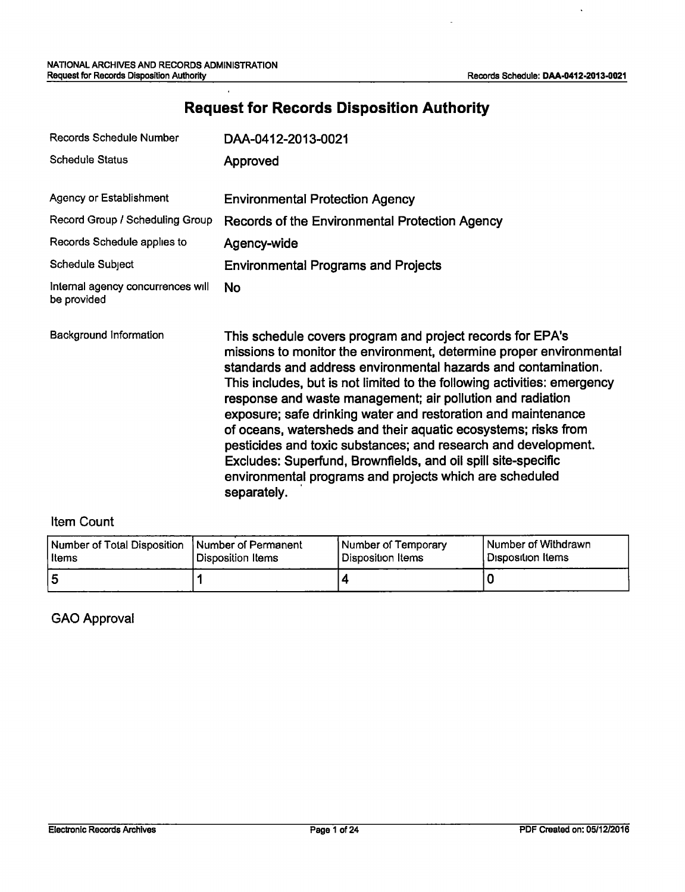$\overline{a}$ 

 $\ddot{\phantom{a}}$ 

| <b>Records Schedule Number</b>                   | DAA-0412-2013-0021                                                                                                                                                                                                                                                                                                                                                                                                                                                                                                                                                                                                                                                                            |
|--------------------------------------------------|-----------------------------------------------------------------------------------------------------------------------------------------------------------------------------------------------------------------------------------------------------------------------------------------------------------------------------------------------------------------------------------------------------------------------------------------------------------------------------------------------------------------------------------------------------------------------------------------------------------------------------------------------------------------------------------------------|
| <b>Schedule Status</b>                           | Approved                                                                                                                                                                                                                                                                                                                                                                                                                                                                                                                                                                                                                                                                                      |
| Agency or Establishment                          | <b>Environmental Protection Agency</b>                                                                                                                                                                                                                                                                                                                                                                                                                                                                                                                                                                                                                                                        |
| Record Group / Scheduling Group                  | Records of the Environmental Protection Agency                                                                                                                                                                                                                                                                                                                                                                                                                                                                                                                                                                                                                                                |
| Records Schedule applies to                      | Agency-wide                                                                                                                                                                                                                                                                                                                                                                                                                                                                                                                                                                                                                                                                                   |
| Schedule Subject                                 | <b>Environmental Programs and Projects</b>                                                                                                                                                                                                                                                                                                                                                                                                                                                                                                                                                                                                                                                    |
| Internal agency concurrences will<br>be provided | No                                                                                                                                                                                                                                                                                                                                                                                                                                                                                                                                                                                                                                                                                            |
| Background Information                           | This schedule covers program and project records for EPA's<br>missions to monitor the environment, determine proper environmental<br>standards and address environmental hazards and contamination.<br>This includes, but is not limited to the following activities: emergency<br>response and waste management; air pollution and radiation<br>exposure; safe drinking water and restoration and maintenance<br>of oceans, watersheds and their aquatic ecosystems; risks from<br>pesticides and toxic substances; and research and development.<br>Excludes: Superfund, Brownfields, and oil spill site-specific<br>environmental programs and projects which are scheduled<br>separately. |

# **Request for Records Disposition Authority**

## Item Count

| Number of Total Disposition 1 | <b>Number of Permanent</b> | Number of Temporary | l Number of Withdrawn. |
|-------------------------------|----------------------------|---------------------|------------------------|
| l Items                       | Disposition Items          | l Disposition Items | l Disposition Items    |
| 5                             |                            |                     |                        |

### GAO Approval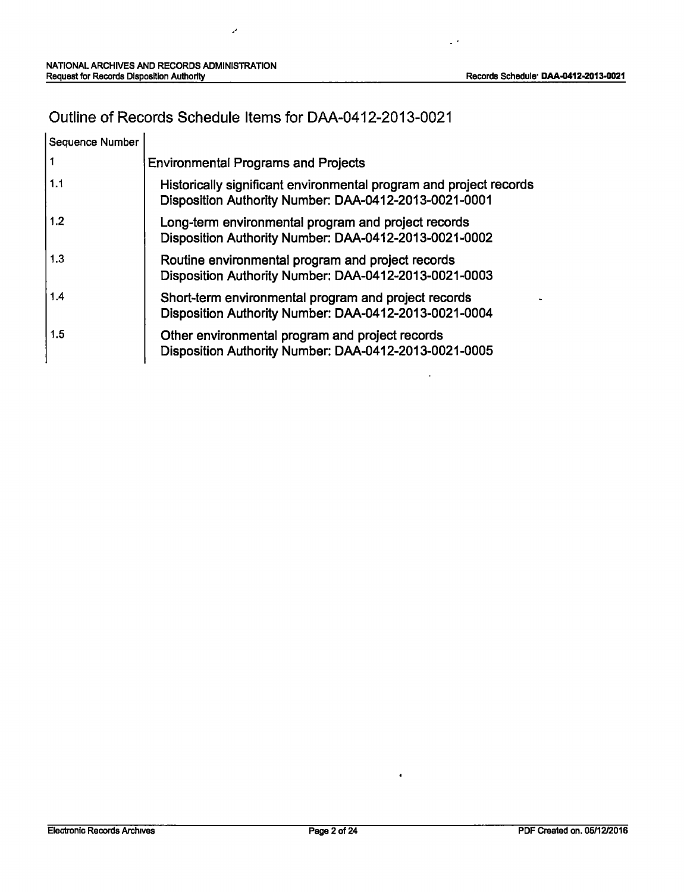$\ddot{\phantom{a}}$ 

 $\mathbb{Z}^2$ 

 $\ddot{\phantom{1}}$ 

# Outline of Records Schedule Items for DAA-0412-2013-0021

J.

| Sequence Number |                                                                                                                             |
|-----------------|-----------------------------------------------------------------------------------------------------------------------------|
|                 | <b>Environmental Programs and Projects</b>                                                                                  |
| 1.1             | Historically significant environmental program and project records<br>Disposition Authority Number: DAA-0412-2013-0021-0001 |
| 1.2             | Long-term environmental program and project records<br>Disposition Authority Number: DAA-0412-2013-0021-0002                |
| 1.3             | Routine environmental program and project records<br>Disposition Authority Number: DAA-0412-2013-0021-0003                  |
| 1.4             | Short-term environmental program and project records<br>Disposition Authority Number: DAA-0412-2013-0021-0004               |
| 1.5             | Other environmental program and project records<br>Disposition Authority Number: DAA-0412-2013-0021-0005                    |

 $\bullet$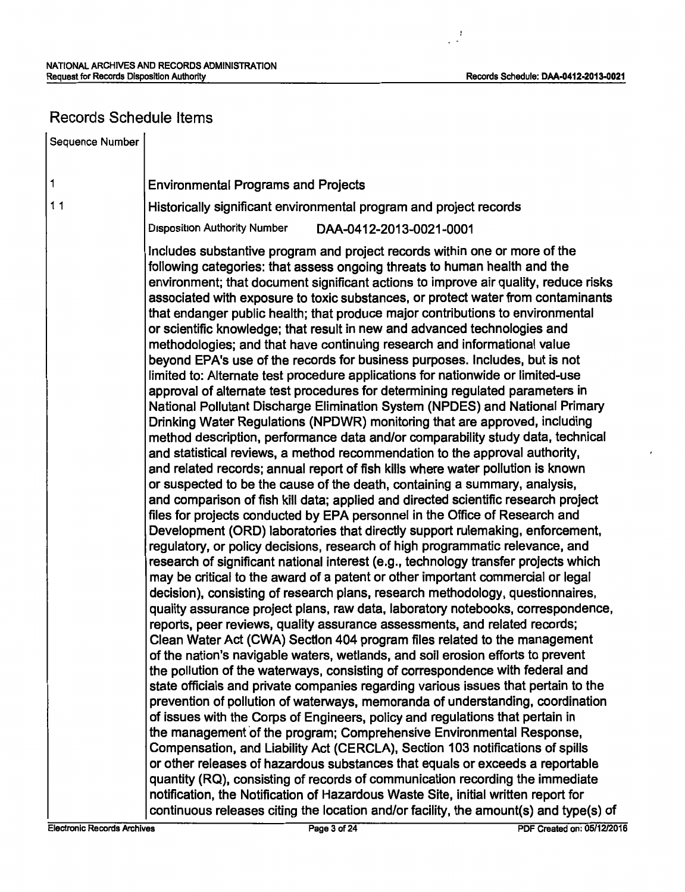## Records Schedule Items

1 Sequence Number 1 1 Environmental Programs and Projects Historically significant environmental program and project records Disposition Authority Number DAA-0412-2013-0021-0001 Includes substantive program and project records within one or more of the following categories: that assess ongoing threats to human health and the environment; that document significant actions to improve air quality, reduce risks associated with exposure to toxic substances, or protect water from contaminants that endanger public health; that produce major contributions to environmental or scientific knowledge; that result in new and advanced technologies and methodologies; and that have continuing research and informational value beyond EPA's use of the records for business purposes. Includes, but is not limited to: Alternate test procedure applications for nationwide or limited-use approval of alternate test procedures for determining regulated parameters in National Pollutant Discharge Elimination System (NPDES) and National Primary Drinking Water Regulations (NPDWR) monitoring that are approved, including method description, performance data and/or comparability study data, technical and statistical reviews, a method recommendation to the approval authority, and related records; annual report of fish kills where water pollution is known or suspected to be the cause of the death, containing a summary, analysis, and comparison of fish kill data; applied and directed scientific research project files for projects conducted by EPA personnel in the Office of Research and Development (ORD) laboratories that directly support rulemaking, enforcement, regulatory, or policy decisions, research of high programmatic relevance, and research of significant national interest (e.g., technology transfer projects which may be critical to the award of a patent or other important commercial or legal decision), consisting of research plans, research methodology, questionnaires, quality assurance project plans, raw data, laboratory notebooks, correspondence, reports, peer reviews, quality assurance assessments, and related records; Clean Water Act (CWA) Section 404 program files related to the management of the nation's navigable waters, wetlands, and soil erosion efforts to prevent the pollution of the waterways, consisting of correspondence with federal and state officials and private companies regarding various issues that pertain to the prevention of pollution of waterways, memoranda of understanding, coordination of issues with the Corps of Engineers, policy and regulations that pertain in the management of the program; Comprehensive Environmental Response, Compensation, and Liability Act (CERCLA), Section 103 notifications of spills or other releases of hazardous substances that equals or exceeds a reportable quantity (RQ), consisting of records of communication recording the immediate notification, the Notification of Hazardous Waste Site, initial written report for continuous releases citing the location and/or facility, the amount(s) and type(s) of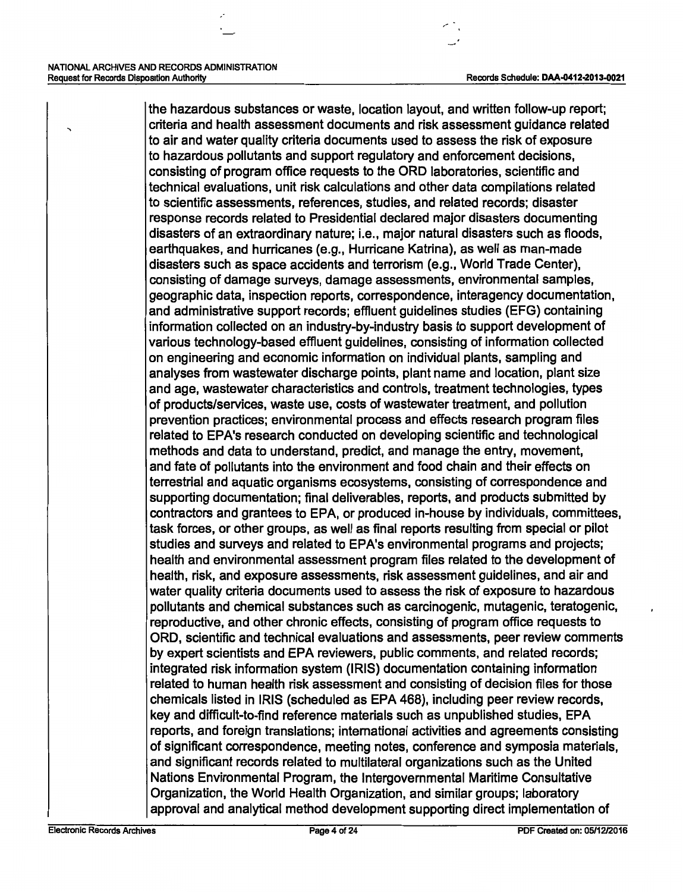,

the hazardous substances or waste, location layout, and written follow-up report; criteria and health assessment documents and risk assessment guidance related to air and water quality criteria documents used to assess the risk of exposure to hazardous pollutants and support regulatory and enforcement decisions, consisting of program office requests to the ORD laboratories, scientific and technical evaluations, unit risk calculations and other data compilations related to scientific assessments, references, studies, and related records; disaster response records related to Presidential declared major disasters documenting disasters of an extraordinary nature; i.e., major natural disasters such as floods, earthquakes, and hurricanes (e.g., Hurricane Katrina), as well as man-made disasters such as space accidents and terrorism (e.g., World Trade Center), consisting of damage surveys, damage assessments, environmental samples, geographic data, inspection reports, correspondence, interagency documentation, and administrative support records; effluent guidelines studies (EFG) containing information collected on an industry-by-industry basis to support development of various technology-based effluent guidelines, consisting of information collected on engineering and economic information on individual plants, sampling and analyses from wastewater discharge points, plant name and location, plant size and age, wastewater characteristics and controls, treatment technologies, types of products/services, waste use, costs of wastewater treatment, and pollution prevention practices; environmental process and effects research program files related to EPA's research conducted on developing scientific and technological methods and data to understand, predict, and manage the entry, movement, and fate of pollutants into the environment and food chain and their effects on terrestrial and aquatic organisms ecosystems, consisting of correspondence and supporting documentation; final deliverables, reports, and products submitted by contractors and grantees to EPA, or produced in-house by individuals, committees, task forces, or other groups, as well as final reports resulting from special or pilot studies and surveys and related to EPA's environmental programs and projects; health and environmental assessment program files related to the development of health, risk, and exposure assessments, risk assessment guidelines, and air and water quality criteria documents used to assess the risk of exposure to hazardous pollutants and chemical substances such as carcinogenic, mutagenic, teratogenic, reproductive, and other chronic effects, consisting of program office requests to ORD, scientific and technical evaluations and assessments, peer review comments by expert scientists and EPA reviewers, public comments, and related records; integrated risk information system (IRIS) documentation containing information related to human health risk assessment and consisting of decision files for those chemicals listed in IRIS (scheduled as EPA 468), including peer review records, key and difficult-to-find reference materials such as unpublished studies, EPA reports, and foreign translations; international activities and agreements consisting of significant correspondence, meeting notes, conference and symposia materials, and significant records related to multilateral organizations such as the United Nations Environmental Program, the Intergovernmental Maritime Consultative Organization, the World Health Organization, and similar groups; laboratory approval and analytical method development supporting direct implementation of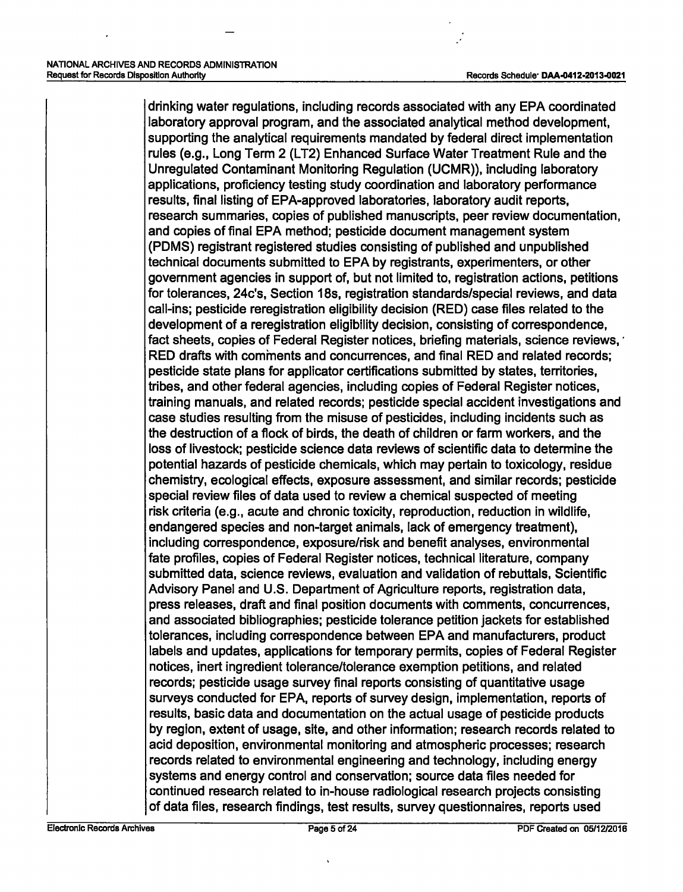drinking water regulations, including records associated with any EPA coordinated laboratory approval program, and the associated analytical method development, supporting the analytical requirements mandated by federal direct implementation rules (e.g., Long Term 2 (LT2) Enhanced Surface Water Treatment Rule and the Unregulated Contaminant Monitoring Regulation (UCMR)), including laboratory applications, proficiency testing study coordination and laboratory performance results, final listing of EPA-approved laboratories, laboratory audit reports, research summaries, copies of published manuscripts, peer review documentation, and copies of final EPA method; pesticide document management system (PDMS) registrant registered studies consisting of published and unpublished technical documents submitted to EPA by registrants, experimenters, or other government agencies in support of, but not limited to, registration actions, petitions for tolerances, 24c's, Section 18s, registration standards/special reviews, and data call-ins; pesticide reregistration eligibility decision (RED) case files related to the development of a reregistration eligibility decision, consisting of correspondence, fact sheets, copies of Federal Register notices, briefing materials, science reviews, RED drafts with comments and concurrences, and final RED and related records; pesticide state plans for applicator certifications submitted by states, territories, tribes, and other federal agencies, including copies of Federal Register notices, training manuals, and related records; pesticide special accident investigations and case studies resulting from the misuse of pesticides, including incidents such as the destruction of a flock of birds, the death of children or farm workers, and the loss of livestock; pesticide science data reviews of scientific data to determine the potential hazards of pesticide chemicals, which may pertain to toxicology, residue chemistry, ecological effects, exposure assessment, and similar records; pesticide special review files of data used to review a chemical suspected of meeting risk criteria (e.g., acute and chronic toxicity, reproduction, reduction in wildlife, endangered species and non-target animals, lack of emergency treatment), including correspondence, exposure/risk and benefit analyses, environmental fate profiles, copies of Federal Register notices, technical literature, company submitted data, science reviews, evaluation and validation of rebuttals, Scientific Advisory Panel and U.S. Department of Agriculture reports, registration data, press releases, draft and final position documents with comments, concurrences, and associated bibliographies; pesticide tolerance petition jackets for established tolerances, including correspondence between EPA and manufacturers, product labels and updates, applications for temporary permits, copies of Federal Register notices, inert ingredient tolerance/tolerance exemption petitions, and related records; pesticide usage survey final reports consisting of quantitative usage surveys conducted for EPA, reports of survey design, implementation, reports of results, basic data and documentation on the actual usage of pesticide products by region, extent of usage, site, and other information; research records related to acid deposition, environmental monitoring and atmospheric processes; research records related to environmental engineering and technology, including energy systems and energy control and conservation; source data files needed for continued research related to in-house radiological research projects consisting of data files, research findings, test results, survey questionnaires, reports used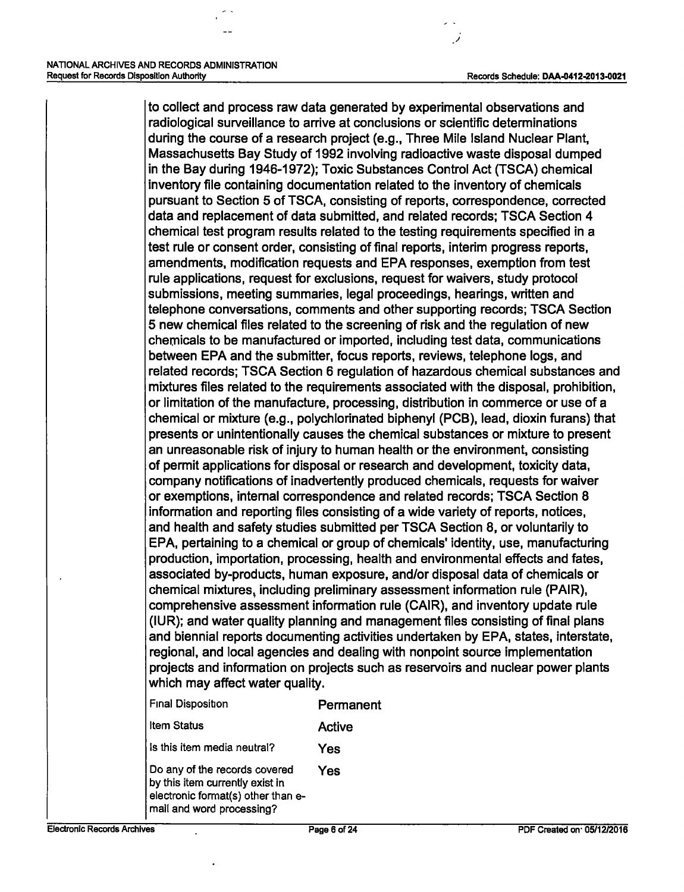)

to collect and process raw data generated by experimental observations and radiological surveillance to arrive at conclusions or scientific determinations during the course of a research project (e.g., Three Mile Island Nuclear Plant, Massachusetts Bay Study of 1992 involving radioactive waste disposal dumped in the Bay during 1946-1972); Toxic Substances Control Act {TSCA) chemical inventory file containing documentation related to the inventory of chemicals pursuant to Section 5 of TSCA, consisting of reports, correspondence, corrected data and replacement of data submitted, and related records; TSCA Section 4 chemical test program results related to the testing requirements specified in a test rule or consent order, consisting of final reports, interim progress reports, amendments, modification requests and EPA responses, exemption from test rule applications, request for exclusions, request for waivers, study protocol submissions, meeting summaries, legal proceedings, hearings, written and telephone conversations, comments and other supporting records; TSCA Section 5 new chemical files related to the screening of risk and the regulation of new chemicals to be manufactured or imported, including test data, communications between EPA and the submitter, focus reports, reviews, telephone logs, and related records; TSCA Section 6 regulation of hazardous chemical substances and mixtures files related to the requirements associated with the disposal, prohibition, or limitation of the manufacture, processing, distribution in commerce or use of a chemical or mixture (e.g., polychlorinated biphenyl (PCB), lead, dioxin furans) that presents or unintentionally causes the chemical substances or mixture to present an unreasonable risk of injury to human health or the environment, consisting of permit applications for disposal or research and development, toxicity data, company notifications of inadvertently produced chemicals, requests for waiver or exemptions, internal correspondence and related records; TSCA Section 8 information and reporting files consisting of a wide variety of reports, notices, and health and safety studies submitted per TSCA Section 8, or voluntarily to EPA, pertaining to a chemical or group of chemicals' identity, use, manufacturing production, importation, processing, health and environmental effects and fates, associated by-products, human exposure, and/or disposal data of chemicals or chemical mixtures, including preliminary assessment information rule (PAIR), comprehensive assessment information rule (CAIR), and inventory update rule (IUR); and water quality planning and management files consisting of final plans and biennial reports documenting activities undertaken by EPA, states, interstate, regional, and local agencies and dealing with nonpoint source implementation projects and information on projects such as reservoirs and nuclear power plants which may affect water quality.

| Final Disposition                                                                                                                   | Permanent |
|-------------------------------------------------------------------------------------------------------------------------------------|-----------|
| <b>Item Status</b>                                                                                                                  | Active    |
| Is this item media neutral?                                                                                                         | Yes       |
| Do any of the records covered<br>by this item currently exist in<br>electronic format(s) other than e-<br>mail and word processing? | Yes       |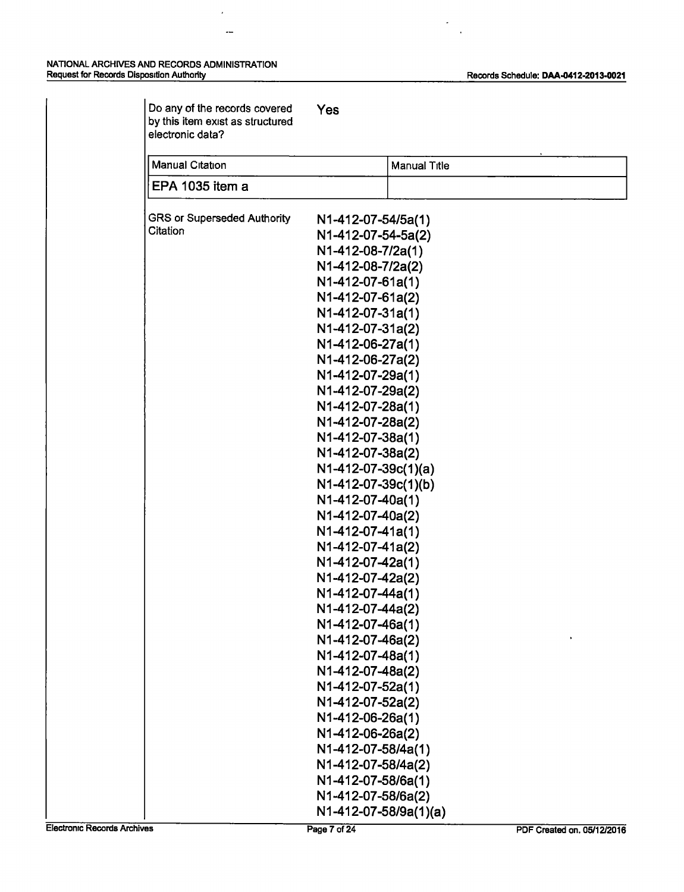$\hat{\boldsymbol{x}}$ 

 $\overline{a}$ 

 $\overline{\phantom{a}}$ 

 $\overline{a}$ 

| Do any of the records covered<br>by this item exist as structured<br>electronic data? | Yes                                  |
|---------------------------------------------------------------------------------------|--------------------------------------|
| <b>Manual Citation</b>                                                                | <b>Manual Title</b>                  |
| EPA 1035 item a                                                                       |                                      |
| <b>GRS or Superseded Authority</b>                                                    | N1-412-07-54/5a(1)                   |
| Citation                                                                              | N1-412-07-54-5a(2)                   |
|                                                                                       | N1-412-08-7/2a(1)                    |
|                                                                                       | N1-412-08-7/2a(2)                    |
|                                                                                       | N1-412-07-61a(1)                     |
|                                                                                       | N1-412-07-61a(2)                     |
|                                                                                       | N1-412-07-31a(1)                     |
|                                                                                       | N1-412-07-31a(2)                     |
|                                                                                       | N1-412-06-27a(1)                     |
|                                                                                       | N1-412-06-27a(2)                     |
|                                                                                       | N1-412-07-29a(1)                     |
|                                                                                       | N1-412-07-29a(2)                     |
|                                                                                       | N1-412-07-28a(1)                     |
|                                                                                       | N1-412-07-28a(2)                     |
|                                                                                       | N1-412-07-38a(1)                     |
|                                                                                       | N1-412-07-38a(2)                     |
|                                                                                       | N1-412-07-39c(1)(a)                  |
|                                                                                       | N1-412-07-39c(1)(b)                  |
|                                                                                       | N1-412-07-40a(1)                     |
|                                                                                       | N1-412-07-40a(2)                     |
|                                                                                       | N1-412-07-41a(1)                     |
|                                                                                       | N1-412-07-41a(2)                     |
|                                                                                       | N1-412-07-42a(1)                     |
|                                                                                       | N1-412-07-42a(2)<br>N1-412-07-44a(1) |
|                                                                                       | N1-412-07-44a(2)                     |
|                                                                                       | N1-412-07-46a(1)                     |
|                                                                                       | N1-412-07-46a(2)                     |
|                                                                                       | N1-412-07-48a(1)                     |
|                                                                                       | N1-412-07-48a(2)                     |
|                                                                                       | N1-412-07-52a(1)                     |
|                                                                                       | N1-412-07-52a(2)                     |
|                                                                                       | N1-412-06-26a(1)                     |
|                                                                                       | N1-412-06-26a(2)                     |
|                                                                                       | N1-412-07-58/4a(1)                   |
|                                                                                       | N1-412-07-58/4a(2)                   |
|                                                                                       | N1-412-07-58/6a(1)                   |
|                                                                                       | N1-412-07-58/6a(2)                   |
|                                                                                       | N1-412-07-58/9a(1)(a)                |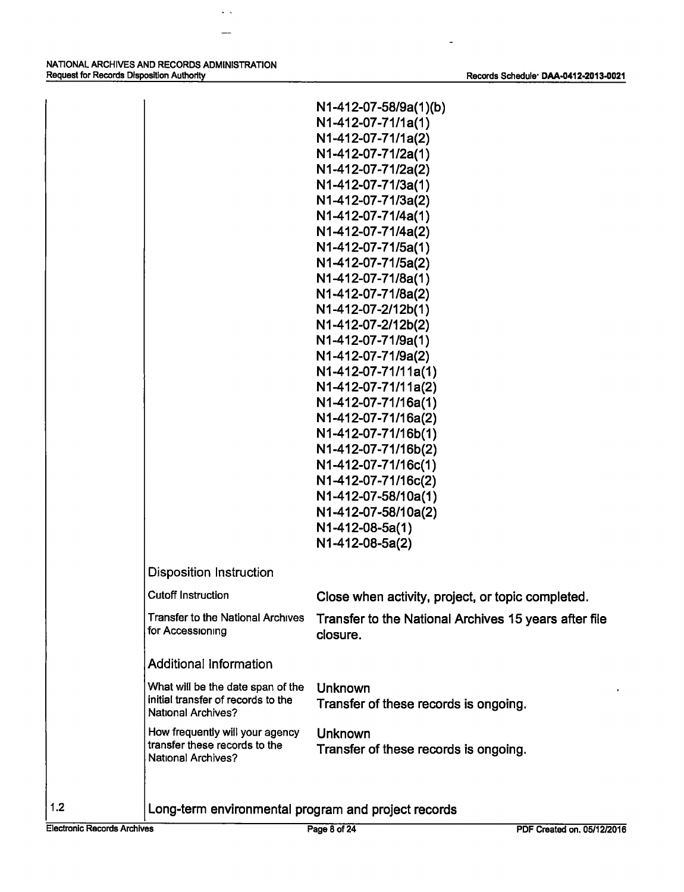NATIONAL ARCHIVES AND RECORDS ADMINISTRATION Request for Records Disposition Authority **Records Schedule**· DAA-0412-2013-0021

 $\mathbf{L}^{\mathbf{L}}$ 

 $\ddot{\phantom{1}}$ 

|                                                                 | N1-412-07-58/9a(1)(b)<br>N1-412-07-71/1a(1)                       |
|-----------------------------------------------------------------|-------------------------------------------------------------------|
|                                                                 | N1-412-07-71/1a(2)                                                |
|                                                                 | N1-412-07-71/2a(1)                                                |
|                                                                 | N1-412-07-71/2a(2)                                                |
|                                                                 | N1-412-07-71/3a(1)                                                |
|                                                                 | N1-412-07-71/3a(2)                                                |
|                                                                 | N1-412-07-71/4a(1)                                                |
|                                                                 | N1-412-07-71/4a(2)                                                |
|                                                                 | N1-412-07-71/5a(1)                                                |
|                                                                 | N1-412-07-71/5a(2)                                                |
|                                                                 | N1-412-07-71/8a(1)                                                |
|                                                                 | N1-412-07-71/8a(2)                                                |
|                                                                 | N1-412-07-2/12b(1)                                                |
|                                                                 | N1-412-07-2/12b(2)                                                |
|                                                                 | N1-412-07-71/9a(1)                                                |
|                                                                 | N1-412-07-71/9a(2)                                                |
|                                                                 | N1-412-07-71/11a(1)                                               |
|                                                                 | N1-412-07-71/11a(2)<br>N1-412-07-71/16a(1)                        |
|                                                                 | N1-412-07-71/16a(2)                                               |
|                                                                 | N1-412-07-71/16b(1)                                               |
|                                                                 | N1-412-07-71/16b(2)                                               |
|                                                                 | N1-412-07-71/16c(1)                                               |
|                                                                 | N1-412-07-71/16c(2)                                               |
|                                                                 | N1-412-07-58/10a(1)                                               |
|                                                                 | N1-412-07-58/10a(2)                                               |
|                                                                 | N1-412-08-5a(1)                                                   |
|                                                                 | N1-412-08-5a(2)                                                   |
| <b>Disposition Instruction</b>                                  |                                                                   |
| <b>Cutoff Instruction</b>                                       | Close when activity, project, or topic completed.                 |
| <b>Transfer to the National Archives</b><br>for Accessioning    | Transfer to the National Archives 15 years after file<br>closure. |
| <b>Additional Information</b>                                   |                                                                   |
| What will be the date span of the                               | <b>Unknown</b>                                                    |
| initial transfer of records to the<br><b>National Archives?</b> | Transfer of these records is ongoing.                             |
| How frequently will your agency                                 | <b>Unknown</b>                                                    |
| transfer these records to the                                   | Transfer of these records is ongoing.                             |

1.2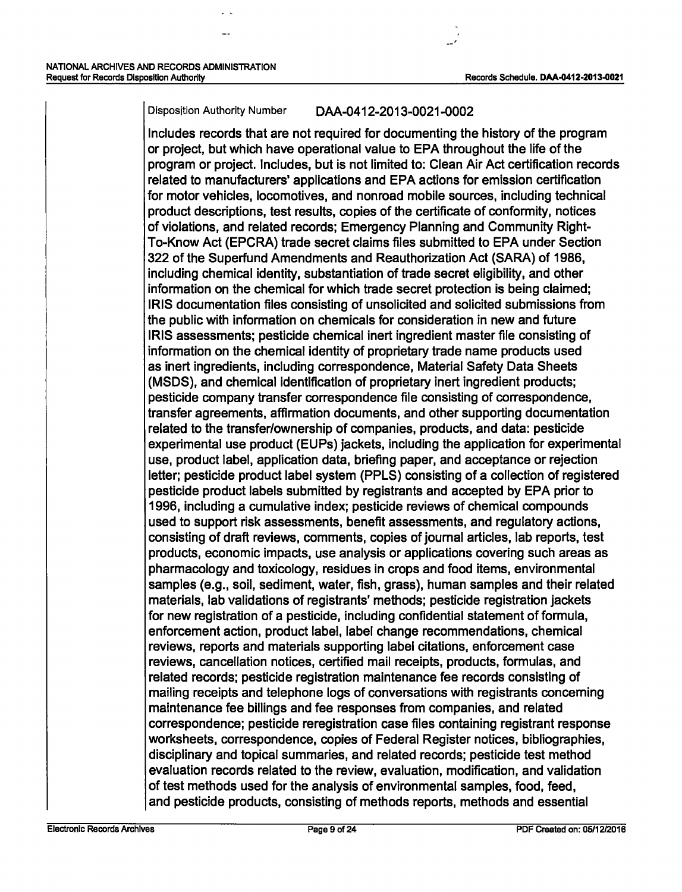#### Disposition Authority Number DAA-0412-2013-0021-0002

Includes records that are not required for documenting the history of the program or project, but which have operational value to EPA throughout the life of the program or project. Includes, but is not limited to: Clean Air Act certification records related to manufacturers' applications and EPA actions for emission certification for motor vehicles, locomotives, and nonroad mobile sources, including technical product descriptions, test results, copies of the certificate of conformity, notices of violations, and related records; Emergency Planning and Community Right-To-Know Act (EPCRA) trade secret claims files submitted to EPA under Section 322 of the Superfund Amendments and Reauthorization Act (SARA) of 1986, including chemical identity, substantiation of trade secret eligibility, and other information on the chemical for which trade secret protection is being claimed; IRIS documentation files consisting of unsolicited and solicited submissions from the public with information on chemicals for consideration in new and future IRIS assessments; pesticide chemical inert ingredient master file consisting of information on the chemical identity of proprietary trade name products used as inert ingredients, including correspondence, Material Safety Data Sheets (MSDS), and chemical identification of proprietary inert ingredient products; pesticide company transfer correspondence file consisting of correspondence, transfer agreements, affirmation documents, and other supporting documentation related to the transfer/ownership of companies, products, and data: pesticide experimental use product (EUPs) jackets, including the application for experimental use, product label, application data, briefing paper, and acceptance or rejection letter; pesticide product label system (PPLS) consisting of a collection of registered pesticide product labels submitted by registrants and accepted by EPA prior to 1996, including a cumulative index; pesticide reviews of chemical compounds used to support risk assessments, benefit assessments, and regulatory actions, consisting of draft reviews, comments, copies of journal articles, lab reports, test products, economic impacts, use analysis or applications covering such areas as pharmacology and toxicology, residues in crops and food items, environmental samples (e.g., soil, sediment, water, fish, grass), human samples and their related materials, lab validations of registrants' methods; pesticide registration jackets for new registration of a pesticide, including confidential statement of formula, enforcement action, product label, label change recommendations, chemical reviews, reports and materials supporting label citations, enforcement case reviews, cancellation notices, certified mail receipts, products, formulas, and related records; pesticide registration maintenance fee records consisting of mailing receipts and telephone logs of conversations with registrants concerning maintenance fee billings and fee responses from companies, and related correspondence; pesticide reregistration case files containing registrant response worksheets, correspondence, copies of Federal Register notices, bibliographies, disciplinary and topical summaries, and related records; pesticide test method evaluation records related to the review, evaluation, modification, and validation of test methods used for the analysis of environmental samples, food, feed, and pesticide products, consisting of methods reports, methods and essential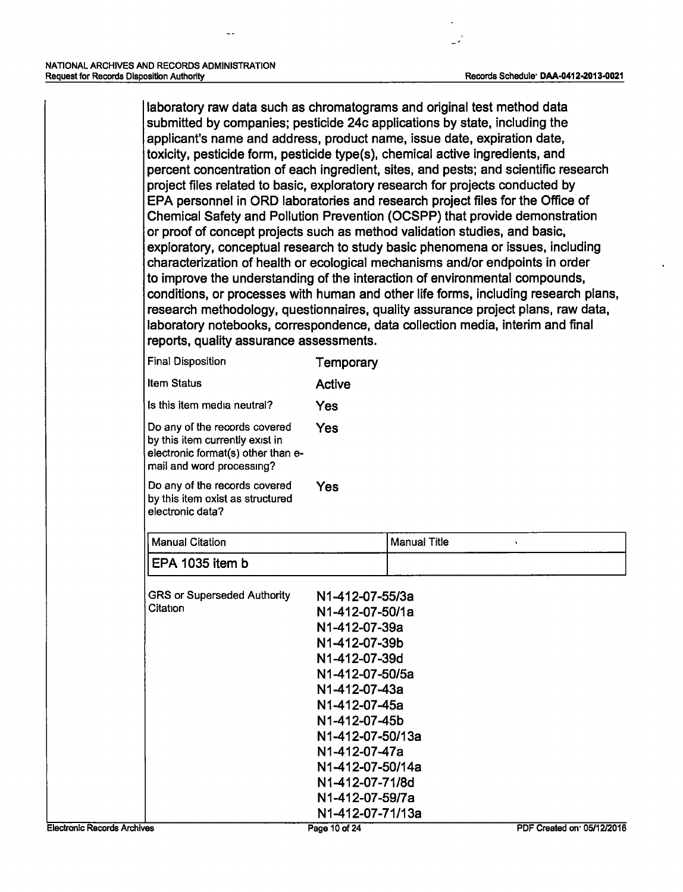laboratory raw data such as chromatograms and original test method data submitted by companies; pesticide 24c applications by state, including the applicant's name and address, product name, issue date, expiration date, toxicity, pesticide form, pesticide type(s), chemical active ingredients, and percent concentration of each ingredient, sites, and pests; and scientific research project files related to basic, exploratory research for projects conducted by EPA personnel in ORD laboratories and research project files for the Office of Chemical Safety and Pollution Prevention (OCSPP) that provide demonstration or proof of concept projects such as method validation studies, and basic, exploratory, conceptual research to study basic phenomena or issues, including characterization of health or ecological mechanisms and/or endpoints in order to improve the understanding of the interaction of environmental compounds, conditions, or processes with human and other life forms, including research plans, research methodology, questionnaires, quality assurance project plans, raw data, laboratory notebooks, correspondence, data collection media, interim and final reports, quality assurance assessments.

| <b>Final Disposition</b>                                                                                                            | Temporary                      |                          |
|-------------------------------------------------------------------------------------------------------------------------------------|--------------------------------|--------------------------|
| <b>Item Status</b>                                                                                                                  | <b>Active</b>                  |                          |
| Is this item media neutral?                                                                                                         | Yes                            |                          |
| Do any of the records covered<br>by this item currently exist in<br>electronic format(s) other than e-<br>mail and word processing? | Yes                            |                          |
| Do any of the records covered<br>by this item exist as structured<br>electronic data?                                               | Yes                            |                          |
| <b>Manual Citation</b>                                                                                                              |                                | <b>Manual Title</b><br>v |
| EPA 1035 item b                                                                                                                     |                                |                          |
| <b>GRS or Superseded Authority</b><br>Citation                                                                                      | N1-412-07-55/3a                |                          |
|                                                                                                                                     | N1-412-07-50/1a                |                          |
|                                                                                                                                     | N1-412-07-39a                  |                          |
|                                                                                                                                     | N1-412-07-39b<br>N1-412-07-39d |                          |
|                                                                                                                                     | N1-412-07-50/5a                |                          |
|                                                                                                                                     | N1-412-07-43a                  |                          |
|                                                                                                                                     | N1-412-07-45a                  |                          |
|                                                                                                                                     | N1-412-07-45b                  |                          |
|                                                                                                                                     | N1-412-07-50/13a               |                          |
|                                                                                                                                     | N1-412-07-47a                  |                          |
|                                                                                                                                     | N1-412-07-50/14a               |                          |
|                                                                                                                                     | N1-412-07-71/8d                |                          |
|                                                                                                                                     | N1-412-07-59/7a                |                          |
|                                                                                                                                     | N1-412-07-71/13a               |                          |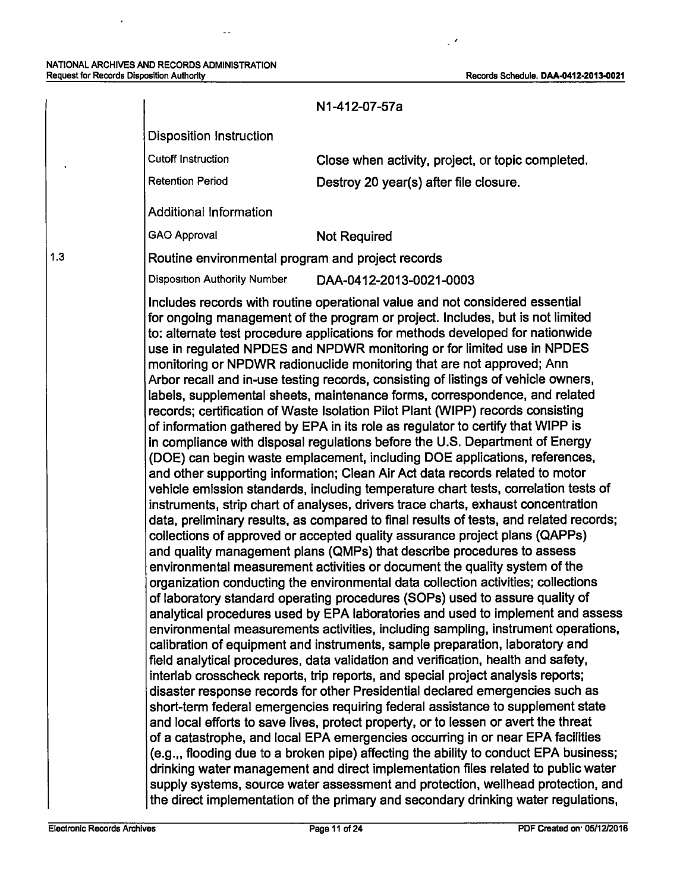#### NATIONAL ARCHIVES AND RECORDS ADMINISTRATION Request for Records Disposition Authority Records Schedule. DAA-0412·2013·0021

 $\mathbb{Z}^{\perp}$ 

 $\epsilon$ 

1.3

 $\ddot{\phantom{0}}$ 

 $\mathbb{Z}^{\mathbb{Z}}$ 

|                                                   | N1-412-07-57a                                                                                                                                                                                                                                                                                                                                                                                                                                                                                                                                                                                                                                                                                                                                                                                                                                                                                                                                                                                                                                                                                                                                                                                                                                                                                                                                                                                                                                                                                                                                                                                                                                                                                                                                                                                                                                                                                                                                                                                                                                                                                                                                                                                                                                                                                                                                                                                                                                                                                                                                                                                                                                                                                                                            |
|---------------------------------------------------|------------------------------------------------------------------------------------------------------------------------------------------------------------------------------------------------------------------------------------------------------------------------------------------------------------------------------------------------------------------------------------------------------------------------------------------------------------------------------------------------------------------------------------------------------------------------------------------------------------------------------------------------------------------------------------------------------------------------------------------------------------------------------------------------------------------------------------------------------------------------------------------------------------------------------------------------------------------------------------------------------------------------------------------------------------------------------------------------------------------------------------------------------------------------------------------------------------------------------------------------------------------------------------------------------------------------------------------------------------------------------------------------------------------------------------------------------------------------------------------------------------------------------------------------------------------------------------------------------------------------------------------------------------------------------------------------------------------------------------------------------------------------------------------------------------------------------------------------------------------------------------------------------------------------------------------------------------------------------------------------------------------------------------------------------------------------------------------------------------------------------------------------------------------------------------------------------------------------------------------------------------------------------------------------------------------------------------------------------------------------------------------------------------------------------------------------------------------------------------------------------------------------------------------------------------------------------------------------------------------------------------------------------------------------------------------------------------------------------------------|
| <b>Disposition Instruction</b>                    |                                                                                                                                                                                                                                                                                                                                                                                                                                                                                                                                                                                                                                                                                                                                                                                                                                                                                                                                                                                                                                                                                                                                                                                                                                                                                                                                                                                                                                                                                                                                                                                                                                                                                                                                                                                                                                                                                                                                                                                                                                                                                                                                                                                                                                                                                                                                                                                                                                                                                                                                                                                                                                                                                                                                          |
| <b>Cutoff Instruction</b>                         | Close when activity, project, or topic completed.                                                                                                                                                                                                                                                                                                                                                                                                                                                                                                                                                                                                                                                                                                                                                                                                                                                                                                                                                                                                                                                                                                                                                                                                                                                                                                                                                                                                                                                                                                                                                                                                                                                                                                                                                                                                                                                                                                                                                                                                                                                                                                                                                                                                                                                                                                                                                                                                                                                                                                                                                                                                                                                                                        |
| <b>Retention Period</b>                           | Destroy 20 year(s) after file closure.                                                                                                                                                                                                                                                                                                                                                                                                                                                                                                                                                                                                                                                                                                                                                                                                                                                                                                                                                                                                                                                                                                                                                                                                                                                                                                                                                                                                                                                                                                                                                                                                                                                                                                                                                                                                                                                                                                                                                                                                                                                                                                                                                                                                                                                                                                                                                                                                                                                                                                                                                                                                                                                                                                   |
| <b>Additional Information</b>                     |                                                                                                                                                                                                                                                                                                                                                                                                                                                                                                                                                                                                                                                                                                                                                                                                                                                                                                                                                                                                                                                                                                                                                                                                                                                                                                                                                                                                                                                                                                                                                                                                                                                                                                                                                                                                                                                                                                                                                                                                                                                                                                                                                                                                                                                                                                                                                                                                                                                                                                                                                                                                                                                                                                                                          |
| <b>GAO Approval</b>                               | <b>Not Required</b>                                                                                                                                                                                                                                                                                                                                                                                                                                                                                                                                                                                                                                                                                                                                                                                                                                                                                                                                                                                                                                                                                                                                                                                                                                                                                                                                                                                                                                                                                                                                                                                                                                                                                                                                                                                                                                                                                                                                                                                                                                                                                                                                                                                                                                                                                                                                                                                                                                                                                                                                                                                                                                                                                                                      |
| Routine environmental program and project records |                                                                                                                                                                                                                                                                                                                                                                                                                                                                                                                                                                                                                                                                                                                                                                                                                                                                                                                                                                                                                                                                                                                                                                                                                                                                                                                                                                                                                                                                                                                                                                                                                                                                                                                                                                                                                                                                                                                                                                                                                                                                                                                                                                                                                                                                                                                                                                                                                                                                                                                                                                                                                                                                                                                                          |
| <b>Disposition Authority Number</b>               | DAA-0412-2013-0021-0003                                                                                                                                                                                                                                                                                                                                                                                                                                                                                                                                                                                                                                                                                                                                                                                                                                                                                                                                                                                                                                                                                                                                                                                                                                                                                                                                                                                                                                                                                                                                                                                                                                                                                                                                                                                                                                                                                                                                                                                                                                                                                                                                                                                                                                                                                                                                                                                                                                                                                                                                                                                                                                                                                                                  |
|                                                   | for ongoing management of the program or project. Includes, but is not limited<br>to: alternate test procedure applications for methods developed for nationwide<br>use in regulated NPDES and NPDWR monitoring or for limited use in NPDES<br>monitoring or NPDWR radionuclide monitoring that are not approved; Ann<br>Arbor recall and in-use testing records, consisting of listings of vehicle owners,<br>labels, supplemental sheets, maintenance forms, correspondence, and related<br>records; certification of Waste Isolation Pilot Plant (WIPP) records consisting<br>of information gathered by EPA in its role as regulator to certify that WIPP is<br>in compliance with disposal regulations before the U.S. Department of Energy<br>(DOE) can begin waste emplacement, including DOE applications, references,<br>and other supporting information; Clean Air Act data records related to motor<br>vehicle emission standards, including temperature chart tests, correlation tests of<br>instruments, strip chart of analyses, drivers trace charts, exhaust concentration<br>data, preliminary results, as compared to final results of tests, and related records;<br>collections of approved or accepted quality assurance project plans (QAPPs)<br>and quality management plans (QMPs) that describe procedures to assess<br>environmental measurement activities or document the quality system of the<br>organization conducting the environmental data collection activities; collections<br>of laboratory standard operating procedures (SOPs) used to assure quality of<br>analytical procedures used by EPA laboratories and used to implement and assess<br>environmental measurements activities, including sampling, instrument operations,<br>calibration of equipment and instruments, sample preparation, laboratory and<br>field analytical procedures, data validation and verification, health and safety,<br>interlab crosscheck reports, trip reports, and special project analysis reports;<br>disaster response records for other Presidential declared emergencies such as<br>short-term federal emergencies requiring federal assistance to supplement state<br>and local efforts to save lives, protect property, or to lessen or avert the threat<br>of a catastrophe, and local EPA emergencies occurring in or near EPA facilities<br>(e.g.,, flooding due to a broken pipe) affecting the ability to conduct EPA business;<br>drinking water management and direct implementation files related to public water<br>supply systems, source water assessment and protection, wellhead protection, and<br>the direct implementation of the primary and secondary drinking water regulations, |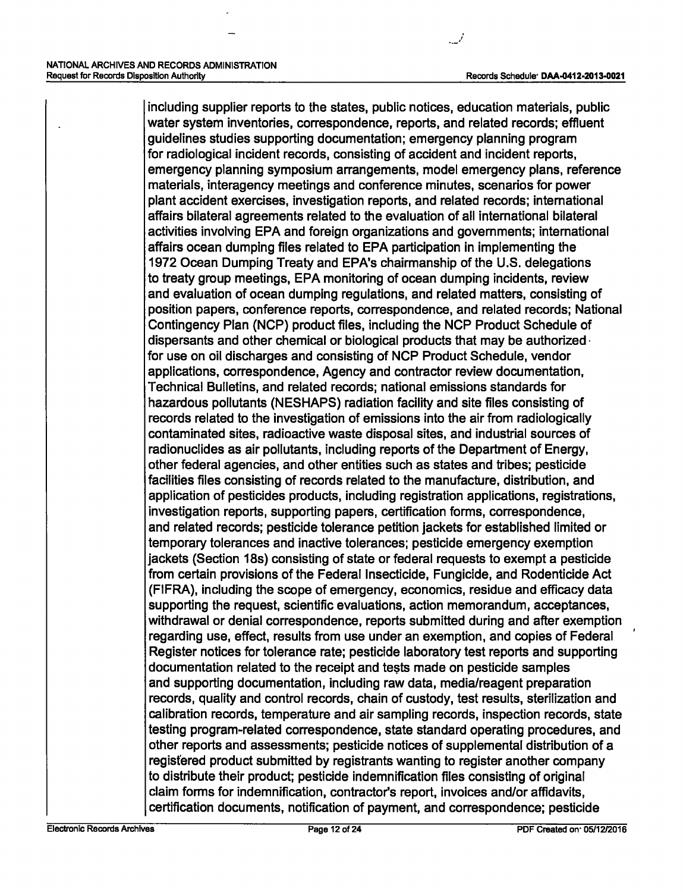including supplier reports to the states, public notices, education materials, public water system inventories, correspondence, reports, and related records; effluent guidelines studies supporting documentation; emergency planning program for radiological incident records, consisting of accident and incident reports, emergency planning symposium arrangements, model emergency plans, reference materials, interagency meetings and conference minutes, scenarios for power plant accident exercises, investigation reports, and related records; international affairs bilateral agreements related to the evaluation of all international bilateral activities involving EPA and foreign organizations and governments; international affairs ocean dumping files related to EPA participation in implementing the 1972 Ocean Dumping Treaty and EPA's chairmanship of the U.S. delegations to treaty group meetings, EPA monitoring of ocean dumping incidents, review and evaluation of ocean dumping regulations, and related matters, consisting of position papers, conference reports, correspondence, and related records; National Contingency Plan (NCP) product files, including the NCP Product Schedule of dispersants and other chemical or biological products that may be authorized · for use on oil discharges and consisting of NCP Product Schedule, vendor applications, correspondence, Agency and contractor review documentation, Technical Bulletins, and related records; national emissions standards for hazardous pollutants (NESHAPS) radiation facility and site files consisting of records related to the investigation of emissions into the air from radiologically contaminated sites, radioactive waste disposal sites, and industrial sources of radionuclides as air pollutants, including reports of the Department of Energy, other federal agencies, and other entities such as states and tribes; pesticide facilities files consisting of records related to the manufacture, distribution, and application of pesticides products, including registration applications, registrations, investigation reports, supporting papers, certification forms, correspondence, and related records; pesticide tolerance petition jackets for established limited or temporary tolerances and inactive tolerances; pesticide emergency exemption jackets (Section 18s) consisting of state or federal requests to exempt a pesticide from certain provisions of the Federal Insecticide, Fungicide, and Rodenticide Act (FIFRA), including the scope of emergency, economics, residue and efficacy data supporting the request, scientific evaluations, action memorandum, acceptances, withdrawal or denial correspondence, reports submitted during and after exemption regarding use, effect, results from use under an exemption, and copies of Federal Register notices for tolerance rate; pesticide laboratory test reports and supporting documentation related to the receipt and tests made on pesticide samples and supporting documentation, including raw data, media/reagent preparation records, quality and control records, chain of custody, test results, sterilization and calibration records, temperature and air sampling records, inspection records, state testing program-related correspondence, state standard operating procedures, and other reports and assessments; pesticide notices of supplemental distribution of a registered product submitted by registrants wanting to register another company to distribute their product; pesticide indemnification files consisting of original claim forms for indemnification, contractor's report, invoices and/or affidavits, certification documents, notification of payment, and correspondence; pesticide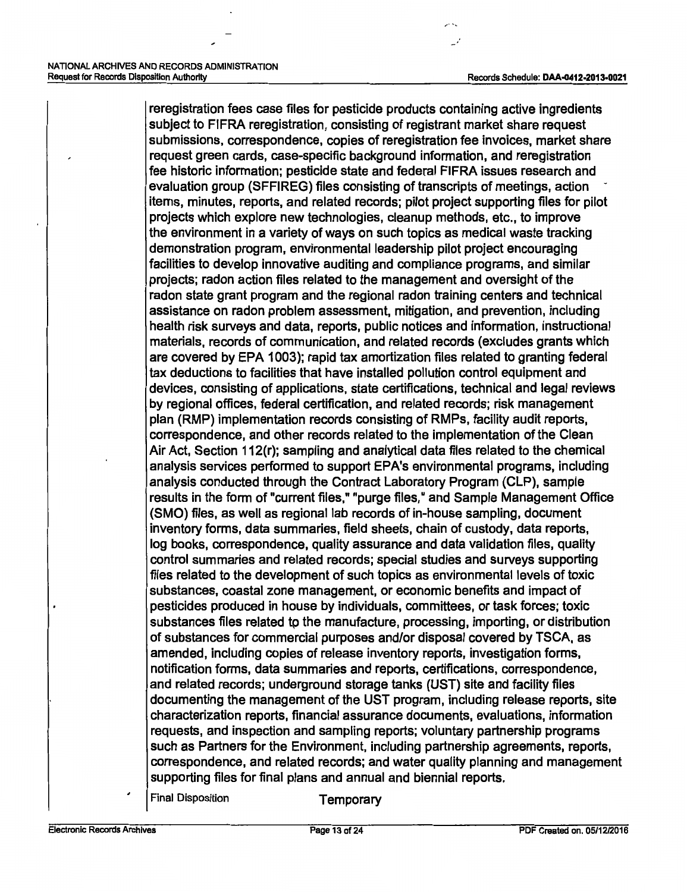$\sim$ :

reregistration fees case files for pesticide products containing active ingredients subject to FIFRA reregistration, consisting of registrant market share request submissions, correspondence, copies of reregistration fee invoices, market share request green cards, case-specific background information, and reregistration fee historic information; pesticide state and federal FIFRA issues research and evaluation group (SFFIREG) files consisting of transcripts of meetings, action items, minutes, reports, and related records; pilot project supporting files for pilot projects which explore new technologies, cleanup methods, etc., to improve the environment in a variety of ways on such topics as medical waste tracking demonstration program, environmental leadership pilot project encouraging facilities to develop innovative auditing and compliance programs, and similar projects; radon action files related to the management and oversight of the radon state grant program and the regional radon training centers and technical assistance on radon problem assessment, mitigation, and prevention, including health risk surveys and data, reports, public notices and information, instructional materials, records of communication, and related records (excludes grants which are covered by EPA 1003); rapid tax amortization files related to granting federal tax deductions to facilities that have installed pollution control equipment and devices, consisting of applications, state certifications, technical and legal reviews by regional offices, federal certification, and related records; risk management plan (RMP) implementation records consisting of RMPs, facility audit reports, correspondence, and other records related to the implementation of the Clean Air Act, Section 112(r); sampling and analytical data files related to the chemical analysis services performed to support EPA's environmental programs, including analysis conducted through the Contract Laboratory Program (CLP), sample results in the form of "current files," "purge files," and Sample Management Office (SMO) files, as well as regional lab records of in-house sampling, document inventory forms, data summaries, field sheets, chain of custody, data reports, log books, correspondence, quality assurance and data validation files, quality control summaries and related records; special studies and surveys supporting files related to the development of such topics as environmental levels of toxic substances, coastal zone management, or economic benefits and impact of pesticides produced in house by individuals, committees, or task forces; toxic substances files related to the manufacture, processing, importing, or distribution of substances for commercial purposes and/or disposal covered by TSCA, as amended, including copies of release inventory reports, investigation forms, notification forms, data summaries and reports, certifications, correspondence, and related records; underground storage tanks (UST) site and facility files documenting the management of the UST program, including release reports, site characterization reports, financial assurance documents, evaluations, information requests, and inspection and sampling reports; voluntary partnership programs such as Partners for the Environment, including partnership agreements, reports, correspondence, and related records; and water quality planning and management supporting files for final plans and annual and biennial reports.

Final Disposition **Temporary**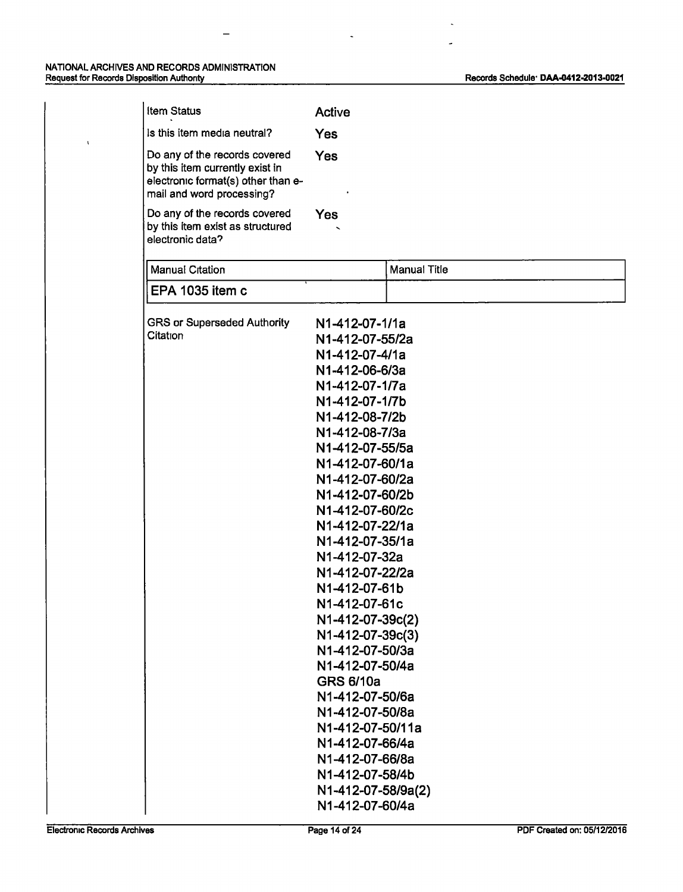$\hat{\mathbf{v}}$ 

 $\overline{a}$ 

J.

 $\overline{\phantom{a}}$ 

| <b>Item Status</b>                                                                                                                  | Active                                                                                                                                                                                                                                                                                                                                                                                                                                                                                                                                                                                              |                     |
|-------------------------------------------------------------------------------------------------------------------------------------|-----------------------------------------------------------------------------------------------------------------------------------------------------------------------------------------------------------------------------------------------------------------------------------------------------------------------------------------------------------------------------------------------------------------------------------------------------------------------------------------------------------------------------------------------------------------------------------------------------|---------------------|
| Is this item media neutral?                                                                                                         | Yes                                                                                                                                                                                                                                                                                                                                                                                                                                                                                                                                                                                                 |                     |
| Do any of the records covered<br>by this item currently exist in<br>electronic format(s) other than e-<br>mail and word processing? | Yes                                                                                                                                                                                                                                                                                                                                                                                                                                                                                                                                                                                                 |                     |
| Do any of the records covered<br>by this item exist as structured<br>electronic data?                                               | <b>Yes</b>                                                                                                                                                                                                                                                                                                                                                                                                                                                                                                                                                                                          |                     |
| <b>Manual Citation</b>                                                                                                              |                                                                                                                                                                                                                                                                                                                                                                                                                                                                                                                                                                                                     | <b>Manual Title</b> |
| EPA 1035 item c                                                                                                                     |                                                                                                                                                                                                                                                                                                                                                                                                                                                                                                                                                                                                     |                     |
| <b>GRS or Superseded Authority</b><br>Citation                                                                                      | N1-412-07-1/1a<br>N1-412-07-55/2a<br>N1-412-07-4/1a<br>N1-412-06-6/3a<br>N1-412-07-1/7a<br>N1-412-07-1/7b<br>N1-412-08-7/2b<br>N1-412-08-7/3a<br>N1-412-07-55/5a<br>N1-412-07-60/1a<br>N1-412-07-60/2a<br>N1-412-07-60/2b<br>N1-412-07-60/2c<br>N1-412-07-22/1a<br>N1-412-07-35/1a<br>N1-412-07-32a<br>N1-412-07-22/2a<br>N1-412-07-61b<br>N1-412-07-61c<br>N1-412-07-39c(2)<br>N1-412-07-39c(3)<br>N1-412-07-50/3a<br>N1-412-07-50/4a<br><b>GRS 6/10a</b><br>N1-412-07-50/6a<br>N1-412-07-50/8a<br>N1-412-07-50/11a<br>N1-412-07-66/4a<br>N1-412-07-66/8a<br>N1-412-07-58/4b<br>N1-412-07-58/9a(2) |                     |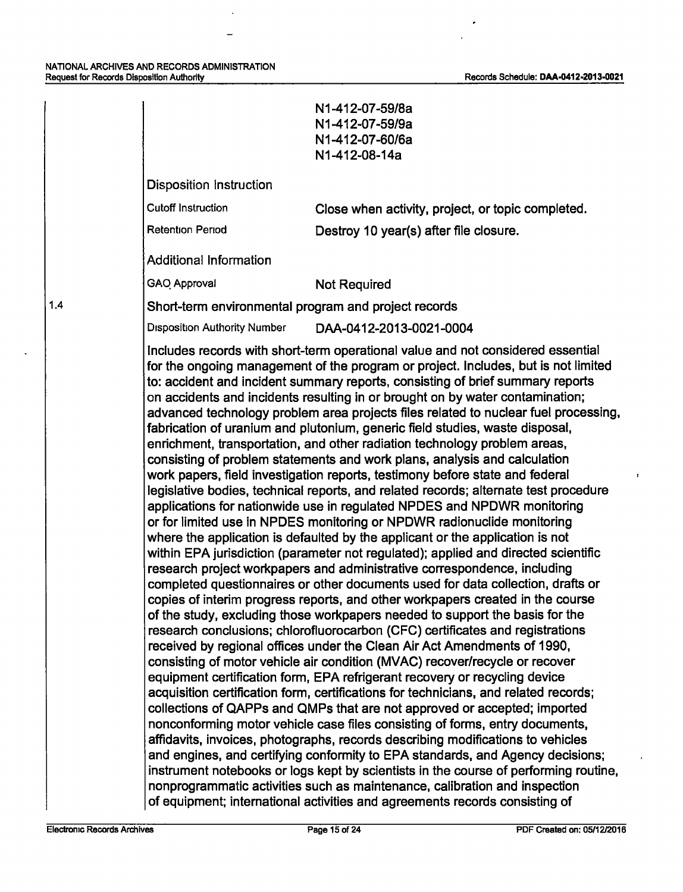$\ddot{\phantom{a}}$ 

 $\overline{\phantom{a}}$ 

 $\ddot{\phantom{1}}$ 

 $\overline{1}$ 

|                                                      | N1-412-07-59/8a<br>N1-412-07-59/9a<br>N1-412-07-60/6a<br>N1-412-08-14a                                                                                                                                                                                                                                                                                                                                                                                                                                                                                                                                                                                                                                                                                                                                                                                                                                                                                                                                                                                                                                                                                                                                                                                                                                                                                                                                                                                                                                                                                                                                                                                                                                                                                                                                                                                                                                                                                                                                                                                                                                                                                                                                                                                                                                                                                                                                                                                                                                                   |
|------------------------------------------------------|--------------------------------------------------------------------------------------------------------------------------------------------------------------------------------------------------------------------------------------------------------------------------------------------------------------------------------------------------------------------------------------------------------------------------------------------------------------------------------------------------------------------------------------------------------------------------------------------------------------------------------------------------------------------------------------------------------------------------------------------------------------------------------------------------------------------------------------------------------------------------------------------------------------------------------------------------------------------------------------------------------------------------------------------------------------------------------------------------------------------------------------------------------------------------------------------------------------------------------------------------------------------------------------------------------------------------------------------------------------------------------------------------------------------------------------------------------------------------------------------------------------------------------------------------------------------------------------------------------------------------------------------------------------------------------------------------------------------------------------------------------------------------------------------------------------------------------------------------------------------------------------------------------------------------------------------------------------------------------------------------------------------------------------------------------------------------------------------------------------------------------------------------------------------------------------------------------------------------------------------------------------------------------------------------------------------------------------------------------------------------------------------------------------------------------------------------------------------------------------------------------------------------|
| Disposition Instruction                              |                                                                                                                                                                                                                                                                                                                                                                                                                                                                                                                                                                                                                                                                                                                                                                                                                                                                                                                                                                                                                                                                                                                                                                                                                                                                                                                                                                                                                                                                                                                                                                                                                                                                                                                                                                                                                                                                                                                                                                                                                                                                                                                                                                                                                                                                                                                                                                                                                                                                                                                          |
| <b>Cutoff Instruction</b>                            | Close when activity, project, or topic completed.                                                                                                                                                                                                                                                                                                                                                                                                                                                                                                                                                                                                                                                                                                                                                                                                                                                                                                                                                                                                                                                                                                                                                                                                                                                                                                                                                                                                                                                                                                                                                                                                                                                                                                                                                                                                                                                                                                                                                                                                                                                                                                                                                                                                                                                                                                                                                                                                                                                                        |
| <b>Retention Period</b>                              | Destroy 10 year(s) after file closure.                                                                                                                                                                                                                                                                                                                                                                                                                                                                                                                                                                                                                                                                                                                                                                                                                                                                                                                                                                                                                                                                                                                                                                                                                                                                                                                                                                                                                                                                                                                                                                                                                                                                                                                                                                                                                                                                                                                                                                                                                                                                                                                                                                                                                                                                                                                                                                                                                                                                                   |
| <b>Additional Information</b>                        |                                                                                                                                                                                                                                                                                                                                                                                                                                                                                                                                                                                                                                                                                                                                                                                                                                                                                                                                                                                                                                                                                                                                                                                                                                                                                                                                                                                                                                                                                                                                                                                                                                                                                                                                                                                                                                                                                                                                                                                                                                                                                                                                                                                                                                                                                                                                                                                                                                                                                                                          |
| GAO Approval                                         | <b>Not Required</b>                                                                                                                                                                                                                                                                                                                                                                                                                                                                                                                                                                                                                                                                                                                                                                                                                                                                                                                                                                                                                                                                                                                                                                                                                                                                                                                                                                                                                                                                                                                                                                                                                                                                                                                                                                                                                                                                                                                                                                                                                                                                                                                                                                                                                                                                                                                                                                                                                                                                                                      |
| Short-term environmental program and project records |                                                                                                                                                                                                                                                                                                                                                                                                                                                                                                                                                                                                                                                                                                                                                                                                                                                                                                                                                                                                                                                                                                                                                                                                                                                                                                                                                                                                                                                                                                                                                                                                                                                                                                                                                                                                                                                                                                                                                                                                                                                                                                                                                                                                                                                                                                                                                                                                                                                                                                                          |
| <b>Disposition Authority Number</b>                  | DAA-0412-2013-0021-0004                                                                                                                                                                                                                                                                                                                                                                                                                                                                                                                                                                                                                                                                                                                                                                                                                                                                                                                                                                                                                                                                                                                                                                                                                                                                                                                                                                                                                                                                                                                                                                                                                                                                                                                                                                                                                                                                                                                                                                                                                                                                                                                                                                                                                                                                                                                                                                                                                                                                                                  |
|                                                      | Includes records with short-term operational value and not considered essential<br>for the ongoing management of the program or project. Includes, but is not limited<br>to: accident and incident summary reports, consisting of brief summary reports<br>on accidents and incidents resulting in or brought on by water contamination;<br>advanced technology problem area projects files related to nuclear fuel processing,<br>fabrication of uranium and plutonium, generic field studies, waste disposal,<br>enrichment, transportation, and other radiation technology problem areas,<br>consisting of problem statements and work plans, analysis and calculation<br>work papers, field investigation reports, testimony before state and federal<br>legislative bodies, technical reports, and related records; alternate test procedure<br>applications for nationwide use in regulated NPDES and NPDWR monitoring<br>or for limited use in NPDES monitoring or NPDWR radionuclide monitoring<br>where the application is defaulted by the applicant or the application is not<br>within EPA jurisdiction (parameter not regulated); applied and directed scientific<br>research project workpapers and administrative correspondence, including<br>completed questionnaires or other documents used for data collection, drafts or<br>copies of interim progress reports, and other workpapers created in the course<br>of the study, excluding those workpapers needed to support the basis for the<br>research conclusions; chlorofluorocarbon (CFC) certificates and registrations<br>received by regional offices under the Clean Air Act Amendments of 1990,<br>consisting of motor vehicle air condition (MVAC) recover/recycle or recover<br>equipment certification form, EPA refrigerant recovery or recycling device<br>acquisition certification form, certifications for technicians, and related records;<br>collections of QAPPs and QMPs that are not approved or accepted; imported<br>nonconforming motor vehicle case files consisting of forms, entry documents,<br>affidavits, invoices, photographs, records describing modifications to vehicles<br>and engines, and certifying conformity to EPA standards, and Agency decisions;<br>instrument notebooks or logs kept by scientists in the course of performing routine,<br>nonprogrammatic activities such as maintenance, calibration and inspection<br>of equipment; international activities and agreements records consisting of |

1.4

 $\mathbf{r}$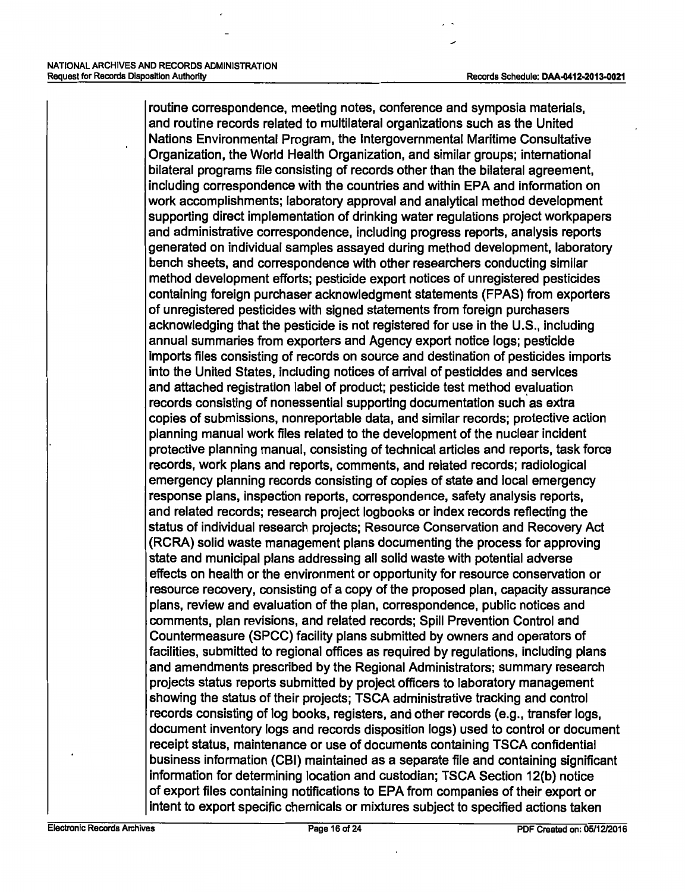routine correspondence, meeting notes, conference and symposia materials, and routine records related to multilateral organizations such as the United Nations Environmental Program, the Intergovernmental Maritime Consultative Organization, the World Health Organization, and similar groups; international bilateral programs file consisting of records other than the bilateral agreement, including correspondence with the countries and within EPA and information on work accomplishments; laboratory approval and analytical method development supporting direct implementation of drinking water regulations project workpapers and administrative correspondence, including progress reports, analysis reports generated on individual samples assayed during method development, laboratory bench sheets, and correspondence with other researchers conducting similar method development efforts; pesticide export notices of unregistered pesticides containing foreign purchaser acknowledgment statements (FPAS) from exporters of unregistered pesticides with signed statements from foreign purchasers acknowledging that the pesticide is not registered for use in the U.S., including annual summaries from exporters and Agency export notice logs; pesticide imports files consisting of records on source and destination of pesticides imports into the United States, including notices of arrival of pesticides and services and attached registration label of product; pesticide test method evaluation records consisting of nonessential supporting documentation such as extra copies of submissions, nonreportable data, and similar records; protective action planning manual work files related to the development of the nuclear incident protective planning manual, consisting of technical articles and reports, task force records, work plans and reports, comments, and related records; radiological emergency planning records consisting of copies of state and local emergency response plans, inspection reports, correspondence, safety analysis reports, and related records; research project logbooks or index records reflecting the status of individual research projects; Resource Conservation and Recovery Act (RCRA) solid waste management plans documenting the process for approving state and municipal plans addressing all solid waste with potential adverse effects on health or the environment or opportunity for resource conservation or resource recovery, consisting of a copy of the proposed plan, capacity assurance plans, review and evaluation of the plan, correspondence, public notices and comments, plan revisions, and related records; Spill Prevention Control and Countermeasure (SPCC) facility plans submitted by owners and operators of facilities, submitted to regional offices as required by regulations, including plans and amendments prescribed by the Regional Administrators; summary research projects status reports submitted by project officers to laboratory management showing the status of their projects; TSCA administrative tracking and control records consisting of log books, registers, and other records (e.g., transfer logs, document inventory logs and records disposition logs) used to control or document receipt status, maintenance or use of documents containing TSCA confidential business information (CBI) maintained as a separate file and containing significant information for determining location and custodian; TSCA Section 12(b) notice of export files containing notifications to EPA from companies of their export or intent to export specific chemicals or mixtures subject to specified actions taken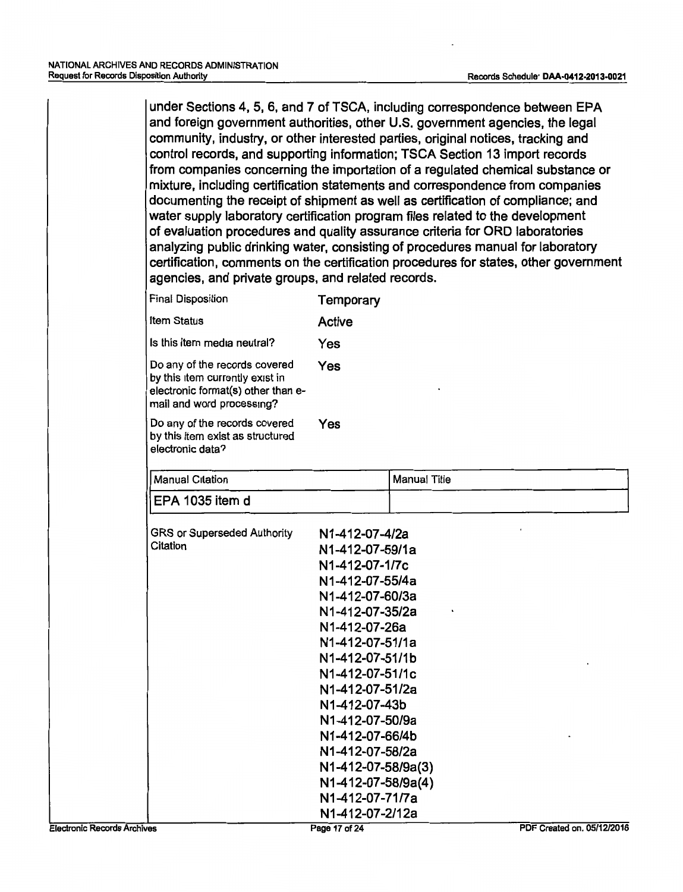under Sections 4, 5, 6, and 7 of TSCA, including correspondence between EPA and foreign government authorities, other U.S. government agencies, the legal community, industry, or other interested parties, original notices, tracking and control records, and supporting information; TSCA Section 13 import records from companies concerning the importation of a regulated chemical substance or mixture, including certification statements and correspondence from companies documenting the receipt of shipment as well as certification of compliance; and water supply laboratory certification program files related to the development of evaluation procedures and quality assurance criteria for ORD laboratories analyzing public drinking water, consisting of procedures manual for laboratory certification, comments on the certification procedures for states, other government agencies, and private groups, and related records.

| <b>Final Disposition</b>                                                                                                            | Temporary |
|-------------------------------------------------------------------------------------------------------------------------------------|-----------|
| <b>Item Status</b>                                                                                                                  | Active    |
| Is this item media neutral?                                                                                                         | Yes       |
| Do any of the records covered<br>by this item currently exist in<br>electronic format(s) other than e-<br>mail and word processing? | Yes       |
| Do any of the records covered<br>by this item exist as structured<br>electronic data?                                               | Yes       |

| <b>Manual Citation</b>             | Manual Title       |
|------------------------------------|--------------------|
| EPA 1035 item d                    |                    |
| <b>GRS or Superseded Authority</b> | N1-412-07-4/2a     |
| Citation                           | N1-412-07-59/1a    |
|                                    | N1-412-07-1/7c     |
|                                    | N1-412-07-55/4a    |
|                                    | N1-412-07-60/3a    |
|                                    | N1-412-07-35/2a    |
|                                    | N1-412-07-26a      |
|                                    | N1-412-07-51/1a    |
|                                    | N1-412-07-51/1b    |
|                                    | N1-412-07-51/1c    |
|                                    | N1-412-07-51/2a    |
|                                    | N1-412-07-43b      |
|                                    | N1-412-07-50/9a    |
|                                    | N1-412-07-66/4b    |
|                                    | N1-412-07-58/2a    |
|                                    | N1-412-07-58/9a(3) |
|                                    | N1-412-07-58/9a(4) |
|                                    | N1-412-07-71/7a    |
|                                    | N1-412-07-2/12a    |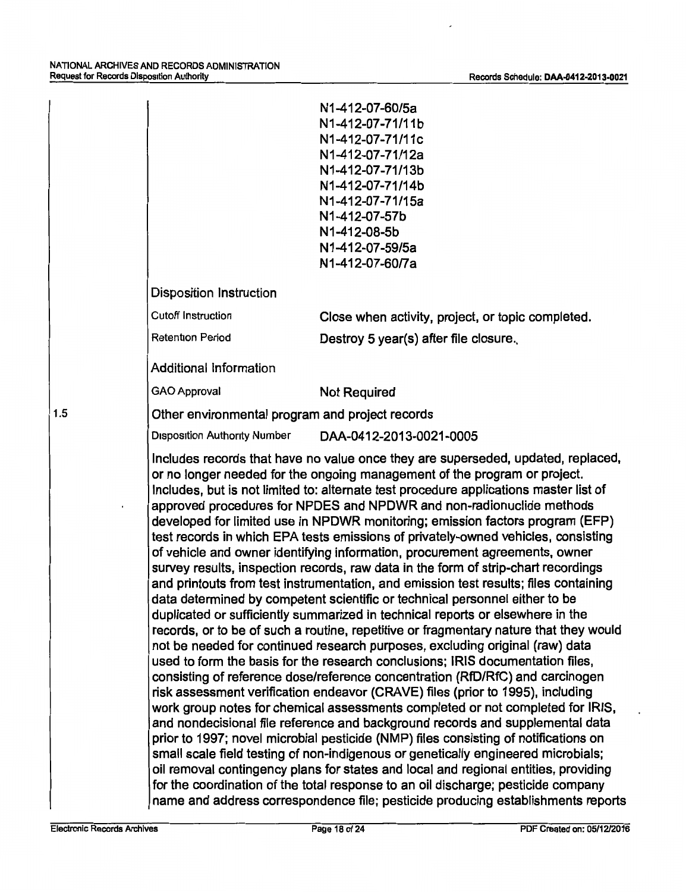|     |                                                 | N1-412-07-60/5a<br>N1-412-07-71/11b<br>N1-412-07-71/11c                                                                                                                                                                                                                                                                                                                                                                                                                                                                                                                                                                                                                                                                                                                                                                                                                                                                                                                                                                                                                                                                                                                                                                                                                                                                                                                                                                                                                                                                                                                                                                                                                                                                                                                                                                                                                                                                                                                         |
|-----|-------------------------------------------------|---------------------------------------------------------------------------------------------------------------------------------------------------------------------------------------------------------------------------------------------------------------------------------------------------------------------------------------------------------------------------------------------------------------------------------------------------------------------------------------------------------------------------------------------------------------------------------------------------------------------------------------------------------------------------------------------------------------------------------------------------------------------------------------------------------------------------------------------------------------------------------------------------------------------------------------------------------------------------------------------------------------------------------------------------------------------------------------------------------------------------------------------------------------------------------------------------------------------------------------------------------------------------------------------------------------------------------------------------------------------------------------------------------------------------------------------------------------------------------------------------------------------------------------------------------------------------------------------------------------------------------------------------------------------------------------------------------------------------------------------------------------------------------------------------------------------------------------------------------------------------------------------------------------------------------------------------------------------------------|
|     |                                                 | N1-412-07-71/12a<br>N1-412-07-71/13b                                                                                                                                                                                                                                                                                                                                                                                                                                                                                                                                                                                                                                                                                                                                                                                                                                                                                                                                                                                                                                                                                                                                                                                                                                                                                                                                                                                                                                                                                                                                                                                                                                                                                                                                                                                                                                                                                                                                            |
|     |                                                 | N1-412-07-71/14b                                                                                                                                                                                                                                                                                                                                                                                                                                                                                                                                                                                                                                                                                                                                                                                                                                                                                                                                                                                                                                                                                                                                                                                                                                                                                                                                                                                                                                                                                                                                                                                                                                                                                                                                                                                                                                                                                                                                                                |
|     |                                                 | N1-412-07-71/15a                                                                                                                                                                                                                                                                                                                                                                                                                                                                                                                                                                                                                                                                                                                                                                                                                                                                                                                                                                                                                                                                                                                                                                                                                                                                                                                                                                                                                                                                                                                                                                                                                                                                                                                                                                                                                                                                                                                                                                |
|     |                                                 | N1-412-07-57b                                                                                                                                                                                                                                                                                                                                                                                                                                                                                                                                                                                                                                                                                                                                                                                                                                                                                                                                                                                                                                                                                                                                                                                                                                                                                                                                                                                                                                                                                                                                                                                                                                                                                                                                                                                                                                                                                                                                                                   |
|     |                                                 | N1-412-08-5b<br>N1-412-07-59/5a                                                                                                                                                                                                                                                                                                                                                                                                                                                                                                                                                                                                                                                                                                                                                                                                                                                                                                                                                                                                                                                                                                                                                                                                                                                                                                                                                                                                                                                                                                                                                                                                                                                                                                                                                                                                                                                                                                                                                 |
|     |                                                 | N1-412-07-60/7a                                                                                                                                                                                                                                                                                                                                                                                                                                                                                                                                                                                                                                                                                                                                                                                                                                                                                                                                                                                                                                                                                                                                                                                                                                                                                                                                                                                                                                                                                                                                                                                                                                                                                                                                                                                                                                                                                                                                                                 |
|     | <b>Disposition Instruction</b>                  |                                                                                                                                                                                                                                                                                                                                                                                                                                                                                                                                                                                                                                                                                                                                                                                                                                                                                                                                                                                                                                                                                                                                                                                                                                                                                                                                                                                                                                                                                                                                                                                                                                                                                                                                                                                                                                                                                                                                                                                 |
|     | <b>Cutoff Instruction</b>                       | Close when activity, project, or topic completed.                                                                                                                                                                                                                                                                                                                                                                                                                                                                                                                                                                                                                                                                                                                                                                                                                                                                                                                                                                                                                                                                                                                                                                                                                                                                                                                                                                                                                                                                                                                                                                                                                                                                                                                                                                                                                                                                                                                               |
|     | <b>Retention Period</b>                         | Destroy 5 year(s) after file closure.                                                                                                                                                                                                                                                                                                                                                                                                                                                                                                                                                                                                                                                                                                                                                                                                                                                                                                                                                                                                                                                                                                                                                                                                                                                                                                                                                                                                                                                                                                                                                                                                                                                                                                                                                                                                                                                                                                                                           |
|     | Additional Information                          |                                                                                                                                                                                                                                                                                                                                                                                                                                                                                                                                                                                                                                                                                                                                                                                                                                                                                                                                                                                                                                                                                                                                                                                                                                                                                                                                                                                                                                                                                                                                                                                                                                                                                                                                                                                                                                                                                                                                                                                 |
|     | <b>GAO Approval</b>                             | <b>Not Required</b>                                                                                                                                                                                                                                                                                                                                                                                                                                                                                                                                                                                                                                                                                                                                                                                                                                                                                                                                                                                                                                                                                                                                                                                                                                                                                                                                                                                                                                                                                                                                                                                                                                                                                                                                                                                                                                                                                                                                                             |
| 1.5 | Other environmental program and project records |                                                                                                                                                                                                                                                                                                                                                                                                                                                                                                                                                                                                                                                                                                                                                                                                                                                                                                                                                                                                                                                                                                                                                                                                                                                                                                                                                                                                                                                                                                                                                                                                                                                                                                                                                                                                                                                                                                                                                                                 |
|     | <b>Disposition Authority Number</b>             | DAA-0412-2013-0021-0005                                                                                                                                                                                                                                                                                                                                                                                                                                                                                                                                                                                                                                                                                                                                                                                                                                                                                                                                                                                                                                                                                                                                                                                                                                                                                                                                                                                                                                                                                                                                                                                                                                                                                                                                                                                                                                                                                                                                                         |
|     |                                                 | Includes records that have no value once they are superseded, updated, replaced,<br>or no longer needed for the ongoing management of the program or project.<br>Includes, but is not limited to: alternate test procedure applications master list of<br>approved procedures for NPDES and NPDWR and non-radionuclide methods<br>developed for limited use in NPDWR monitoring; emission factors program (EFP)<br>test records in which EPA tests emissions of privately-owned vehicles, consisting<br>of vehicle and owner identifying information, procurement agreements, owner<br>survey results, inspection records, raw data in the form of strip-chart recordings<br>and printouts from test instrumentation, and emission test results; files containing<br>data determined by competent scientific or technical personnel either to be<br>duplicated or sufficiently summarized in technical reports or elsewhere in the<br>records, or to be of such a routine, repetitive or fragmentary nature that they would<br>not be needed for continued research purposes, excluding original (raw) data<br>used to form the basis for the research conclusions; IRIS documentation files,<br>consisting of reference dose/reference concentration (RfD/RfC) and carcinogen<br>risk assessment verification endeavor (CRAVE) files (prior to 1995), including<br>work group notes for chemical assessments completed or not completed for IRIS,<br>and nondecisional file reference and background records and supplemental data<br>prior to 1997; novel microbial pesticide (NMP) files consisting of notifications on<br>small scale field testing of non-indigenous or genetically engineered microbials;<br>oil removal contingency plans for states and local and regional entities, providing<br>for the coordination of the total response to an oil discharge; pesticide company<br>name and address correspondence file; pesticide producing establishments reports |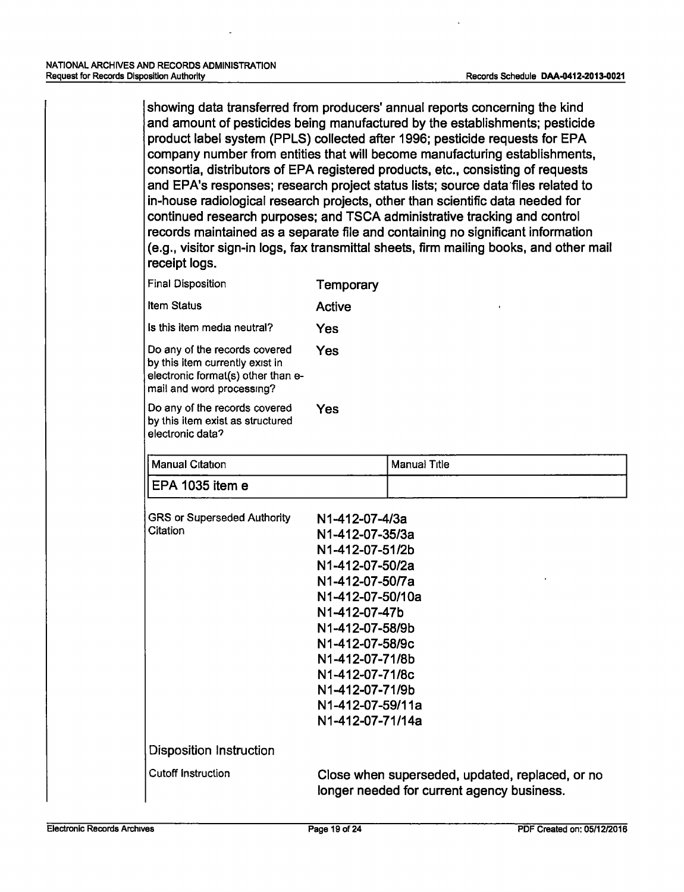showing data transferred from producers' annual reports concerning the kind and amount of pesticides being manufactured by the establishments; pesticide product label system (PPLS) collected after 1996; pesticide requests for EPA company number from entities that will become manufacturing establishments, consortia, distributors of EPA registered products, etc., consisting of requests and EPA's responses; research project status lists; source data·files related to in-house radiological research projects, other than scientific data needed for continued research purposes; and TSCA administrative tracking and control records maintained as a separate file and containing no significant information (e.g., visitor sign-in logs, fax transmittal sheets, firm mailing books, and other mail receipt logs.

| <b>Final Disposition</b>                                                                                                            | <b>Temporary</b>                                                                                                                                                                                                                                                       |                                                                                               |
|-------------------------------------------------------------------------------------------------------------------------------------|------------------------------------------------------------------------------------------------------------------------------------------------------------------------------------------------------------------------------------------------------------------------|-----------------------------------------------------------------------------------------------|
| <b>Item Status</b>                                                                                                                  | <b>Active</b>                                                                                                                                                                                                                                                          |                                                                                               |
| Is this item media neutral?                                                                                                         | Yes                                                                                                                                                                                                                                                                    |                                                                                               |
| Do any of the records covered<br>by this item currently exist in<br>electronic format(s) other than e-<br>mail and word processing? | Yes                                                                                                                                                                                                                                                                    |                                                                                               |
| Do any of the records covered<br>by this item exist as structured<br>electronic data?                                               | Yes                                                                                                                                                                                                                                                                    |                                                                                               |
| <b>Manual Citation</b>                                                                                                              |                                                                                                                                                                                                                                                                        | <b>Manual Title</b>                                                                           |
| EPA 1035 item e                                                                                                                     |                                                                                                                                                                                                                                                                        |                                                                                               |
| <b>GRS or Superseded Authority</b><br>Citation                                                                                      | N1-412-07-4/3a<br>N1-412-07-35/3a<br>N1-412-07-51/2b<br>N1-412-07-50/2a<br>N1-412-07-50/7a<br>N1-412-07-50/10a<br>N1-412-07-47b<br>N1-412-07-58/9b<br>N1-412-07-58/9c<br>N1-412-07-71/8b<br>N1-412-07-71/8c<br>N1-412-07-71/9b<br>N1-412-07-59/11a<br>N1-412-07-71/14a |                                                                                               |
| <b>Disposition Instruction</b>                                                                                                      |                                                                                                                                                                                                                                                                        |                                                                                               |
| <b>Cutoff Instruction</b>                                                                                                           |                                                                                                                                                                                                                                                                        | Close when superseded, updated, replaced, or no<br>longer needed for current agency business. |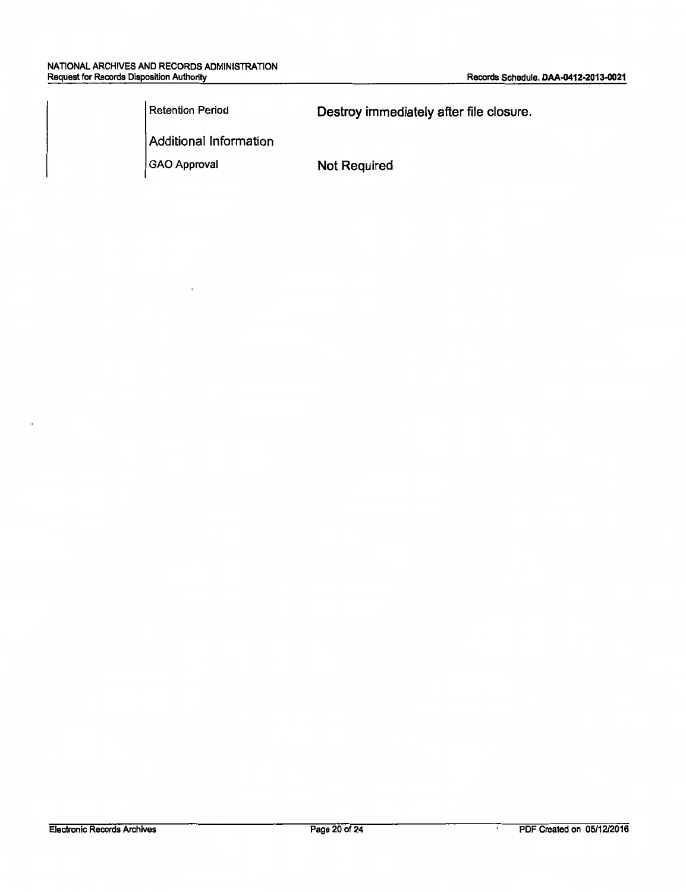$\overline{\phantom{a}}$ 

| Retention Period       | Destroy immediately after file closure. |
|------------------------|-----------------------------------------|
| Additional Information |                                         |
| GAO Approval           | <b>Not Required</b>                     |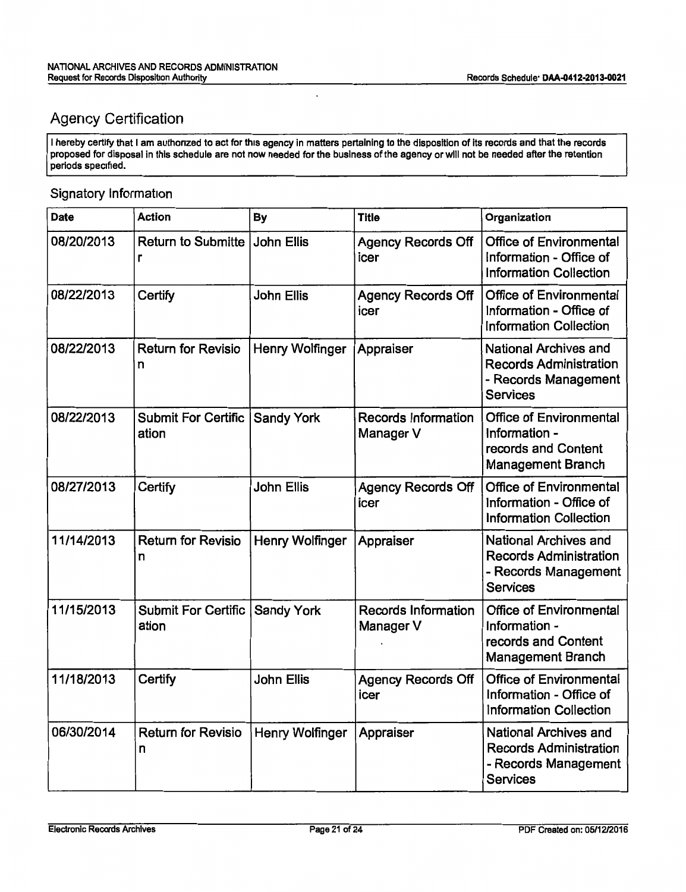# Agency Certification

I hereby certify that I am authorized to act for this agency in matters pertaining to the disposition of its records and that the records proposed for disposal in this schedule are not now needed for the business of the agency or will not be needed after the retention periods specified.

l,

### Signatory Information

| Date       | Action                              | By                | <b>Title</b>                            | Organization                                                                                             |
|------------|-------------------------------------|-------------------|-----------------------------------------|----------------------------------------------------------------------------------------------------------|
| 08/20/2013 | <b>Return to Submitte</b><br>r      | <b>John Ellis</b> | <b>Agency Records Off</b><br>icer       | <b>Office of Environmental</b><br>Information - Office of<br><b>Information Collection</b>               |
| 08/22/2013 | Certify                             | <b>John Ellis</b> | <b>Agency Records Off</b><br>icer       | <b>Office of Environmental</b><br>Information - Office of<br><b>Information Collection</b>               |
| 08/22/2013 | <b>Return for Revisio</b><br>n      | Henry Wolfinger   | Appraiser                               | National Archives and<br><b>Records Administration</b><br>- Records Management<br><b>Services</b>        |
| 08/22/2013 | <b>Submit For Certific</b><br>ation | <b>Sandy York</b> | Records Information<br>Manager V        | <b>Office of Environmental</b><br>Information -<br>records and Content<br><b>Management Branch</b>       |
| 08/27/2013 | Certify                             | <b>John Ellis</b> | <b>Agency Records Off</b><br>icer       | <b>Office of Environmental</b><br>Information - Office of<br><b>Information Collection</b>               |
| 11/14/2013 | <b>Return for Revisio</b><br>n      | Henry Wolfinger   | Appraiser                               | National Archives and<br><b>Records Administration</b><br>- Records Management<br><b>Services</b>        |
| 11/15/2013 | <b>Submit For Certific</b><br>ation | <b>Sandy York</b> | <b>Records Information</b><br>Manager V | <b>Office of Environmental</b><br>Information -<br>records and Content<br><b>Management Branch</b>       |
| 11/18/2013 | Certify                             | <b>John Ellis</b> | <b>Agency Records Off</b><br>icer       | <b>Office of Environmental</b><br>Information - Office of<br><b>Information Collection</b>               |
| 06/30/2014 | <b>Return for Revisio</b><br>n      | Henry Wolfinger   | Appraiser                               | <b>National Archives and</b><br><b>Records Administration</b><br>- Records Management<br><b>Services</b> |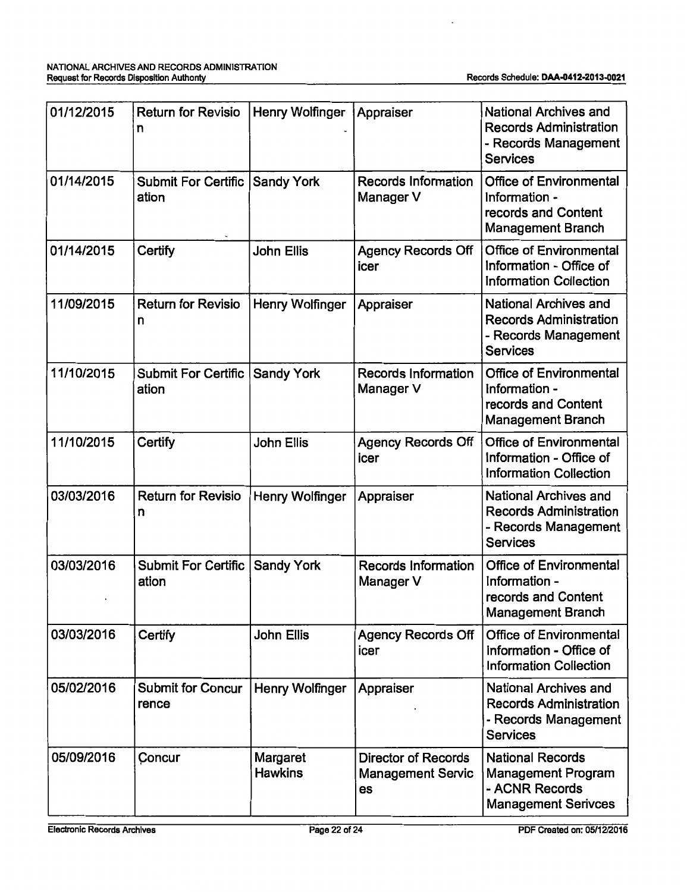$\overline{\phantom{a}}$ 

| 01/12/2015 | <b>Return for Revisio</b><br>n      | Henry Wolfinger            | Appraiser                                                    | National Archives and<br><b>Records Administration</b><br>- Records Management<br><b>Services</b>        |
|------------|-------------------------------------|----------------------------|--------------------------------------------------------------|----------------------------------------------------------------------------------------------------------|
| 01/14/2015 | Submit For Certific<br>ation        | <b>Sandy York</b>          | <b>Records Information</b><br>Manager V                      | <b>Office of Environmental</b><br>Information -<br>records and Content<br><b>Management Branch</b>       |
| 01/14/2015 | Certify                             | <b>John Ellis</b>          | <b>Agency Records Off</b><br>icer                            | <b>Office of Environmental</b><br>Information - Office of<br><b>Information Collection</b>               |
| 11/09/2015 | <b>Return for Revisio</b><br>n      | Henry Wolfinger            | Appraiser                                                    | <b>National Archives and</b><br><b>Records Administration</b><br>- Records Management<br><b>Services</b> |
| 11/10/2015 | <b>Submit For Certific</b><br>ation | <b>Sandy York</b>          | <b>Records Information</b><br>Manager V                      | <b>Office of Environmental</b><br>Information -<br>records and Content<br><b>Management Branch</b>       |
| 11/10/2015 | Certify                             | John Ellis                 | <b>Agency Records Off</b><br>icer                            | <b>Office of Environmental</b><br>Information - Office of<br><b>Information Collection</b>               |
| 03/03/2016 | <b>Return for Revisio</b><br>n      | Henry Wolfinger            | Appraiser                                                    | <b>National Archives and</b><br><b>Records Administration</b><br>- Records Management<br><b>Services</b> |
| 03/03/2016 | Submit For Certific<br>ation        | <b>Sandy York</b>          | <b>Records Information</b><br>Manager V                      | Office of Environmental<br>Information -<br>records and Content<br><b>Management Branch</b>              |
| 03/03/2016 | Certify                             | John Ellis                 | <b>Agency Records Off</b><br>icer                            | <b>Office of Environmental</b><br>Information - Office of<br><b>Information Collection</b>               |
| 05/02/2016 | <b>Submit for Concur</b><br>rence   | Henry Wolfinger            | Appraiser                                                    | National Archives and<br><b>Records Administration</b><br>- Records Management<br><b>Services</b>        |
| 05/09/2016 | Concur                              | Margaret<br><b>Hawkins</b> | <b>Director of Records</b><br><b>Management Servic</b><br>es | <b>National Records</b><br><b>Management Program</b><br>- ACNR Records<br><b>Management Serivces</b>     |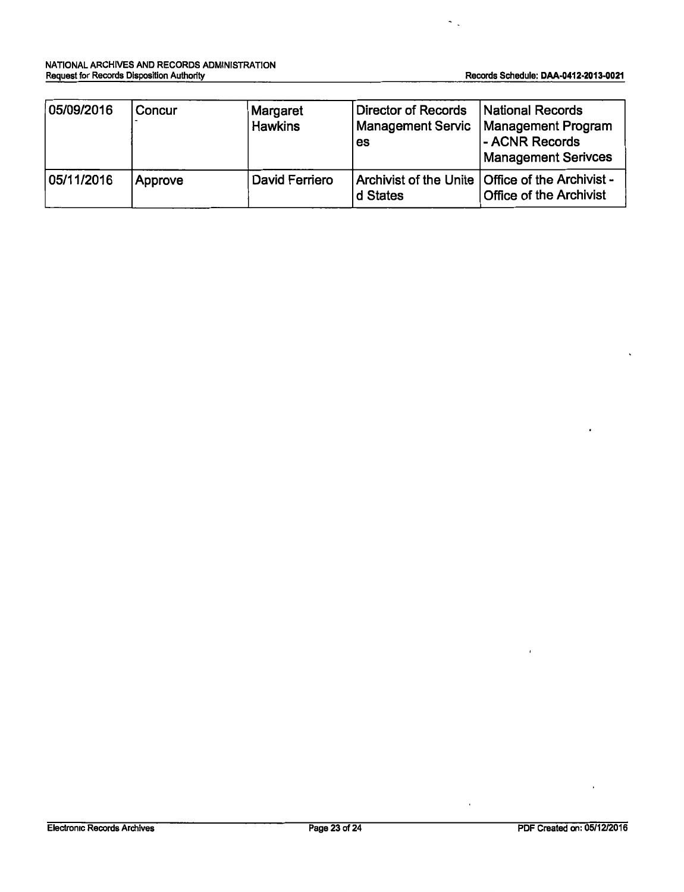$\sim$   $\sim$ 

| 05/09/2016 | Concur  | Margaret<br><b>Hawkins</b> | Director of Records<br><b>Management Servic</b><br>es | National Records<br>Management Program<br>- ACNR Records<br><b>Management Serivces</b> |
|------------|---------|----------------------------|-------------------------------------------------------|----------------------------------------------------------------------------------------|
| 05/11/2016 | Approve | David Ferriero             | d States                                              | Archivist of the Unite   Office of the Archivist -<br><b>Office of the Archivist</b>   |

 $\ddot{\phantom{0}}$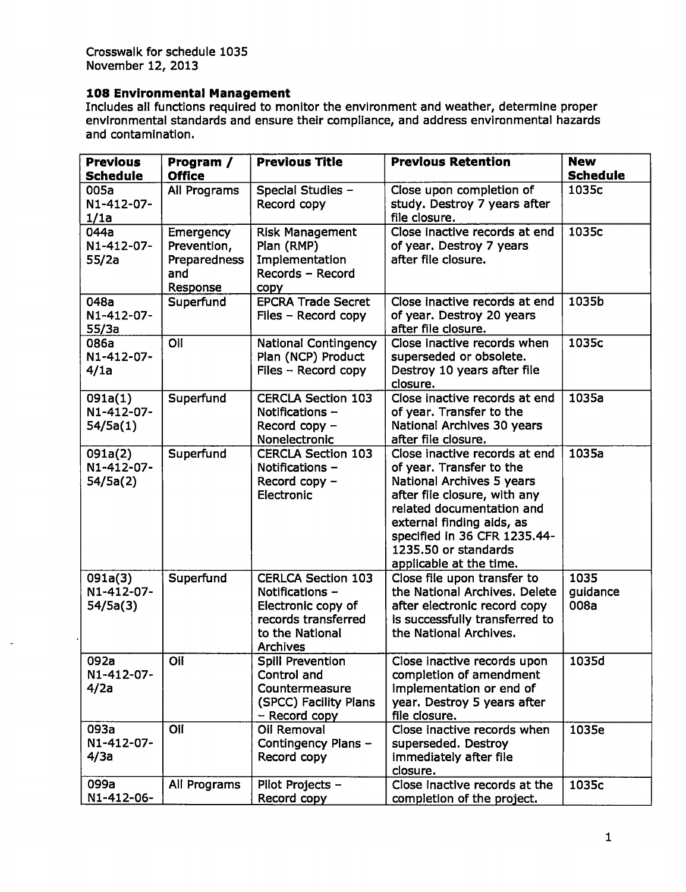Crosswalk for schedule 1035 November 12, 2013

### **108 Environmental Management**

Includes all functions required to monitor the environment and weather, determine proper environmental standards and ensure their compliance, and address environmental hazards and contamination.

| <b>Previous</b>       | Program /           | <b>Previous Title</b>                        | <b>Previous Retention</b>                                    | <b>New</b>      |
|-----------------------|---------------------|----------------------------------------------|--------------------------------------------------------------|-----------------|
| <b>Schedule</b>       | <b>Office</b>       |                                              |                                                              | <b>Schedule</b> |
| 005a                  | All Programs        | Special Studies -                            | Close upon completion of                                     | 1035c           |
| N1-412-07-            |                     | Record copy                                  | study. Destroy 7 years after                                 |                 |
| 1/1a                  |                     |                                              | file closure.                                                |                 |
| 044a                  | Emergency           | <b>Risk Management</b>                       | Close inactive records at end                                | 1035c           |
| N1-412-07-            | Prevention,         | Plan (RMP)                                   | of year. Destroy 7 years<br>after file closure.              |                 |
| 55/2a                 | Preparedness<br>and | Implementation<br>Records - Record           |                                                              |                 |
|                       | Response            | copy                                         |                                                              |                 |
| 048a                  | Superfund           | <b>EPCRA Trade Secret</b>                    | Close inactive records at end                                | 1035b           |
| N1-412-07-            |                     | Files - Record copy                          | of year. Destroy 20 years                                    |                 |
| 55/3a                 |                     |                                              | after file closure.                                          |                 |
| 086a                  | Oil                 | <b>National Contingency</b>                  | Close inactive records when                                  | 1035c           |
| N1-412-07-            |                     | Plan (NCP) Product                           | superseded or obsolete.                                      |                 |
| 4/1a                  |                     | Files - Record copy                          | Destroy 10 years after file                                  |                 |
|                       |                     |                                              | closure.                                                     |                 |
| 091a(1)               | Superfund           | <b>CERCLA Section 103</b>                    | Close inactive records at end                                | 1035a           |
| N1-412-07-            |                     | Notifications -                              | of year. Transfer to the                                     |                 |
| 54/5a(1)              |                     | Record copy -<br>Nonelectronic               | National Archives 30 years<br>after file closure.            |                 |
| 091a(2)               | Superfund           | <b>CERCLA Section 103</b>                    | Close inactive records at end                                | 1035a           |
| N1-412-07-            |                     | Notifications -                              | of year. Transfer to the                                     |                 |
| 54/5a(2)              |                     | Record copy -                                | National Archives 5 years                                    |                 |
|                       |                     | Electronic                                   | after file closure, with any                                 |                 |
|                       |                     |                                              | related documentation and                                    |                 |
|                       |                     |                                              | external finding aids, as                                    |                 |
|                       |                     |                                              | specified in 36 CFR 1235.44-                                 |                 |
|                       |                     |                                              | 1235.50 or standards                                         |                 |
|                       |                     |                                              | applicable at the time.                                      | 1035            |
| 091a(3)<br>N1-412-07- | Superfund           | <b>CERLCA Section 103</b><br>Notifications - | Close file upon transfer to<br>the National Archives, Delete | guidance        |
| 54/5a(3)              |                     | Electronic copy of                           | after electronic record copy                                 | 008a            |
|                       |                     | records transferred                          | is successfully transferred to                               |                 |
|                       |                     | to the National                              | the National Archives.                                       |                 |
|                       |                     | <b>Archives</b>                              |                                                              |                 |
| 092a                  | Oil                 | <b>Spill Prevention</b>                      | Close inactive records upon                                  | 1035d           |
| N1-412-07-            |                     | Control and                                  | completion of amendment                                      |                 |
| 4/2a                  |                     | Countermeasure                               | implementation or end of                                     |                 |
|                       |                     | (SPCC) Facility Plans                        | year. Destroy 5 years after                                  |                 |
|                       |                     | - Record copy                                | file closure.                                                |                 |
| 093a<br>N1-412-07-    | Oil                 | Oil Removal<br>Contingency Plans -           | Close inactive records when<br>superseded. Destroy           | 1035e           |
| 4/3a                  |                     | Record copy                                  | immediately after file                                       |                 |
|                       |                     |                                              | closure.                                                     |                 |
| 099a                  | All Programs        | Pilot Projects -                             | Close inactive records at the                                | 1035c           |
| N1-412-06-            |                     | Record copy                                  | completion of the project.                                   |                 |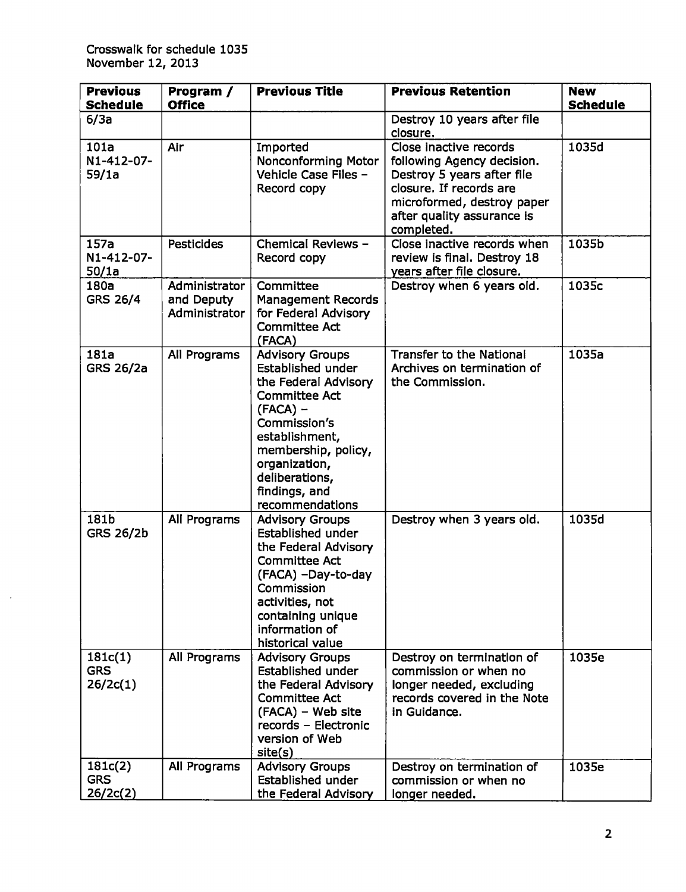$\sim$ 

| <b>Previous</b><br><b>Schedule</b> | Program /<br><b>Office</b>                   | <b>Previous Title</b>                                                                                                                                                                                                                     | <b>Previous Retention</b>                                                                                                                                                               | <b>New</b><br><b>Schedule</b> |
|------------------------------------|----------------------------------------------|-------------------------------------------------------------------------------------------------------------------------------------------------------------------------------------------------------------------------------------------|-----------------------------------------------------------------------------------------------------------------------------------------------------------------------------------------|-------------------------------|
| 6/3a                               |                                              |                                                                                                                                                                                                                                           | Destroy 10 years after file<br>closure.                                                                                                                                                 |                               |
| 101a<br>N1-412-07-<br>59/1a        | Air                                          | Imported<br><b>Nonconforming Motor</b><br>Vehicle Case Files -<br>Record copy                                                                                                                                                             | Close inactive records<br>following Agency decision.<br>Destroy 5 years after file<br>closure. If records are<br>microformed, destroy paper<br>after quality assurance is<br>completed. | 1035d                         |
| 157a<br>N1-412-07-<br>50/1a        | <b>Pesticides</b>                            | Chemical Reviews -<br>Record copy                                                                                                                                                                                                         | Close inactive records when<br>review is final. Destroy 18<br>years after file closure.                                                                                                 | 1035b                         |
| 180a<br><b>GRS 26/4</b>            | Administrator<br>and Deputy<br>Administrator | Committee<br><b>Management Records</b><br>for Federal Advisory<br><b>Committee Act</b><br>(FACA)                                                                                                                                          | Destroy when 6 years old.                                                                                                                                                               | 1035c                         |
| 181a<br><b>GRS 26/2a</b>           | All Programs                                 | <b>Advisory Groups</b><br>Established under<br>the Federal Advisory<br><b>Committee Act</b><br>$(FACA)$ –<br>Commission's<br>establishment,<br>membership, policy,<br>organization,<br>deliberations,<br>findings, and<br>recommendations | Transfer to the National<br>Archives on termination of<br>the Commission.                                                                                                               | 1035a                         |
| 181b<br><b>GRS 26/2b</b>           | All Programs                                 | <b>Advisory Groups</b><br><b>Established under</b><br>the Federal Advisory<br><b>Committee Act</b><br>(FACA) -Day-to-day<br>Commission<br>activities, not<br>containing unique<br>information of<br>historical value                      | Destroy when 3 years old.                                                                                                                                                               | 1035d                         |
| 181c(1)<br><b>GRS</b><br>26/2c(1)  | All Programs                                 | <b>Advisory Groups</b><br><b>Established under</b><br>the Federal Advisory<br><b>Committee Act</b><br>(FACA) – Web site<br>records - Electronic<br>version of Web<br>site(s)                                                              | Destroy on termination of<br>commission or when no<br>longer needed, excluding<br>records covered in the Note<br>in Guidance.                                                           | 1035e                         |
| 181c(2)<br><b>GRS</b><br>26/2c(2)  | All Programs                                 | <b>Advisory Groups</b><br>Established under<br>the Federal Advisory                                                                                                                                                                       | Destroy on termination of<br>commission or when no<br>longer needed.                                                                                                                    | 1035e                         |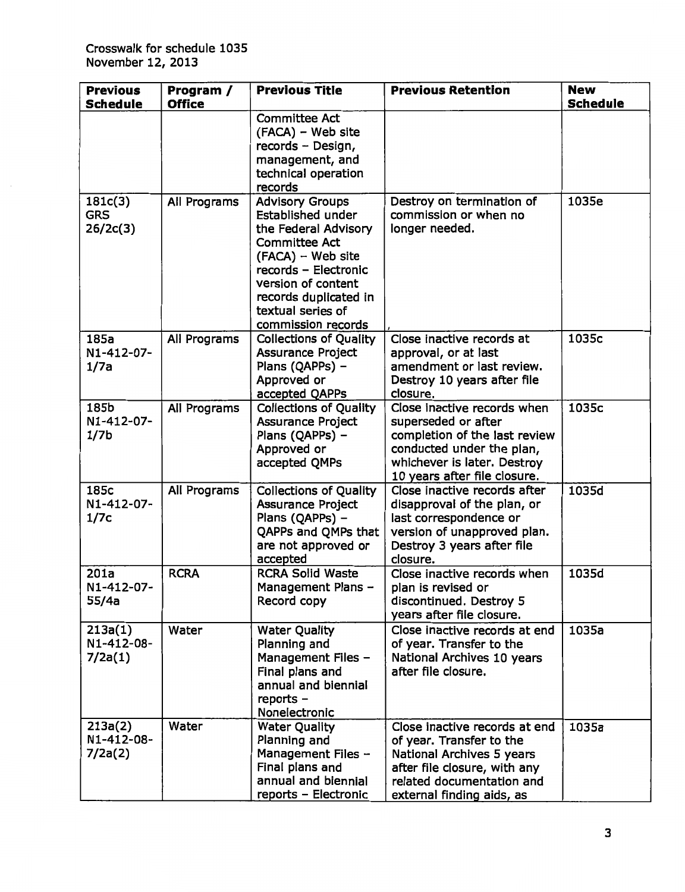| <b>Previous</b>                        | Program /     | <b>Previous Title</b>                                                                                                                                                                                                                     | <b>Previous Retention</b>                                                                                                                                                        | <b>New</b>      |
|----------------------------------------|---------------|-------------------------------------------------------------------------------------------------------------------------------------------------------------------------------------------------------------------------------------------|----------------------------------------------------------------------------------------------------------------------------------------------------------------------------------|-----------------|
| <b>Schedule</b>                        | <b>Office</b> |                                                                                                                                                                                                                                           |                                                                                                                                                                                  | <b>Schedule</b> |
|                                        |               | <b>Committee Act</b><br>(FACA) - Web site<br>records - Design,<br>management, and<br>technical operation<br>records                                                                                                                       |                                                                                                                                                                                  |                 |
| 181c(3)<br><b>GRS</b><br>26/2c(3)      | All Programs  | <b>Advisory Groups</b><br><b>Established under</b><br>the Federal Advisory<br><b>Committee Act</b><br>(FACA) - Web site<br>records - Electronic<br>version of content<br>records duplicated in<br>textual series of<br>commission records | Destroy on termination of<br>commission or when no<br>longer needed.                                                                                                             | 1035e           |
| 185a<br>N1-412-07-<br>1/7a             | All Programs  | <b>Collections of Quality</b><br><b>Assurance Project</b><br>Plans (QAPPs) -<br>Approved or<br>accepted QAPPs                                                                                                                             | Close inactive records at<br>approval, or at last<br>amendment or last review.<br>Destroy 10 years after file<br>closure.                                                        | 1035c           |
| 185b<br>N1-412-07-<br>1/7 <sub>b</sub> | All Programs  | <b>Collections of Quality</b><br><b>Assurance Project</b><br>Plans (QAPPs) -<br>Approved or<br>accepted QMPs                                                                                                                              | Close inactive records when<br>superseded or after<br>completion of the last review<br>conducted under the plan,<br>whichever is later. Destroy<br>10 years after file closure.  | 1035c           |
| 185c<br>N1-412-07-<br>1/7c             | All Programs  | <b>Collections of Quality</b><br><b>Assurance Project</b><br>Plans (QAPPs) -<br>QAPPs and QMPs that<br>are not approved or<br>accepted                                                                                                    | Close inactive records after<br>disapproval of the plan, or<br>last correspondence or<br>version of unapproved plan.<br>Destroy 3 years after file<br>closure.                   | 1035d           |
| 201a<br>N1-412-07-<br>55/4a            | <b>RCRA</b>   | <b>RCRA Solid Waste</b><br>Management Plans -<br>Record copy                                                                                                                                                                              | Close inactive records when<br>plan is revised or<br>discontinued. Destroy 5<br>years after file closure.                                                                        | 1035d           |
| 213a(1)<br>N1-412-08-<br>7/2a(1)       | Water         | <b>Water Quality</b><br>Planning and<br>Management Files -<br>Final plans and<br>annual and biennial<br>reports -<br>Nonelectronic                                                                                                        | Close inactive records at end<br>of year. Transfer to the<br>National Archives 10 years<br>after file closure.                                                                   | 1035a           |
| 213a(2)<br>N1-412-08-<br>7/2a(2)       | Water         | <b>Water Quality</b><br>Planning and<br>Management Files -<br>Final plans and<br>annual and biennial<br>reports - Electronic                                                                                                              | Close inactive records at end<br>of year. Transfer to the<br>National Archives 5 years<br>after file closure, with any<br>related documentation and<br>external finding aids, as | 1035a           |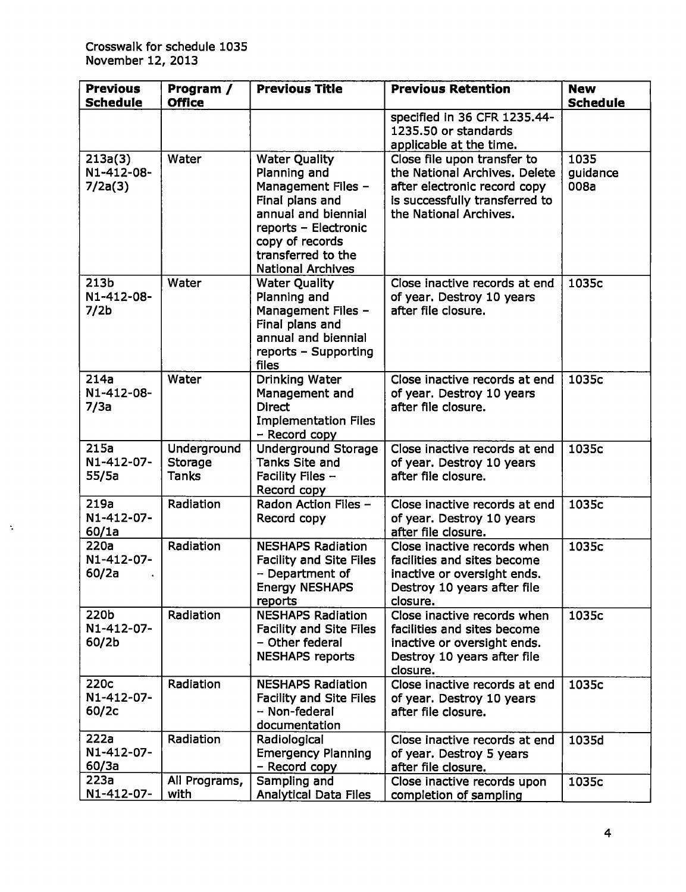$\Delta$ 

| <b>Previous</b><br><b>Schedule</b>                 | Program /<br><b>Office</b>             | <b>Previous Title</b>                                                                                                                                                                             | <b>Previous Retention</b>                                                                                                                                | <b>New</b><br><b>Schedule</b> |
|----------------------------------------------------|----------------------------------------|---------------------------------------------------------------------------------------------------------------------------------------------------------------------------------------------------|----------------------------------------------------------------------------------------------------------------------------------------------------------|-------------------------------|
|                                                    |                                        |                                                                                                                                                                                                   | specified in 36 CFR 1235.44-<br>1235.50 or standards<br>applicable at the time.                                                                          |                               |
| 213a(3)<br>N1-412-08-<br>7/2a(3)                   | Water                                  | <b>Water Quality</b><br>Planning and<br>Management Files -<br>Final plans and<br>annual and biennial<br>reports - Electronic<br>copy of records<br>transferred to the<br><b>National Archives</b> | Close file upon transfer to<br>the National Archives. Delete<br>after electronic record copy<br>is successfully transferred to<br>the National Archives. | 1035<br>guidance<br>008a      |
| 213 <sub>b</sub><br>N1-412-08-<br>7/2 <sub>b</sub> | Water                                  | <b>Water Quality</b><br>Planning and<br>Management Files -<br>Final plans and<br>annual and biennial<br>reports - Supporting<br>files                                                             | Close inactive records at end<br>of year. Destroy 10 years<br>after file closure.                                                                        | 1035c                         |
| 214a<br>N1-412-08-<br>7/3a                         | Water                                  | Drinking Water<br>Management and<br><b>Direct</b><br><b>Implementation Files</b><br>- Record copy                                                                                                 | Close inactive records at end<br>of year. Destroy 10 years<br>after file closure.                                                                        | 1035c                         |
| 215a<br>N1-412-07-<br>55/5a                        | Underground<br><b>Storage</b><br>Tanks | <b>Underground Storage</b><br>Tanks Site and<br>Facility Files -<br>Record copy                                                                                                                   | Close inactive records at end<br>of year. Destroy 10 years<br>after file closure.                                                                        | 1035c                         |
| 219a<br>N1-412-07-<br>60/1a                        | Radiation                              | Radon Action Files -<br>Record copy                                                                                                                                                               | Close inactive records at end<br>of year. Destroy 10 years<br>after file closure.                                                                        | 1035c                         |
| 220a<br>N1-412-07-<br>60/2a                        | Radiation                              | <b>NESHAPS Radiation</b><br><b>Facility and Site Files</b><br>- Department of<br><b>Energy NESHAPS</b><br>reports                                                                                 | Close inactive records when<br>facilities and sites become<br>inactive or oversight ends.<br>Destroy 10 years after file<br>closure.                     | 1035c                         |
| 220b<br>N1-412-07-<br>60/2b                        | Radiation                              | <b>NESHAPS Radiation</b><br><b>Facility and Site Files</b><br>- Other federal<br><b>NESHAPS reports</b>                                                                                           | Close inactive records when<br>facilities and sites become<br>inactive or oversight ends.<br>Destroy 10 years after file<br>closure.                     | 1035c                         |
| 220c<br>N1-412-07-<br>60/2c                        | Radiation                              | <b>NESHAPS Radiation</b><br>Facility and Site Files<br>- Non-federal<br>documentation                                                                                                             | Close inactive records at end<br>of year. Destroy 10 years<br>after file closure.                                                                        | 1035c                         |
| 222a<br>N1-412-07-<br>60/3a                        | Radiation                              | Radiological<br><b>Emergency Planning</b><br>- Record copy                                                                                                                                        | Close inactive records at end<br>of year. Destroy 5 years<br>after file closure.                                                                         | 1035d                         |
| 223a<br>N1-412-07-                                 | All Programs,<br>with                  | Sampling and<br>Analytical Data Files                                                                                                                                                             | Close inactive records upon<br>completion of sampling                                                                                                    | 1035c                         |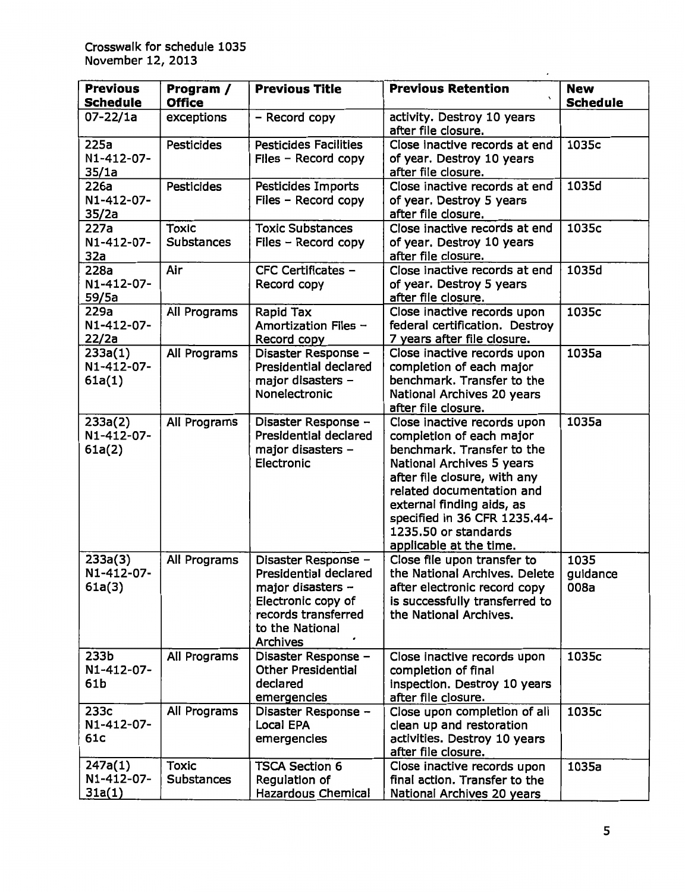| <b>Previous</b><br><b>Schedule</b>    | Program /<br><b>Office</b>        | <b>Previous Title</b>                                                                                                                         | <b>Previous Retention</b>                                                                                                                                                                                                                                                                       | <b>New</b><br><b>Schedule</b> |
|---------------------------------------|-----------------------------------|-----------------------------------------------------------------------------------------------------------------------------------------------|-------------------------------------------------------------------------------------------------------------------------------------------------------------------------------------------------------------------------------------------------------------------------------------------------|-------------------------------|
| 07-22/1a                              | exceptions                        | - Record copy                                                                                                                                 | activity. Destroy 10 years<br>after file closure.                                                                                                                                                                                                                                               |                               |
| 225a<br>N1-412-07-<br>35/1a           | <b>Pesticides</b>                 | <b>Pesticides Facilities</b><br>Files - Record copy                                                                                           | Close inactive records at end<br>of year. Destroy 10 years<br>after file closure.                                                                                                                                                                                                               | 1035c                         |
| 226a<br>N1-412-07-<br>35/2a           | <b>Pesticides</b>                 | Pesticides Imports<br>Files - Record copy                                                                                                     | Close inactive records at end<br>of year. Destroy 5 years<br>after file closure.                                                                                                                                                                                                                | 1035d                         |
| 227a<br>N1-412-07-<br>32a             | <b>Toxic</b><br><b>Substances</b> | <b>Toxic Substances</b><br>$Files - Record copy$                                                                                              | Close inactive records at end<br>of year. Destroy 10 years<br>after file closure.                                                                                                                                                                                                               | 1035c                         |
| 228a<br>N1-412-07-<br>59/5a           | Air                               | CFC Certificates -<br>Record copy                                                                                                             | Close inactive records at end<br>of year. Destroy 5 years<br>after file closure.                                                                                                                                                                                                                | 1035d                         |
| 229a<br>N1-412-07-<br>22/2a           | All Programs                      | Rapid Tax<br>Amortization Files -<br>Record copy                                                                                              | Close inactive records upon<br>federal certification. Destroy<br>7 years after file closure.                                                                                                                                                                                                    | 1035c                         |
| 233a(1)<br>N1-412-07-<br>61a(1)       | All Programs                      | Disaster Response -<br>Presidential declared<br>major disasters -<br>Nonelectronic                                                            | Close inactive records upon<br>completion of each major<br>benchmark. Transfer to the<br>National Archives 20 years<br>after file closure.                                                                                                                                                      | 1035a                         |
| 233a(2)<br>N1-412-07-<br>61a(2)       | All Programs                      | Disaster Response -<br>Presidential declared<br>major disasters -<br>Electronic                                                               | Close inactive records upon<br>completion of each major<br>benchmark. Transfer to the<br>National Archives 5 years<br>after file closure, with any<br>related documentation and<br>external finding aids, as<br>specified in 36 CFR 1235.44-<br>1235.50 or standards<br>applicable at the time. | 1035a                         |
| 233a(3)<br>N1-412-07-<br>61a(3)       | All Programs                      | Disaster Response -<br>Presidential declared<br>major disasters -<br>Electronic copy of<br>records transferred<br>to the National<br>Archives | Close file upon transfer to<br>the National Archives. Delete<br>after electronic record copy<br>is successfully transferred to<br>the National Archives.                                                                                                                                        | 1035<br>guidance<br>008a      |
| 233 <sub>b</sub><br>N1-412-07-<br>61b | All Programs                      | Disaster Response -<br><b>Other Presidential</b><br>declared<br>emergencies                                                                   | Close inactive records upon<br>completion of final<br>inspection. Destroy 10 years<br>after file closure.                                                                                                                                                                                       | 1035c                         |
| 233c<br>N1-412-07-<br>61c             | All Programs                      | Disaster Response -<br>Local EPA<br>emergencies                                                                                               | Close upon completion of all<br>clean up and restoration<br>activities. Destroy 10 years<br>after file closure.                                                                                                                                                                                 | 1035c                         |
| 247a(1)<br>N1-412-07-<br>31a(1)       | <b>Toxic</b><br><b>Substances</b> | <b>TSCA Section 6</b><br>Regulation of<br><b>Hazardous Chemical</b>                                                                           | Close inactive records upon<br>final action. Transfer to the<br>National Archives 20 years                                                                                                                                                                                                      | 1035a                         |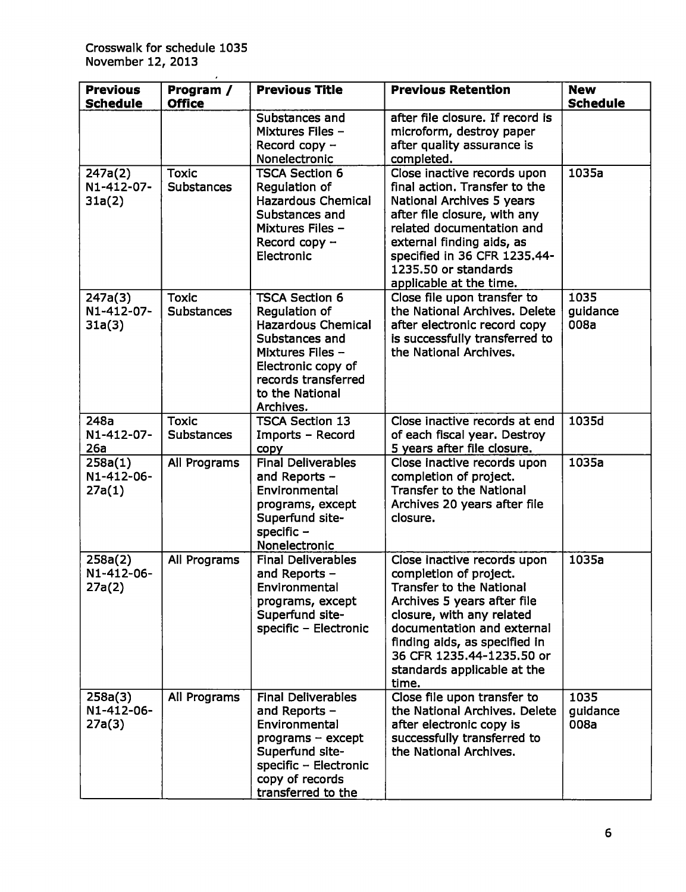| <b>Previous</b><br><b>Schedule</b> | Program /<br><b>Office</b>        | <b>Previous Title</b>                                                                                                                                                                         | <b>Previous Retention</b>                                                                                                                                                                                                                                                                | <b>New</b><br><b>Schedule</b> |
|------------------------------------|-----------------------------------|-----------------------------------------------------------------------------------------------------------------------------------------------------------------------------------------------|------------------------------------------------------------------------------------------------------------------------------------------------------------------------------------------------------------------------------------------------------------------------------------------|-------------------------------|
|                                    |                                   | Substances and<br><b>Mixtures Files -</b><br>Record copy $-$<br>Nonelectronic                                                                                                                 | after file closure. If record is<br>microform, destroy paper<br>after quality assurance is<br>completed.                                                                                                                                                                                 |                               |
| 247a(2)<br>N1-412-07-<br>31a(2)    | <b>Toxic</b><br><b>Substances</b> | <b>TSCA Section 6</b><br>Regulation of<br><b>Hazardous Chemical</b><br>Substances and<br><b>Mixtures Files -</b><br>Record copy $-$<br>Electronic                                             | Close inactive records upon<br>final action. Transfer to the<br>National Archives 5 years<br>after file closure, with any<br>related documentation and<br>external finding aids, as<br>specified in 36 CFR 1235.44-<br>1235.50 or standards<br>applicable at the time.                   | 1035a                         |
| 247a(3)<br>N1-412-07-<br>31a(3)    | <b>Toxic</b><br><b>Substances</b> | <b>TSCA Section 6</b><br>Regulation of<br><b>Hazardous Chemical</b><br>Substances and<br><b>Mixtures Files -</b><br>Electronic copy of<br>records transferred<br>to the National<br>Archives. | Close file upon transfer to<br>the National Archives. Delete<br>after electronic record copy<br>is successfully transferred to<br>the National Archives.                                                                                                                                 | 1035<br>guidance<br>008a      |
| 248a<br>N1-412-07-<br>26a          | <b>Toxic</b><br><b>Substances</b> | <b>TSCA Section 13</b><br>Imports - Record<br>copy                                                                                                                                            | Close inactive records at end<br>of each fiscal year. Destroy<br>5 years after file closure.                                                                                                                                                                                             | 1035d                         |
| 258a(1)<br>N1-412-06-<br>27a(1)    | All Programs                      | <b>Final Deliverables</b><br>and Reports -<br>Environmental<br>programs, except<br>Superfund site-<br>specific $-$<br>Nonelectronic                                                           | Close inactive records upon<br>completion of project.<br><b>Transfer to the National</b><br>Archives 20 years after file<br>closure.                                                                                                                                                     | 1035a                         |
| 258a(2)<br>N1-412-06-<br>27a(2)    | All Programs                      | <b>Final Deliverables</b><br>and Reports -<br>Environmental<br>programs, except<br>Superfund site-<br>specific - Electronic                                                                   | Close inactive records upon<br>completion of project.<br><b>Transfer to the National</b><br>Archives 5 years after file<br>closure, with any related<br>documentation and external<br>finding aids, as specified in<br>36 CFR 1235.44-1235.50 or<br>standards applicable at the<br>time. | 1035a                         |
| 258a(3)<br>N1-412-06-<br>27a(3)    | All Programs                      | <b>Final Deliverables</b><br>and Reports -<br>Environmental<br>$programs - except$<br>Superfund site-<br>specific - Electronic<br>copy of records<br>transferred to the                       | Close file upon transfer to<br>the National Archives. Delete<br>after electronic copy is<br>successfully transferred to<br>the National Archives.                                                                                                                                        | 1035<br>guidance<br>008a      |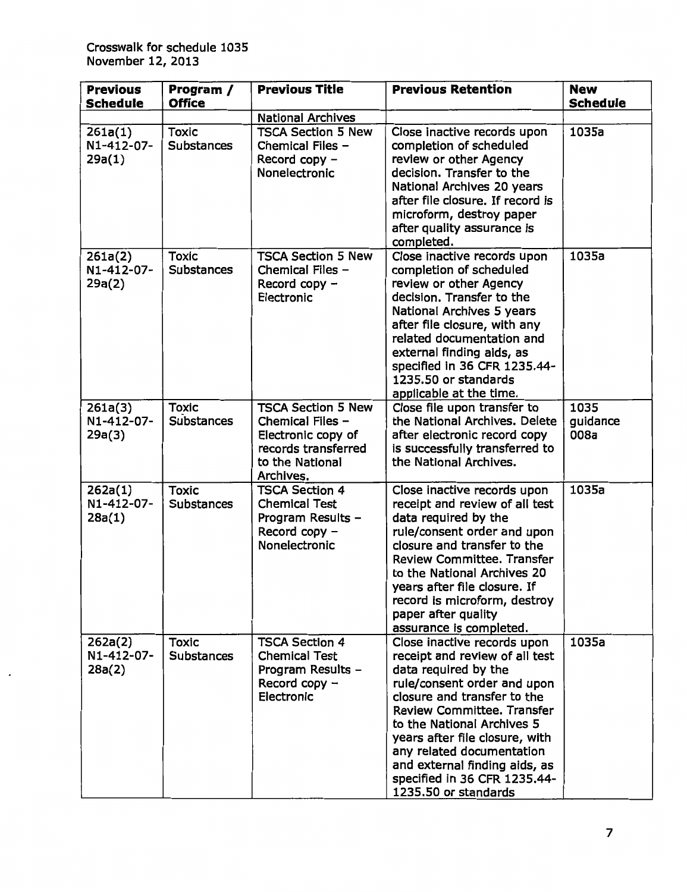| <b>Previous</b><br><b>Schedule</b> | Program /<br><b>Office</b>        | <b>Previous Title</b>                                                                                                      | <b>Previous Retention</b>                                                                                                                                                                                                                                                                                                                                                      | <b>New</b><br><b>Schedule</b> |
|------------------------------------|-----------------------------------|----------------------------------------------------------------------------------------------------------------------------|--------------------------------------------------------------------------------------------------------------------------------------------------------------------------------------------------------------------------------------------------------------------------------------------------------------------------------------------------------------------------------|-------------------------------|
|                                    |                                   | <b>National Archives</b>                                                                                                   |                                                                                                                                                                                                                                                                                                                                                                                |                               |
| 261a(1)<br>N1-412-07-<br>29a(1)    | <b>Toxic</b><br><b>Substances</b> | <b>TSCA Section 5 New</b><br>Chemical Files -<br>Record copy -<br>Nonelectronic                                            | Close inactive records upon<br>completion of scheduled<br>review or other Agency<br>decision. Transfer to the<br>National Archives 20 years<br>after file closure. If record is<br>microform, destroy paper<br>after quality assurance is<br>completed.                                                                                                                        | 1035a                         |
| 261a(2)<br>N1-412-07-<br>29a(2)    | <b>Toxic</b><br><b>Substances</b> | <b>TSCA Section 5 New</b><br>Chemical Files -<br>Record copy $-$<br>Electronic                                             | Close inactive records upon<br>completion of scheduled<br>review or other Agency<br>decision. Transfer to the<br>National Archives 5 years<br>after file closure, with any<br>related documentation and<br>external finding aids, as<br>specified in 36 CFR 1235.44-<br>1235.50 or standards<br>applicable at the time.                                                        | 1035a                         |
| 261a(3)<br>N1-412-07-<br>29a(3)    | <b>Toxic</b><br><b>Substances</b> | <b>TSCA Section 5 New</b><br>Chemical Files -<br>Electronic copy of<br>records transferred<br>to the National<br>Archives. | Close file upon transfer to<br>the National Archives. Delete<br>after electronic record copy<br>is successfully transferred to<br>the National Archives.                                                                                                                                                                                                                       | 1035<br>quidance<br>008a      |
| 262a(1)<br>N1-412-07-<br>28a(1)    | <b>Toxic</b><br><b>Substances</b> | <b>TSCA Section 4</b><br><b>Chemical Test</b><br>Program Results -<br>Record copy -<br>Nonelectronic                       | Close inactive records upon<br>receipt and review of all test<br>data required by the<br>rule/consent order and upon<br>closure and transfer to the<br><b>Review Committee. Transfer</b><br>to the National Archives 20<br>years after file closure. If<br>record is microform, destroy<br>paper after quality<br>assurance is completed.                                      | 1035a                         |
| 262a(2)<br>N1-412-07-<br>28a(2)    | <b>Toxic</b><br><b>Substances</b> | <b>TSCA Section 4</b><br><b>Chemical Test</b><br>Program Results -<br>Record copy $-$<br>Electronic                        | Close inactive records upon<br>receipt and review of all test<br>data required by the<br>rule/consent order and upon<br>closure and transfer to the<br><b>Review Committee. Transfer</b><br>to the National Archives 5<br>years after file closure, with<br>any related documentation<br>and external finding aids, as<br>specified in 36 CFR 1235.44-<br>1235.50 or standards | 1035a                         |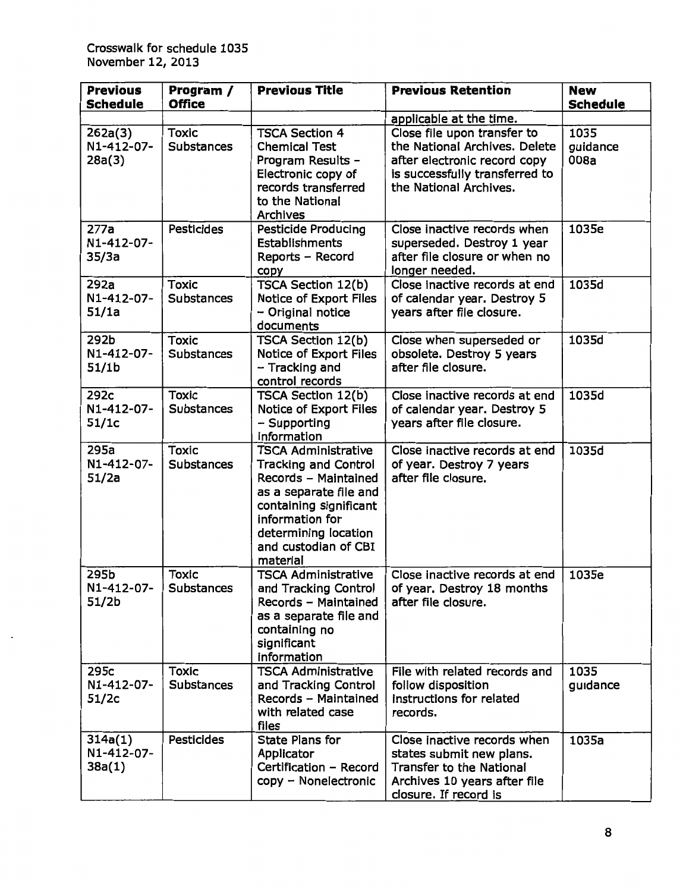| <b>Previous</b><br><b>Schedule</b>      | Program /<br><b>Office</b>        | <b>Previous Title</b>                                                                                                                                                                                                | <b>Previous Retention</b>                                                                                                                                | <b>New</b><br><b>Schedule</b> |
|-----------------------------------------|-----------------------------------|----------------------------------------------------------------------------------------------------------------------------------------------------------------------------------------------------------------------|----------------------------------------------------------------------------------------------------------------------------------------------------------|-------------------------------|
|                                         |                                   |                                                                                                                                                                                                                      | applicable at the time.                                                                                                                                  |                               |
| 262a(3)<br>N1-412-07-<br>28a(3)         | <b>Toxic</b><br><b>Substances</b> | <b>TSCA Section 4</b><br><b>Chemical Test</b><br>Program Results -<br>Electronic copy of<br>records transferred<br>to the National<br>Archives                                                                       | Close file upon transfer to<br>the National Archives. Delete<br>after electronic record copy<br>is successfully transferred to<br>the National Archives. | 1035<br>guidance<br>008a      |
| 277a<br>N1-412-07-<br>35/3a             | <b>Pesticides</b>                 | <b>Pesticide Producing</b><br>Establishments<br>Reports - Record<br>copy                                                                                                                                             | Close inactive records when<br>superseded. Destroy 1 year<br>after file closure or when no<br>longer needed.                                             | 1035e                         |
| 292a<br>N1-412-07-<br>51/1a             | <b>Toxic</b><br><b>Substances</b> | TSCA Section 12(b)<br>Notice of Export Files<br>- Original notice<br>documents                                                                                                                                       | Close inactive records at end<br>of calendar year. Destroy 5<br>years after file closure.                                                                | 1035d                         |
| 292b<br>N1-412-07-<br>51/1 <sub>b</sub> | <b>Toxic</b><br><b>Substances</b> | TSCA Section 12(b)<br>Notice of Export Files<br>- Tracking and<br>control records                                                                                                                                    | Close when superseded or<br>obsolete. Destroy 5 years<br>after file closure.                                                                             | 1035d                         |
| 292c<br>N1-412-07-<br>51/1c             | <b>Toxic</b><br><b>Substances</b> | <b>TSCA Section 12(b)</b><br>Notice of Export Files<br>- Supporting<br>information                                                                                                                                   | Close inactive records at end<br>of calendar year. Destroy 5<br>years after file closure.                                                                | 1035d                         |
| 295a<br>N1-412-07-<br>51/2a             | <b>Toxic</b><br><b>Substances</b> | <b>TSCA Administrative</b><br><b>Tracking and Control</b><br>Records - Maintained<br>as a separate file and<br>containing significant<br>information for<br>determining location<br>and custodian of CBI<br>material | Close inactive records at end<br>of year. Destroy 7 years<br>after file closure.                                                                         | 1035d                         |
| 295b<br>N1-412-07-<br>51/2b             | <b>Toxic</b><br><b>Substances</b> | <b>TSCA Administrative</b><br>and Tracking Control<br>Records - Maintained<br>as a separate file and<br>containing no<br>significant<br>information                                                                  | Close inactive records at end<br>of year. Destroy 18 months<br>after file closure.                                                                       | 1035e                         |
| 295c<br>N1-412-07-<br>51/2c             | <b>Toxic</b><br><b>Substances</b> | <b>TSCA Administrative</b><br>and Tracking Control<br>Records - Maintained<br>with related case<br>files                                                                                                             | File with related records and<br>follow disposition<br>instructions for related<br>records.                                                              | 1035<br>guidance              |
| 314a(1)<br>N1-412-07-<br>38a(1)         | <b>Pesticides</b>                 | <b>State Plans for</b><br>Applicator<br>Certification - Record<br>copy - Nonelectronic                                                                                                                               | Close inactive records when<br>states submit new plans.<br><b>Transfer to the National</b><br>Archives 10 years after file<br>closure. If record is      | 1035a                         |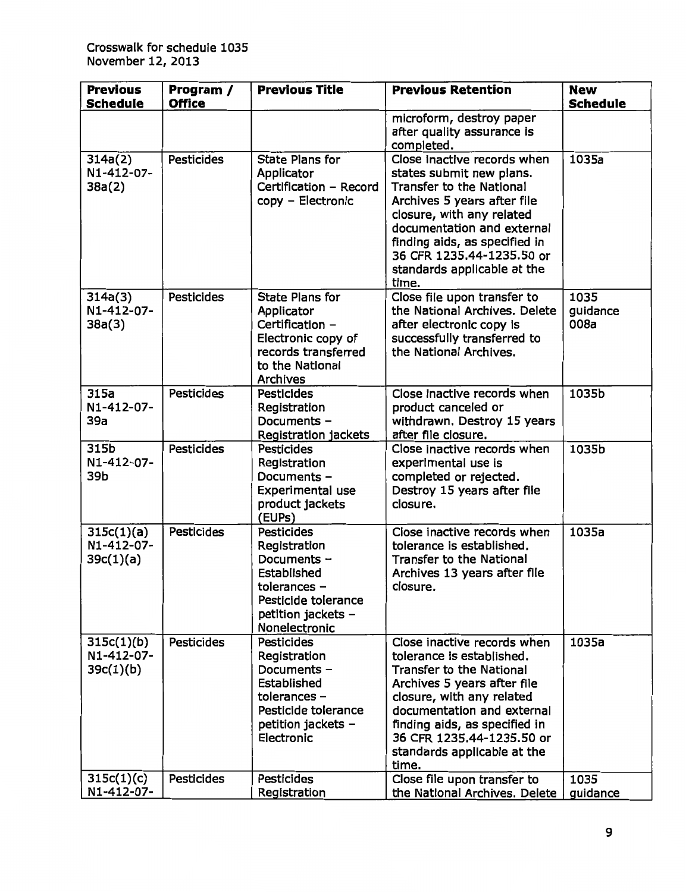| <b>Previous</b><br><b>Schedule</b>                  | Program /<br><b>Office</b>             | <b>Previous Title</b>                                                                                                                                        | <b>Previous Retention</b>                                                                                                                                                                                                                                                                   | <b>New</b><br><b>Schedule</b> |
|-----------------------------------------------------|----------------------------------------|--------------------------------------------------------------------------------------------------------------------------------------------------------------|---------------------------------------------------------------------------------------------------------------------------------------------------------------------------------------------------------------------------------------------------------------------------------------------|-------------------------------|
|                                                     |                                        |                                                                                                                                                              | microform, destroy paper<br>after quality assurance is<br>completed.                                                                                                                                                                                                                        |                               |
| 314a(2)<br>N1-412-07-<br>38a(2)                     | <b>Pesticides</b>                      | <b>State Plans for</b><br>Applicator<br>Certification - Record<br>copy - Electronic                                                                          | Close inactive records when<br>states submit new plans.<br><b>Transfer to the National</b><br>Archives 5 years after file<br>closure, with any related<br>documentation and external<br>finding aids, as specified in<br>36 CFR 1235.44-1235.50 or<br>standards applicable at the<br>time.  | 1035a                         |
| 314a(3)<br>N1-412-07-<br>38a(3)                     | <b>Pesticides</b>                      | <b>State Plans for</b><br>Applicator<br>Certification -<br>Electronic copy of<br>records transferred<br>to the National<br><b>Archives</b>                   | Close file upon transfer to<br>the National Archives. Delete<br>after electronic copy is<br>successfully transferred to<br>the National Archives.                                                                                                                                           | 1035<br>guidance<br>008a      |
| 315a<br>N1-412-07-<br>39a                           | <b>Pesticides</b>                      | <b>Pesticides</b><br>Registration<br>Documents -<br>Registration jackets                                                                                     | Close inactive records when<br>product canceled or<br>withdrawn. Destroy 15 years<br>after file closure.                                                                                                                                                                                    | 1035b                         |
| 315b<br>N1-412-07-<br>39b                           | <b>Pesticides</b>                      | <b>Pesticides</b><br>Registration<br>Documents -<br>Experimental use<br>product jackets<br>(EUPs)                                                            | Close inactive records when<br>experimental use is<br>completed or rejected.<br>Destroy 15 years after file<br>closure.                                                                                                                                                                     | 1035b                         |
| 315c(1)(a)<br>N1-412-07-<br>39c(1)(a)               | <b>Pesticides</b>                      | <b>Pesticides</b><br>Registration<br>Documents -<br>Established<br>tolerances -<br>Pesticide tolerance<br>petition jackets -<br>Nonelectronic                | Close inactive records when<br>tolerance is established.<br><b>Transfer to the National</b><br>Archives 13 years after file<br>closure.                                                                                                                                                     | 1035a                         |
| 315c(1)(b)<br>N1-412-07-<br>39c(1)(b)<br>315c(1)(c) | <b>Pesticides</b><br><b>Pesticides</b> | <b>Pesticides</b><br>Registration<br>Documents -<br>Established<br>tolerances $-$<br>Pesticide tolerance<br>petition jackets $-$<br>Electronic<br>Pesticides | Close inactive records when<br>tolerance is established.<br><b>Transfer to the National</b><br>Archives 5 years after file<br>closure, with any related<br>documentation and external<br>finding aids, as specified in<br>36 CFR 1235.44-1235.50 or<br>standards applicable at the<br>time. | 1035a<br>1035                 |
| N1-412-07-                                          |                                        | Registration                                                                                                                                                 | Close file upon transfer to<br>the National Archives. Delete                                                                                                                                                                                                                                | guidance                      |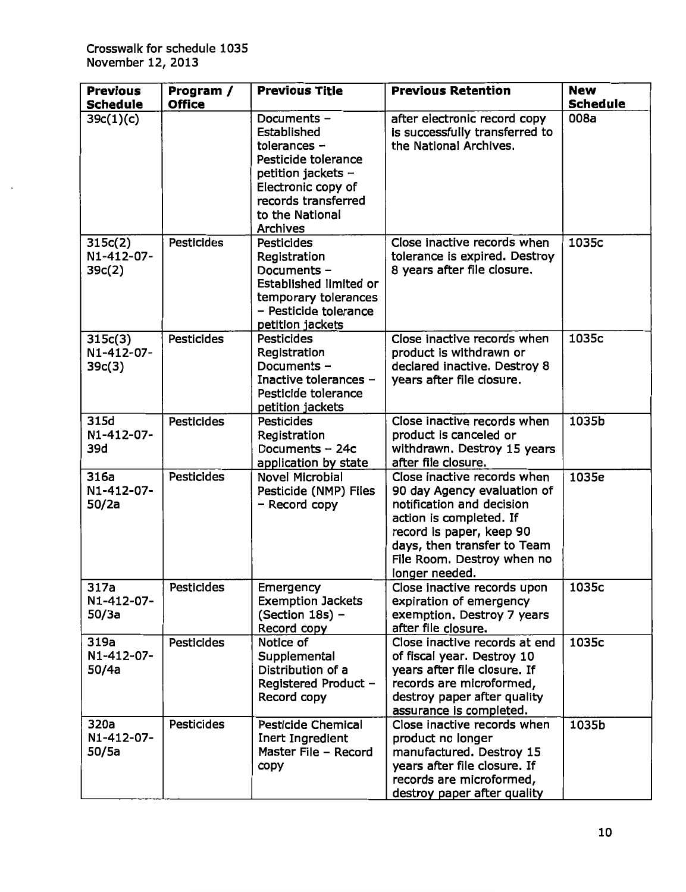| <b>Previous</b><br><b>Schedule</b> | Program /<br><b>Office</b> | <b>Previous Title</b>                                                                                                                                                   | <b>Previous Retention</b>                                                                                                                                                                                                     | <b>New</b><br><b>Schedule</b> |
|------------------------------------|----------------------------|-------------------------------------------------------------------------------------------------------------------------------------------------------------------------|-------------------------------------------------------------------------------------------------------------------------------------------------------------------------------------------------------------------------------|-------------------------------|
| 39c(1)(c)                          |                            | Documents -<br>Established<br>tolerances $-$<br>Pesticide tolerance<br>petition jackets $-$<br>Electronic copy of<br>records transferred<br>to the National<br>Archives | after electronic record copy<br>is successfully transferred to<br>the National Archives.                                                                                                                                      | 008a                          |
| 315c(2)<br>N1-412-07-<br>39c(2)    | Pesticides                 | <b>Pesticides</b><br>Registration<br>Documents -<br>Established limited or<br>temporary tolerances<br>- Pesticide tolerance<br>petition jackets                         | Close inactive records when<br>tolerance is expired. Destroy<br>8 years after file closure.                                                                                                                                   | 1035c                         |
| 315c(3)<br>N1-412-07-<br>39c(3)    | <b>Pesticides</b>          | <b>Pesticides</b><br>Registration<br>Documents -<br>Inactive tolerances -<br>Pesticide tolerance<br>petition jackets                                                    | Close inactive records when<br>product is withdrawn or<br>declared inactive. Destroy 8<br>years after file closure.                                                                                                           | 1035c                         |
| 315d<br>N1-412-07-<br>39d          | <b>Pesticides</b>          | Pesticides<br>Registration<br>Documents - 24c<br>application by state                                                                                                   | Close inactive records when<br>product is canceled or<br>withdrawn. Destroy 15 years<br>after file closure.                                                                                                                   | 1035b                         |
| 316a<br>N1-412-07-<br>50/2a        | <b>Pesticides</b>          | <b>Novel Microbial</b><br>Pesticide (NMP) Files<br>- Record copy                                                                                                        | Close inactive records when<br>90 day Agency evaluation of<br>notification and decision<br>action is completed. If<br>record is paper, keep 90<br>days, then transfer to Team<br>File Room. Destroy when no<br>longer needed. | 1035e                         |
| 317a<br>N1-412-07-<br>50/3a        | Pesticides                 | Emergency<br><b>Exemption Jackets</b><br>(Section 18s) -<br>Record copy                                                                                                 | Close inactive records upon<br>expiration of emergency<br>exemption. Destroy 7 years<br>after file closure.                                                                                                                   | 1035c                         |
| 319a<br>N1-412-07-<br>50/4a        | <b>Pesticides</b>          | Notice of<br>Supplemental<br>Distribution of a<br>Registered Product -<br>Record copy                                                                                   | Close inactive records at end<br>of fiscal year. Destroy 10<br>years after file closure. If<br>records are microformed,<br>destroy paper after quality<br>assurance is completed.                                             | 1035c                         |
| 320a<br>N1-412-07-<br>50/5a        | <b>Pesticides</b>          | <b>Pesticide Chemical</b><br>Inert Ingredient<br>Master File - Record<br>copy                                                                                           | Close inactive records when<br>product no longer<br>manufactured. Destroy 15<br>years after file closure. If<br>records are microformed,<br>destroy paper after quality                                                       | 1035b                         |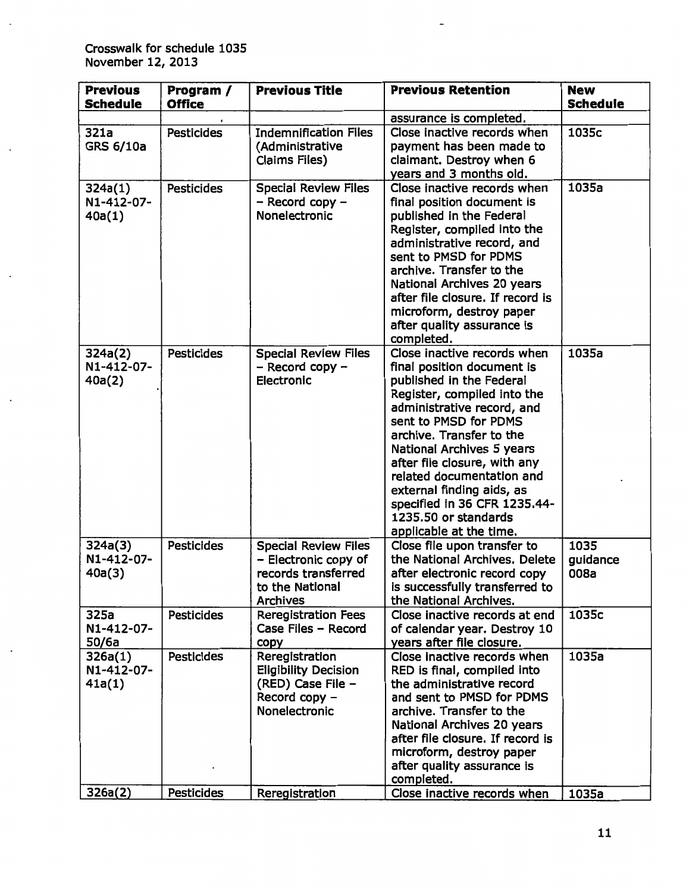| <b>Previous</b><br><b>Schedule</b> | Program /<br><b>Office</b> | <b>Previous Title</b>                                                                                            | <b>Previous Retention</b>                                                                                                                                                                                                                                                                                                                                                                                         | <b>New</b><br><b>Schedule</b> |
|------------------------------------|----------------------------|------------------------------------------------------------------------------------------------------------------|-------------------------------------------------------------------------------------------------------------------------------------------------------------------------------------------------------------------------------------------------------------------------------------------------------------------------------------------------------------------------------------------------------------------|-------------------------------|
|                                    |                            |                                                                                                                  | assurance is completed.                                                                                                                                                                                                                                                                                                                                                                                           |                               |
| 321a<br><b>GRS 6/10a</b>           | <b>Pesticides</b>          | <b>Indemnification Files</b><br>(Administrative<br>Claims Files)                                                 | Close inactive records when<br>payment has been made to<br>claimant. Destroy when 6<br>years and 3 months old.                                                                                                                                                                                                                                                                                                    | 1035c                         |
| 324a(1)<br>N1-412-07-<br>40a(1)    | <b>Pesticides</b>          | <b>Special Review Files</b><br>- Record copy -<br>Nonelectronic                                                  | Close inactive records when<br>final position document is<br>published in the Federal<br>Register, compiled into the<br>administrative record, and<br>sent to PMSD for PDMS<br>archive. Transfer to the<br>National Archives 20 years<br>after file closure. If record is<br>microform, destroy paper<br>after quality assurance is<br>completed.                                                                 | 1035a                         |
| 324a(2)<br>N1-412-07-<br>40a(2)    | <b>Pesticides</b>          | <b>Special Review Files</b><br>$-$ Record copy $-$<br>Electronic                                                 | Close inactive records when<br>final position document is<br>published in the Federal<br>Register, compiled into the<br>administrative record, and<br>sent to PMSD for PDMS<br>archive. Transfer to the<br>National Archives 5 years<br>after file closure, with any<br>related documentation and<br>external finding aids, as<br>specified in 36 CFR 1235.44-<br>1235.50 or standards<br>applicable at the time. | 1035a                         |
| 324a(3)<br>N1-412-07-<br>40a(3)    | <b>Pesticides</b>          | <b>Special Review Files</b><br>- Electronic copy of<br>records transferred<br>to the National<br><b>Archives</b> | Close file upon transfer to<br>the National Archives. Delete<br>after electronic record copy<br>is successfully transferred to<br>the National Archives.                                                                                                                                                                                                                                                          | 1035<br>guidance<br>008a      |
| 325a<br>N1-412-07-<br>50/6a        | <b>Pesticides</b>          | <b>Reregistration Fees</b><br>Case Files - Record<br>copy                                                        | Close inactive records at end<br>of calendar year. Destroy 10<br>years after file closure.                                                                                                                                                                                                                                                                                                                        | 1035c                         |
| 326a(1)<br>N1-412-07-<br>41a(1)    | <b>Pesticides</b>          | Reregistration<br><b>Eligibility Decision</b><br>(RED) Case File -<br>Record copy -<br>Nonelectronic             | Close inactive records when<br>RED is final, compiled into<br>the administrative record<br>and sent to PMSD for PDMS<br>archive. Transfer to the<br>National Archives 20 years<br>after file closure. If record is<br>microform, destroy paper<br>after quality assurance is<br>completed.                                                                                                                        | 1035a                         |
| 326a(2)                            | <b>Pesticides</b>          | Reregistration                                                                                                   | Close inactive records when                                                                                                                                                                                                                                                                                                                                                                                       | 1035a                         |

 $\overline{a}$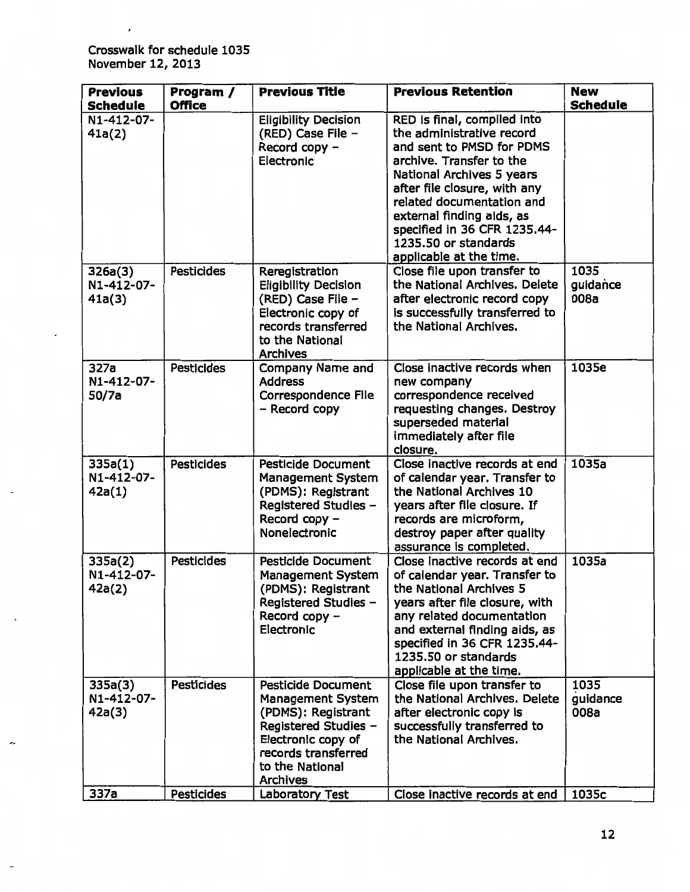$\pmb{\cdot}$ 

÷.

÷

| <b>Previous</b>                 | Program /         | <b>Previous Title</b>                                                                                                                                                                  | <b>Previous Retention</b>                                                                                                                                                                                                                                                                                                   | <b>New</b>               |
|---------------------------------|-------------------|----------------------------------------------------------------------------------------------------------------------------------------------------------------------------------------|-----------------------------------------------------------------------------------------------------------------------------------------------------------------------------------------------------------------------------------------------------------------------------------------------------------------------------|--------------------------|
| <b>Schedule</b>                 | <b>Office</b>     |                                                                                                                                                                                        |                                                                                                                                                                                                                                                                                                                             | <b>Schedule</b>          |
| N1-412-07-<br>41a(2)            |                   | <b>Eligibility Decision</b><br>(RED) Case File -<br>Record copy -<br>Electronic                                                                                                        | RED is final, compiled into<br>the administrative record<br>and sent to PMSD for PDMS<br>archive. Transfer to the<br>National Archives 5 years<br>after file closure, with any<br>related documentation and<br>external finding aids, as<br>specified in 36 CFR 1235.44-<br>1235.50 or standards<br>applicable at the time. |                          |
| 326a(3)<br>N1-412-07-<br>41a(3) | <b>Pesticides</b> | Reregistration<br><b>Eligibility Decision</b><br>(RED) Case File -<br>Electronic copy of<br>records transferred<br>to the National<br><b>Archives</b>                                  | Close file upon transfer to<br>the National Archives, Delete<br>after electronic record copy<br>is successfully transferred to<br>the National Archives.                                                                                                                                                                    | 1035<br>guidance<br>008a |
| 327a<br>N1-412-07-<br>50/7a     | <b>Pesticides</b> | <b>Company Name and</b><br><b>Address</b><br><b>Correspondence File</b><br>- Record copy                                                                                               | Close inactive records when<br>new company<br>correspondence received<br>requesting changes. Destroy<br>superseded material<br>immediately after file<br>closure.                                                                                                                                                           | 1035e                    |
| 335a(1)<br>N1-412-07-<br>42a(1) | <b>Pesticides</b> | <b>Pesticide Document</b><br><b>Management System</b><br>(PDMS): Registrant<br>Registered Studies -<br>Record copy -<br>Nonelectronic                                                  | Close inactive records at end<br>of calendar year. Transfer to<br>the National Archives 10<br>years after file closure. If<br>records are microform,<br>destroy paper after quality<br>assurance is completed.                                                                                                              | 1035a                    |
| 335a(2)<br>N1-412-07-<br>42a(2) | <b>Pesticides</b> | <b>Pesticide Document</b><br><b>Management System</b><br>(PDMS): Registrant<br>Registered Studies -<br>Record copy -<br>Electronic                                                     | Close inactive records at end<br>of calendar year. Transfer to<br>the National Archives 5<br>years after file closure, with<br>any related documentation<br>and external finding aids, as<br>specified in 36 CFR 1235.44-<br>1235.50 or standards<br>applicable at the time.                                                | 1035a                    |
| 335a(3)<br>N1-412-07-<br>42a(3) | Pesticides        | <b>Pesticide Document</b><br><b>Management System</b><br>(PDMS): Registrant<br>Registered Studies -<br>Electronic copy of<br>records transferred<br>to the National<br><b>Archives</b> | Close file upon transfer to<br>the National Archives, Delete<br>after electronic copy is<br>successfully transferred to<br>the National Archives.                                                                                                                                                                           | 1035<br>guidance<br>008a |
| 337a                            | <b>Pesticides</b> | <b>Laboratory Test</b>                                                                                                                                                                 | Close inactive records at end                                                                                                                                                                                                                                                                                               | 1035c                    |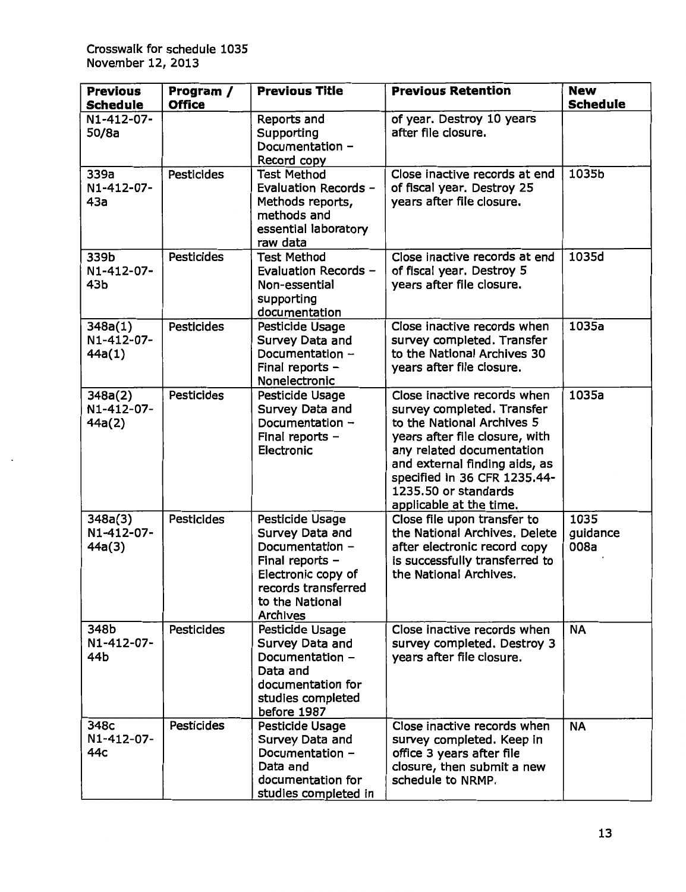| <b>Previous</b><br><b>Schedule</b> | Program /<br><b>Office</b> | <b>Previous Title</b>                                                                                                                                | <b>Previous Retention</b>                                                                                                                                                                                                                                                  | <b>New</b><br><b>Schedule</b> |
|------------------------------------|----------------------------|------------------------------------------------------------------------------------------------------------------------------------------------------|----------------------------------------------------------------------------------------------------------------------------------------------------------------------------------------------------------------------------------------------------------------------------|-------------------------------|
| N1-412-07-<br>50/8a                |                            | Reports and<br>Supporting<br>Documentation -<br>Record copy                                                                                          | of year. Destroy 10 years<br>after file closure.                                                                                                                                                                                                                           |                               |
| 339a<br>N1-412-07-<br>43a          | <b>Pesticides</b>          | <b>Test Method</b><br>Evaluation Records -<br>Methods reports,<br>methods and<br>essential laboratory<br>raw data                                    | Close inactive records at end<br>of fiscal year. Destroy 25<br>years after file closure.                                                                                                                                                                                   | 1035b                         |
| 339b<br>N1-412-07-<br>43b          | <b>Pesticides</b>          | <b>Test Method</b><br>Evaluation Records -<br>Non-essential<br>supporting<br>documentation                                                           | Close inactive records at end<br>of fiscal year. Destroy 5<br>years after file closure.                                                                                                                                                                                    | 1035d                         |
| 348a(1)<br>N1-412-07-<br>44a(1)    | <b>Pesticides</b>          | Pesticide Usage<br>Survey Data and<br>Documentation -<br>Final reports -<br>Nonelectronic                                                            | Close inactive records when<br>survey completed. Transfer<br>to the National Archives 30<br>years after file closure.                                                                                                                                                      | 1035a                         |
| 348a(2)<br>N1-412-07-<br>44a(2)    | <b>Pesticides</b>          | Pesticide Usage<br>Survey Data and<br>Documentation -<br>Final reports -<br>Electronic                                                               | Close inactive records when<br>survey completed. Transfer<br>to the National Archives 5<br>years after file closure, with<br>any related documentation<br>and external finding aids, as<br>specified in 36 CFR 1235.44-<br>1235.50 or standards<br>applicable at the time. | 1035a                         |
| 348a(3)<br>N1-412-07-<br>44a(3)    | Pesticides                 | Pesticide Usage<br>Survey Data and<br>Documentation -<br>Final reports -<br>Electronic copy of<br>records transferred<br>to the National<br>Archives | Close file upon transfer to<br>the National Archives, Delete<br>after electronic record copy<br>is successfully transferred to<br>the National Archives.                                                                                                                   | 1035<br>guidance<br>008a      |
| 348b<br>N1-412-07-<br>44b          | <b>Pesticides</b>          | Pesticide Usage<br>Survey Data and<br>Documentation -<br>Data and<br>documentation for<br>studies completed<br>before 1987                           | Close inactive records when<br>survey completed. Destroy 3<br>years after file closure.                                                                                                                                                                                    | <b>NA</b>                     |
| 348c<br>N1-412-07-<br>44с          | Pesticides                 | Pesticide Usage<br>Survey Data and<br>Documentation -<br>Data and<br>documentation for<br>studies completed in                                       | Close inactive records when<br>survey completed. Keep in<br>office 3 years after file<br>closure, then submit a new<br>schedule to NRMP.                                                                                                                                   | <b>NA</b>                     |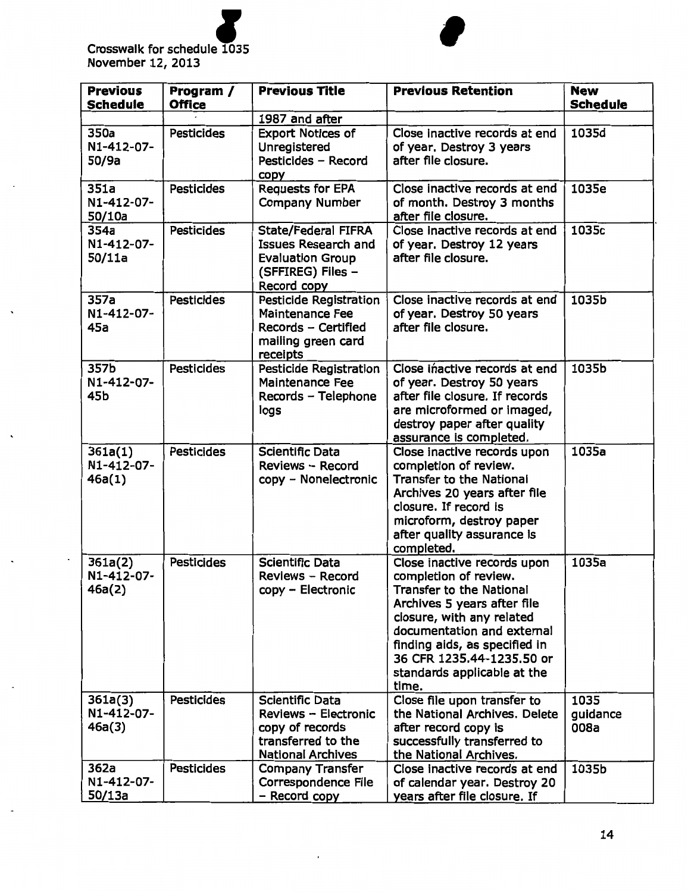

| <b>Previous</b><br><b>Schedule</b> | Program /<br><b>Office</b> | <b>Previous Title</b>                                                                                                   | <b>Previous Retention</b>                                                                                                                                                                                                                                                               | <b>New</b><br><b>Schedule</b> |
|------------------------------------|----------------------------|-------------------------------------------------------------------------------------------------------------------------|-----------------------------------------------------------------------------------------------------------------------------------------------------------------------------------------------------------------------------------------------------------------------------------------|-------------------------------|
|                                    |                            | 1987 and after                                                                                                          |                                                                                                                                                                                                                                                                                         |                               |
| 350a<br>N1-412-07-<br>50/9a        | <b>Pesticides</b>          | <b>Export Notices of</b><br>Unregistered<br>Pesticides - Record<br>copy                                                 | Close inactive records at end<br>of year. Destroy 3 years<br>after file closure.                                                                                                                                                                                                        | 1035d                         |
| 351a<br>N1-412-07-<br>50/10a       | <b>Pesticides</b>          | <b>Requests for EPA</b><br><b>Company Number</b>                                                                        | Close inactive records at end<br>of month. Destroy 3 months<br>after file closure.                                                                                                                                                                                                      | 1035e                         |
| 354a<br>N1-412-07-<br>50/11a       | <b>Pesticides</b>          | <b>State/Federal FIFRA</b><br><b>Issues Research and</b><br><b>Evaluation Group</b><br>(SFFIREG) Files -<br>Record copy | Close inactive records at end<br>of year. Destroy 12 years<br>after file closure.                                                                                                                                                                                                       | 1035c                         |
| 357a<br>N1-412-07-<br>45a          | <b>Pesticides</b>          | Pesticide Registration<br><b>Maintenance Fee</b><br>Records - Certified<br>mailing green card<br>receipts               | Close inactive records at end<br>of year. Destroy 50 years<br>after file closure.                                                                                                                                                                                                       | 1035b                         |
| 357b<br>N1-412-07-<br>45b          | <b>Pesticides</b>          | Pesticide Registration<br><b>Maintenance Fee</b><br>Records - Telephone<br>logs                                         | Close inactive records at end<br>of year. Destroy 50 years<br>after file closure. If records<br>are microformed or imaged,<br>destroy paper after quality<br>assurance is completed.                                                                                                    | 1035b                         |
| 361a(1)<br>N1-412-07-<br>46a(1)    | <b>Pesticides</b>          | <b>Scientific Data</b><br>Reviews - Record<br>copy - Nonelectronic                                                      | Close inactive records upon<br>completion of review.<br><b>Transfer to the National</b><br>Archives 20 years after file<br>closure. If record is<br>microform, destroy paper<br>after quality assurance is<br>completed.                                                                | 1035a                         |
| 361a(2)<br>N1-412-07-<br>46a(2)    | <b>Pesticides</b>          | <b>Scientific Data</b><br>Reviews - Record<br>copy - Electronic                                                         | Close inactive records upon<br>completion of review.<br><b>Transfer to the National</b><br>Archives 5 years after file<br>closure, with any related<br>documentation and external<br>finding aids, as specified in<br>36 CFR 1235.44-1235.50 or<br>standards applicable at the<br>time. | 1035a                         |
| 361a(3)<br>N1-412-07-<br>46a(3)    | <b>Pesticides</b>          | <b>Scientific Data</b><br>Reviews - Electronic<br>copy of records<br>transferred to the<br><b>National Archives</b>     | Close file upon transfer to<br>the National Archives. Delete<br>after record copy is<br>successfully transferred to<br>the National Archives.                                                                                                                                           | 1035<br>guidance<br>008a      |
| 362a<br>N1-412-07-<br>50/13a       | <b>Pesticides</b>          | <b>Company Transfer</b><br>Correspondence File<br>- Record copy                                                         | Close inactive records at end<br>of calendar year. Destroy 20<br>years after file closure. If                                                                                                                                                                                           | 1035b                         |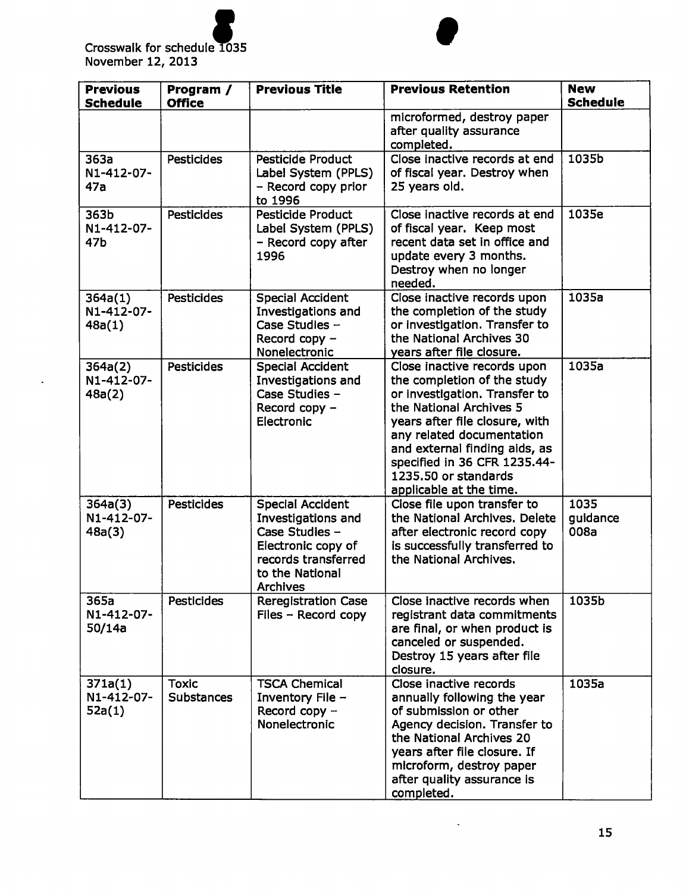

er and the set of the set of the set of the set of the set of the set of the set of the set of the set of the set of the set of the set of the set of the set of the set of the set of the set of the set of the set of the se Crosswalk for schedule 1035<br>November 12, 2013

 $\ddot{\phantom{a}}$ 

| <b>Previous</b><br><b>Schedule</b> | Program /<br><b>Office</b>        | <b>Previous Title</b>                                                                                                                              | <b>Previous Retention</b>                                                                                                                                                                                                                                                                                 | <b>New</b><br><b>Schedule</b> |
|------------------------------------|-----------------------------------|----------------------------------------------------------------------------------------------------------------------------------------------------|-----------------------------------------------------------------------------------------------------------------------------------------------------------------------------------------------------------------------------------------------------------------------------------------------------------|-------------------------------|
|                                    |                                   |                                                                                                                                                    | microformed, destroy paper<br>after quality assurance<br>completed.                                                                                                                                                                                                                                       |                               |
| 363a<br>N1-412-07-<br>47a          | <b>Pesticides</b>                 | <b>Pesticide Product</b><br>Label System (PPLS)<br>- Record copy prior<br>to 1996                                                                  | Close inactive records at end<br>of fiscal year. Destroy when<br>25 years old.                                                                                                                                                                                                                            | 1035b                         |
| 363b<br>N1-412-07-<br>47b          | <b>Pesticides</b>                 | <b>Pesticide Product</b><br>Label System (PPLS)<br>- Record copy after<br>1996                                                                     | Close inactive records at end<br>of fiscal year. Keep most<br>recent data set in office and<br>update every 3 months.<br>Destroy when no longer<br>needed.                                                                                                                                                | 1035e                         |
| 364a(1)<br>N1-412-07-<br>48a(1)    | <b>Pesticides</b>                 | <b>Special Accident</b><br>Investigations and<br>Case Studies -<br>Record copy -<br>Nonelectronic                                                  | Close inactive records upon<br>the completion of the study<br>or investigation. Transfer to<br>the National Archives 30<br>years after file closure.                                                                                                                                                      | 1035a                         |
| 364a(2)<br>N1-412-07-<br>48a(2)    | <b>Pesticides</b>                 | <b>Special Accident</b><br>Investigations and<br>Case Studies -<br>Record copy -<br>Electronic                                                     | Close inactive records upon<br>the completion of the study<br>or investigation. Transfer to<br>the National Archives 5<br>years after file closure, with<br>any related documentation<br>and external finding aids, as<br>specified in 36 CFR 1235.44-<br>1235.50 or standards<br>applicable at the time. | 1035a                         |
| 364a(3)<br>N1-412-07-<br>48a(3)    | <b>Pesticides</b>                 | <b>Special Accident</b><br>Investigations and<br>Case Studies -<br>Electronic copy of<br>records transferred<br>to the National<br><b>Archives</b> | Close file upon transfer to<br>the National Archives, Delete<br>after electronic record copy<br>is successfully transferred to<br>the National Archives.                                                                                                                                                  | 1035<br>guidance<br>008a      |
| 365a<br>N1-412-07-<br>50/14a       | <b>Pesticides</b>                 | <b>Reregistration Case</b><br>Files - Record copy                                                                                                  | Close inactive records when<br>registrant data commitments<br>are final, or when product is<br>canceled or suspended.<br>Destroy 15 years after file<br>closure.                                                                                                                                          | 1035b                         |
| 371a(1)<br>N1-412-07-<br>52a(1)    | <b>Toxic</b><br><b>Substances</b> | <b>TSCA Chemical</b><br>Inventory File -<br>Record copy $-$<br>Nonelectronic                                                                       | Close inactive records<br>annually following the year<br>of submission or other<br>Agency decision. Transfer to<br>the National Archives 20<br>years after file closure. If<br>microform, destroy paper<br>after quality assurance is<br>completed.                                                       | 1035a                         |

 $\sim$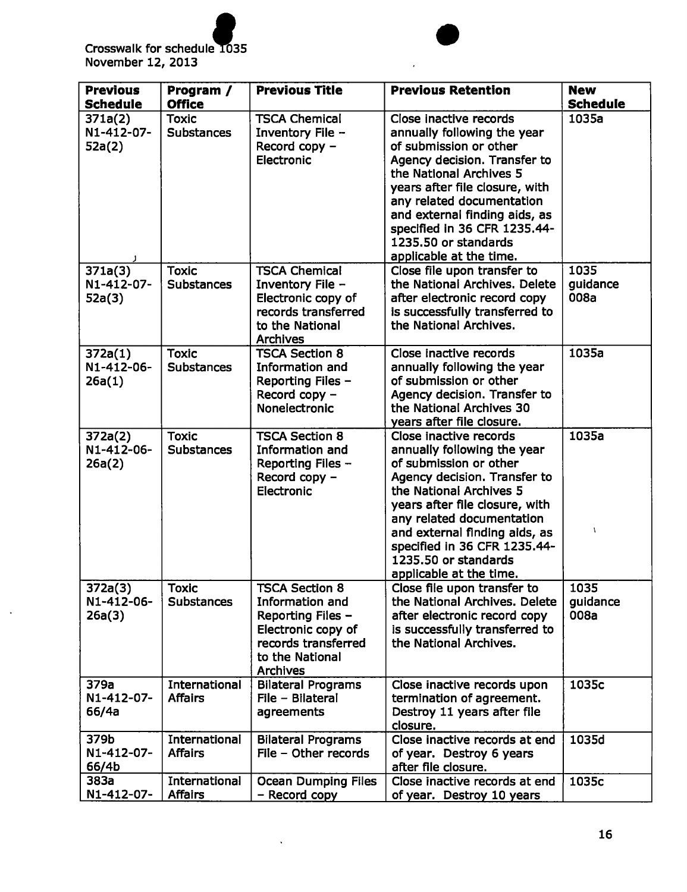

 $\ddot{\phantom{a}}$ 



l,

| <b>Previous</b>                 | Program /                         | <b>Previous Title</b>                                                                                                                            | <b>Previous Retention</b>                                                                                                                                                                                                                                                                                                     | <b>New</b>               |
|---------------------------------|-----------------------------------|--------------------------------------------------------------------------------------------------------------------------------------------------|-------------------------------------------------------------------------------------------------------------------------------------------------------------------------------------------------------------------------------------------------------------------------------------------------------------------------------|--------------------------|
| <b>Schedule</b>                 | <b>Office</b>                     |                                                                                                                                                  |                                                                                                                                                                                                                                                                                                                               | <b>Schedule</b>          |
| 371a(2)<br>N1-412-07-<br>52a(2) | <b>Toxic</b><br><b>Substances</b> | <b>TSCA Chemical</b><br>Inventory File -<br>Record copy -<br>Electronic                                                                          | Close inactive records<br>annually following the year<br>of submission or other<br>Agency decision. Transfer to<br>the National Archives 5<br>years after file closure, with<br>any related documentation<br>and external finding aids, as<br>specified in 36 CFR 1235.44-<br>1235.50 or standards<br>applicable at the time. | 1035a                    |
| 371a(3)<br>N1-412-07-<br>52a(3) | <b>Toxic</b><br><b>Substances</b> | <b>TSCA Chemical</b><br>Inventory File -<br>Electronic copy of<br>records transferred<br>to the National<br><b>Archives</b>                      | Close file upon transfer to<br>the National Archives. Delete<br>after electronic record copy<br>is successfully transferred to<br>the National Archives.                                                                                                                                                                      | 1035<br>guidance<br>008a |
| 372a(1)<br>N1-412-06-<br>26a(1) | <b>Toxic</b><br><b>Substances</b> | <b>TSCA Section 8</b><br>Information and<br>Reporting Files -<br>Record copy -<br>Nonelectronic                                                  | Close inactive records<br>annually following the year<br>of submission or other<br>Agency decision. Transfer to<br>the National Archives 30<br>years after file closure.                                                                                                                                                      | 1035a                    |
| 372a(2)<br>N1-412-06-<br>26a(2) | <b>Toxic</b><br><b>Substances</b> | <b>TSCA Section 8</b><br>Information and<br>Reporting Files -<br>Record copy -<br>Electronic                                                     | Close inactive records<br>annually following the year<br>of submission or other<br>Agency decision. Transfer to<br>the National Archives 5<br>years after file closure, with<br>any related documentation<br>and external finding aids, as<br>specified in 36 CFR 1235.44-<br>1235.50 or standards<br>applicable at the time. | 1035a<br>١               |
| 372a(3)<br>N1-412-06-<br>26a(3) | <b>Toxic</b><br><b>Substances</b> | <b>TSCA Section 8</b><br>Information and<br>Reporting Files -<br>Electronic copy of<br>records transferred<br>to the National<br><b>Archives</b> | Close file upon transfer to<br>the National Archives. Delete<br>after electronic record copy<br>is successfully transferred to<br>the National Archives.                                                                                                                                                                      | 1035<br>guidance<br>008a |
| 379a<br>N1-412-07-<br>66/4a     | International<br><b>Affairs</b>   | <b>Bilateral Programs</b><br>File - Bilateral<br>agreements                                                                                      | Close inactive records upon<br>termination of agreement.<br>Destroy 11 years after file<br>closure.                                                                                                                                                                                                                           | 1035c                    |
| 379b<br>N1-412-07-<br>66/4b     | International<br><b>Affairs</b>   | <b>Bilateral Programs</b><br>File - Other records                                                                                                | Close inactive records at end<br>of year. Destroy 6 years<br>after file closure.                                                                                                                                                                                                                                              | 1035d                    |
| 383a<br>N1-412-07-              | International<br><b>Affairs</b>   | <b>Ocean Dumping Files</b><br>- Record copy                                                                                                      | Close inactive records at end<br>of year. Destroy 10 years                                                                                                                                                                                                                                                                    | 1035c                    |

 $\ddot{\phantom{0}}$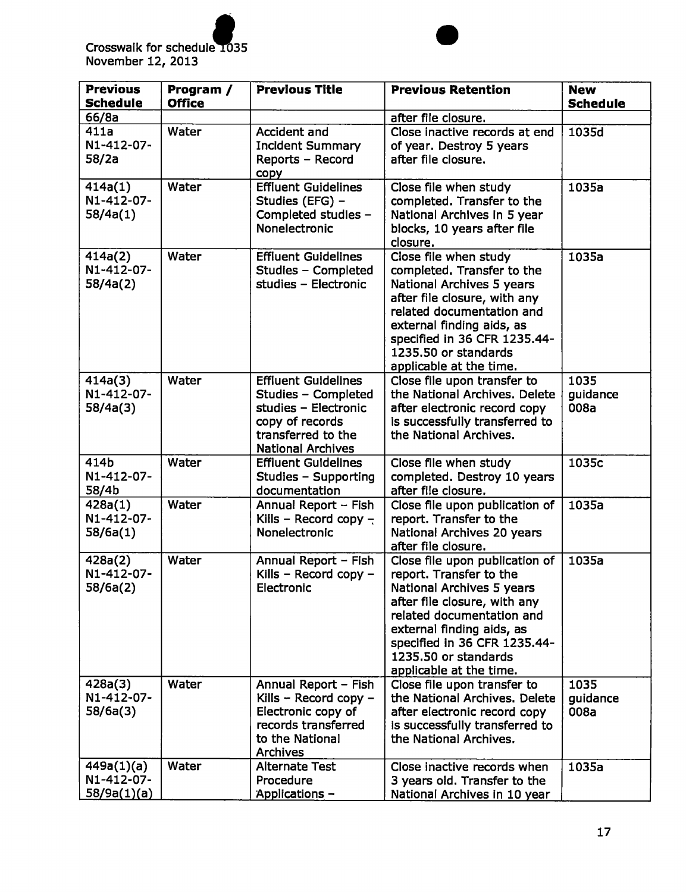

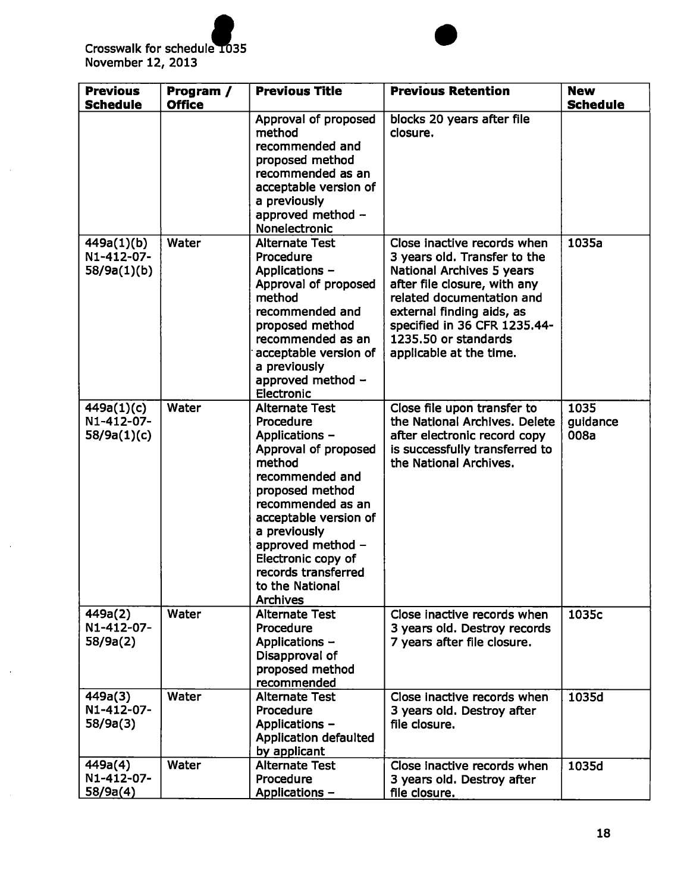

 $\ddot{\phantom{a}}$ 

| <b>Previous</b><br><b>Schedule</b>      | Program /<br><b>Office</b> | <b>Previous Title</b>                                                                                                                                                                                                                                                                              | <b>Previous Retention</b>                                                                                                                                                                                                                                             | <b>New</b><br><b>Schedule</b> |
|-----------------------------------------|----------------------------|----------------------------------------------------------------------------------------------------------------------------------------------------------------------------------------------------------------------------------------------------------------------------------------------------|-----------------------------------------------------------------------------------------------------------------------------------------------------------------------------------------------------------------------------------------------------------------------|-------------------------------|
|                                         |                            | Approval of proposed<br>method<br>recommended and<br>proposed method<br>recommended as an<br>acceptable version of<br>a previously<br>approved method -<br>Nonelectronic                                                                                                                           | blocks 20 years after file<br>closure.                                                                                                                                                                                                                                |                               |
| 449a(1)(b)<br>N1-412-07-<br>58/9a(1)(b) | Water                      | <b>Alternate Test</b><br>Procedure<br>Applications -<br>Approval of proposed<br>method<br>recommended and<br>proposed method<br>recommended as an<br>acceptable version of<br>a previously<br>approved method -<br><b>Electronic</b>                                                               | Close inactive records when<br>3 years old. Transfer to the<br>National Archives 5 years<br>after file closure, with any<br>related documentation and<br>external finding aids, as<br>specified in 36 CFR 1235.44-<br>1235.50 or standards<br>applicable at the time. | 1035a                         |
| 449a(1)(c)<br>N1-412-07-<br>58/9a(1)(c) | Water                      | <b>Alternate Test</b><br>Procedure<br>Applications -<br>Approval of proposed<br>method<br>recommended and<br>proposed method<br>recommended as an<br>acceptable version of<br>a previously<br>approved method -<br>Electronic copy of<br>records transferred<br>to the National<br><b>Archives</b> | Close file upon transfer to<br>the National Archives. Delete<br>after electronic record copy<br>is successfully transferred to<br>the National Archives.                                                                                                              | 1035<br>guidance<br>008a      |
| 449a(2)<br>N1-412-07-<br>58/9a(2)       | Water                      | <b>Alternate Test</b><br>Procedure<br>Applications -<br>Disapproval of<br>proposed method<br>recommended                                                                                                                                                                                           | Close inactive records when<br>3 years old. Destroy records<br>7 years after file closure.                                                                                                                                                                            | 1035c                         |
| 449a(3)<br>N1-412-07-<br>58/9a(3)       | Water                      | <b>Alternate Test</b><br>Procedure<br>Applications -<br><b>Application defaulted</b><br>by applicant                                                                                                                                                                                               | Close inactive records when<br>3 years old. Destroy after<br>file closure.                                                                                                                                                                                            | 1035d                         |
| 449a(4)<br>N1-412-07-<br>58/9a(4)       | Water                      | <b>Alternate Test</b><br>Procedure<br>Applications -                                                                                                                                                                                                                                               | Close inactive records when<br>3 years old. Destroy after<br>file closure.                                                                                                                                                                                            | 1035d                         |

T.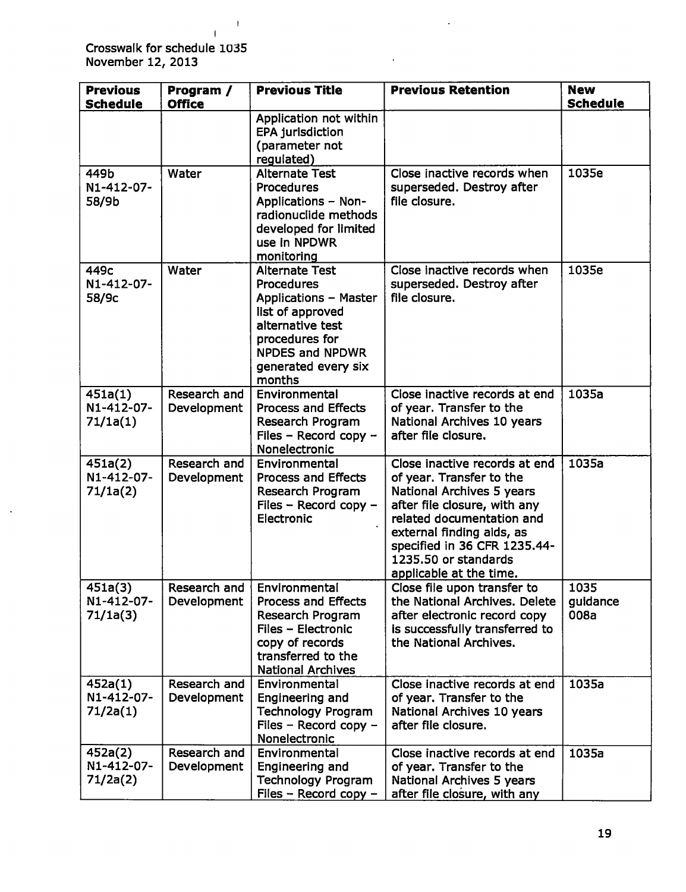Crosswalk for schedule 1035 November 12, 2013

 $\mathbb{Z}^2$ 

I

 $\overline{1}$ 

| <b>Previous</b><br><b>Schedule</b> | Program /<br><b>Office</b>  | <b>Previous Title</b>                                                                                                                                                                    | <b>Previous Retention</b>                                                                                                                                                                                                                                           | <b>New</b><br><b>Schedule</b> |
|------------------------------------|-----------------------------|------------------------------------------------------------------------------------------------------------------------------------------------------------------------------------------|---------------------------------------------------------------------------------------------------------------------------------------------------------------------------------------------------------------------------------------------------------------------|-------------------------------|
|                                    |                             | Application not within<br><b>EPA jurisdiction</b><br>(parameter not<br>regulated)                                                                                                        |                                                                                                                                                                                                                                                                     |                               |
| 449b<br>N1-412-07-<br>58/9b        | Water                       | <b>Alternate Test</b><br>Procedures<br><b>Applications - Non-</b><br>radionuclide methods<br>developed for limited<br>use in NPDWR<br>monitoring                                         | Close inactive records when<br>superseded. Destroy after<br>file closure.                                                                                                                                                                                           | 1035e                         |
| 449c<br>N1-412-07-<br>58/9c        | Water                       | <b>Alternate Test</b><br><b>Procedures</b><br><b>Applications - Master</b><br>list of approved<br>alternative test<br>procedures for<br>NPDES and NPDWR<br>generated every six<br>months | Close inactive records when<br>superseded. Destroy after<br>file closure.                                                                                                                                                                                           | 1035e                         |
| 451a(1)<br>N1-412-07-<br>71/1a(1)  | Research and<br>Development | Environmental<br><b>Process and Effects</b><br>Research Program<br>Files - Record copy -<br>Nonelectronic                                                                                | Close inactive records at end<br>of year. Transfer to the<br>National Archives 10 years<br>after file closure.                                                                                                                                                      | 1035a                         |
| 451a(2)<br>N1-412-07-<br>71/1a(2)  | Research and<br>Development | Environmental<br><b>Process and Effects</b><br>Research Program<br>Files - Record copy -<br>Electronic                                                                                   | Close inactive records at end<br>of year. Transfer to the<br>National Archives 5 years<br>after file closure, with any<br>related documentation and<br>external finding aids, as<br>specified in 36 CFR 1235.44-<br>1235.50 or standards<br>applicable at the time. | 1035a                         |
| 451a(3)<br>N1-412-07-<br>71/1a(3)  | Research and<br>Development | Environmental<br><b>Process and Effects</b><br>Research Program<br>Files - Electronic<br>copy of records<br>transferred to the<br><b>National Archives</b>                               | Close file upon transfer to<br>the National Archives. Delete<br>after electronic record copy<br>is successfully transferred to<br>the National Archives.                                                                                                            | 1035<br>guidance<br>008a      |
| 452a(1)<br>N1-412-07-<br>71/2a(1)  | Research and<br>Development | Environmental<br>Engineering and<br><b>Technology Program</b><br>Files - Record copy -<br>Nonelectronic                                                                                  | Close inactive records at end<br>of year. Transfer to the<br>National Archives 10 years<br>after file closure.                                                                                                                                                      | 1035a                         |
| 452a(2)<br>N1-412-07-<br>71/2a(2)  | Research and<br>Development | Environmental<br>Engineering and<br><b>Technology Program</b><br>Files - Record copy -                                                                                                   | Close inactive records at end<br>of year. Transfer to the<br>National Archives 5 years<br>after file closure, with any                                                                                                                                              | 1035a                         |

 $\bar{\mathcal{A}}$ 

 $\bar{\bar{z}}$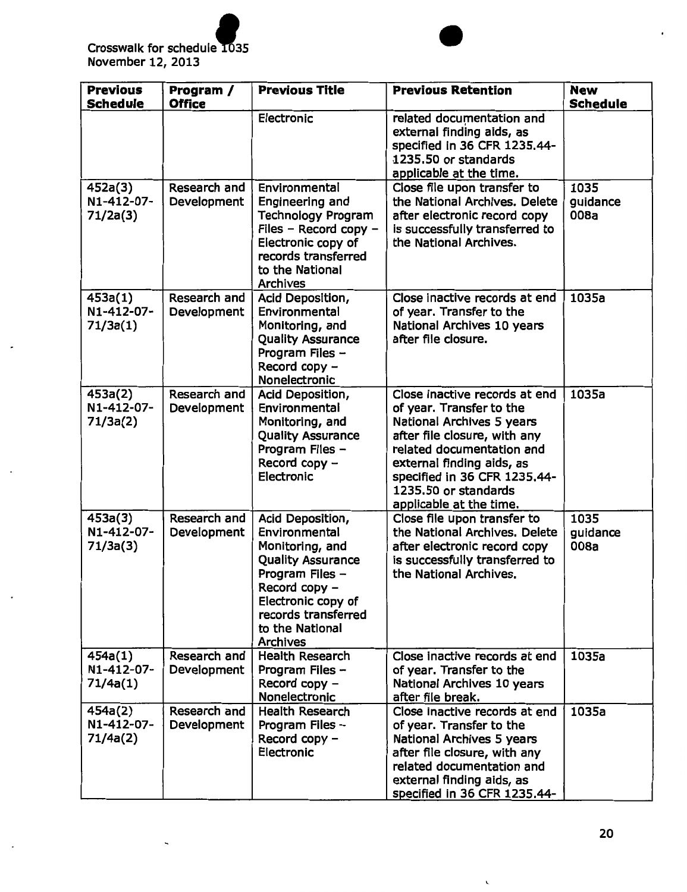

 $\Box$ 

| <b>Previous</b><br><b>Schedule</b> | Program /<br><b>Office</b>         | <b>Previous Title</b>                                                                                                                                                                                   | <b>Previous Retention</b>                                                                                                                                                                                                                                           | <b>New</b><br><b>Schedule</b> |
|------------------------------------|------------------------------------|---------------------------------------------------------------------------------------------------------------------------------------------------------------------------------------------------------|---------------------------------------------------------------------------------------------------------------------------------------------------------------------------------------------------------------------------------------------------------------------|-------------------------------|
|                                    |                                    | Electronic                                                                                                                                                                                              | related documentation and<br>external finding aids, as<br>specified in 36 CFR 1235.44-<br>1235.50 or standards<br>applicable at the time.                                                                                                                           |                               |
| 452a(3)<br>N1-412-07-<br>71/2a(3)  | Research and<br>Development        | Environmental<br>Engineering and<br><b>Technology Program</b><br>Files - Record copy -<br>Electronic copy of<br>records transferred<br>to the National<br><b>Archives</b>                               | Close file upon transfer to<br>the National Archives. Delete<br>after electronic record copy<br>is successfully transferred to<br>the National Archives.                                                                                                            | 1035<br>guidance<br>008a      |
| 453a(1)<br>N1-412-07-<br>71/3a(1)  | Research and<br>Development        | Acid Deposition,<br>Environmental<br>Monitoring, and<br><b>Quality Assurance</b><br>Program Files -<br>Record copy -<br>Nonelectronic                                                                   | Close inactive records at end<br>of year. Transfer to the<br>National Archives 10 years<br>after file closure.                                                                                                                                                      | 1035a                         |
| 453a(2)<br>N1-412-07-<br>71/3a(2)  | Research and<br>Development        | Acid Deposition,<br>Environmental<br>Monitoring, and<br><b>Quality Assurance</b><br>Program Files -<br>Record copy -<br>Electronic                                                                      | Close inactive records at end<br>of year. Transfer to the<br>National Archives 5 years<br>after file closure, with any<br>related documentation and<br>external finding aids, as<br>specified in 36 CFR 1235.44-<br>1235.50 or standards<br>applicable at the time. | 1035a                         |
| 453a(3)<br>N1-412-07-<br>71/3a(3)  | <b>Research and</b><br>Development | Acid Deposition,<br>Environmental<br>Monitoring, and<br><b>Quality Assurance</b><br>Program Files -<br>Record copy -<br>Electronic copy of<br>records transferred<br>to the National<br><b>Archives</b> | Close file upon transfer to<br>the National Archives. Delete<br>after electronic record copy<br>is successfully transferred to<br>the National Archives.                                                                                                            | 1035<br>guidance<br>008a      |
| 454a(1)<br>N1-412-07-<br>71/4a(1)  | Research and<br>Development        | <b>Health Research</b><br>Program Files -<br>Record copy -<br>Nonelectronic                                                                                                                             | Close inactive records at end<br>of year. Transfer to the<br>National Archives 10 years<br>after file break.                                                                                                                                                        | 1035a                         |
| 454a(2)<br>N1-412-07-<br>71/4a(2)  | Research and<br>Development        | <b>Health Research</b><br>Program Files -<br>Record copy -<br>Electronic                                                                                                                                | Close inactive records at end<br>of year. Transfer to the<br>National Archives 5 years<br>after file closure, with any<br>related documentation and<br>external finding aids, as<br>specified in 36 CFR 1235.44-                                                    | 1035a                         |

 $\overline{\phantom{0}}$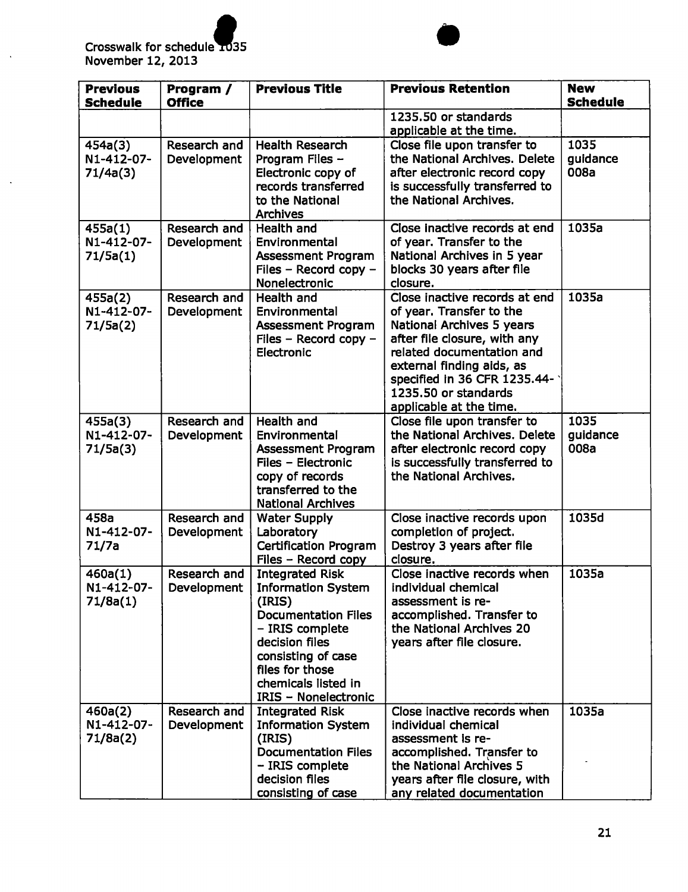

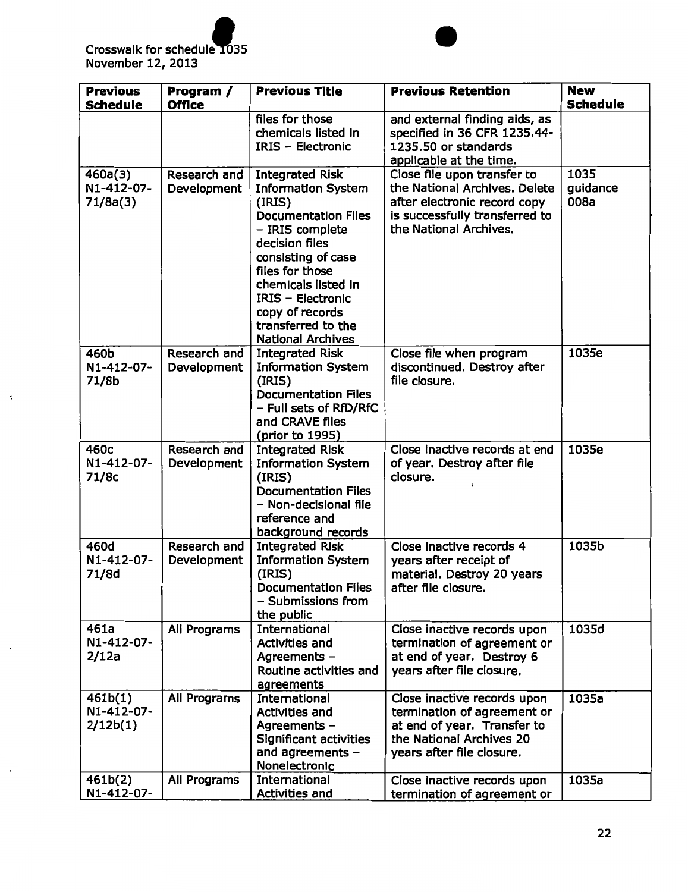

 $\ddot{\cdot}$ 



| <b>Previous</b><br><b>Schedule</b> | Program /<br><b>Office</b>  | <b>Previous Title</b>                                                                                                                                                                                                                                                                             | <b>Previous Retention</b>                                                                                                                                | <b>New</b><br><b>Schedule</b> |
|------------------------------------|-----------------------------|---------------------------------------------------------------------------------------------------------------------------------------------------------------------------------------------------------------------------------------------------------------------------------------------------|----------------------------------------------------------------------------------------------------------------------------------------------------------|-------------------------------|
|                                    |                             | files for those<br>chemicals listed in<br><b>IRIS - Electronic</b>                                                                                                                                                                                                                                | and external finding aids, as<br>specified in 36 CFR 1235.44-<br>1235.50 or standards<br>applicable at the time.                                         |                               |
| 460a(3)<br>N1-412-07-<br>71/8a(3)  | Research and<br>Development | <b>Integrated Risk</b><br><b>Information System</b><br>(IRIS)<br><b>Documentation Files</b><br>- IRIS complete<br>decision files<br>consisting of case<br>files for those<br>chemicals listed in<br><b>IRIS - Electronic</b><br>copy of records<br>transferred to the<br><b>National Archives</b> | Close file upon transfer to<br>the National Archives. Delete<br>after electronic record copy<br>is successfully transferred to<br>the National Archives. | 1035<br>guidance<br>008a      |
| 460b<br>N1-412-07-<br>71/8b        | Research and<br>Development | <b>Integrated Risk</b><br><b>Information System</b><br>(IRIS)<br><b>Documentation Files</b><br>- Full sets of RfD/RfC<br>and CRAVE files<br>(prior to 1995)                                                                                                                                       | Close file when program<br>discontinued. Destroy after<br>file closure.                                                                                  | 1035e                         |
| 460c<br>N1-412-07-<br>71/8c        | Research and<br>Development | <b>Integrated Risk</b><br><b>Information System</b><br>(IRIS)<br><b>Documentation Files</b><br>- Non-decisional file<br>reference and<br>background records                                                                                                                                       | Close inactive records at end<br>of year. Destroy after file<br>closure.                                                                                 | 1035e                         |
| 460d<br>N1-412-07-<br>71/8d        | Research and<br>Development | <b>Integrated Risk</b><br><b>Information System</b><br>(IRIS)<br><b>Documentation Files</b><br>- Submissions from<br>the public                                                                                                                                                                   | Close inactive records 4<br>years after receipt of<br>material. Destroy 20 years<br>after file closure.                                                  | 1035b                         |
| 461a<br>N1-412-07-<br>2/12a        | All Programs                | International<br><b>Activities and</b><br>Agreements -<br>Routine activities and<br>agreements                                                                                                                                                                                                    | Close inactive records upon<br>termination of agreement or<br>at end of year. Destroy 6<br>years after file closure.                                     | 1035d                         |
| 461b(1)<br>N1-412-07-<br>2/12b(1)  | All Programs                | International<br><b>Activities and</b><br>Agreements -<br>Significant activities<br>and agreements -<br>Nonelectronic                                                                                                                                                                             | Close inactive records upon<br>termination of agreement or<br>at end of year. Transfer to<br>the National Archives 20<br>years after file closure.       | 1035a                         |
| 461b(2)<br>N1-412-07-              | All Programs                | International<br><b>Activities and</b>                                                                                                                                                                                                                                                            | Close inactive records upon<br>termination of agreement or                                                                                               | 1035a                         |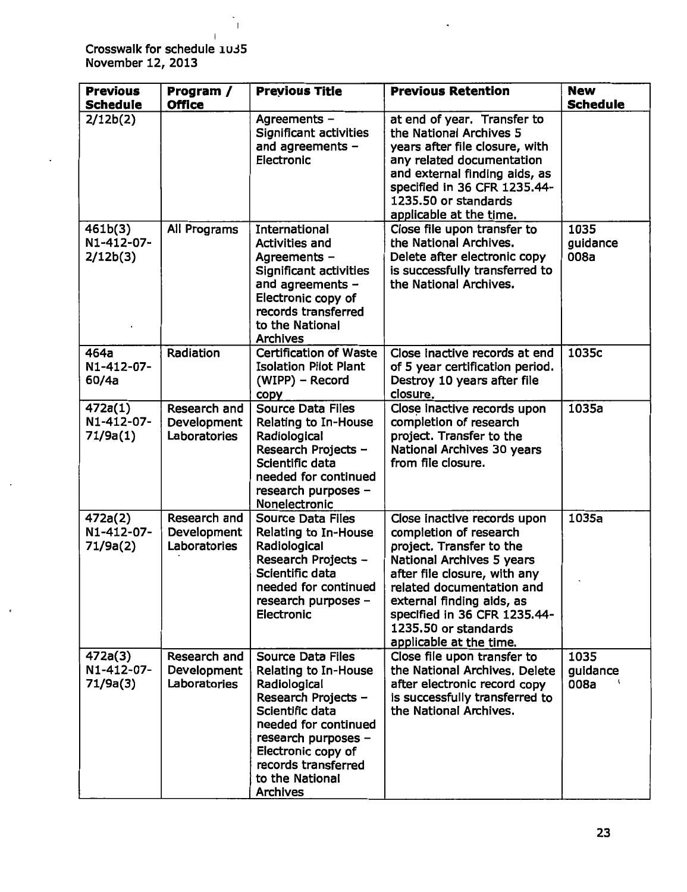Crosswalk for schedule iu35 November 12, 2013

 $\overline{1}$ 

 $\ddot{\phantom{0}}$ 

| <b>Previous</b><br><b>Schedule</b> | Program /<br><b>Office</b>                  | <b>Previous Title</b>                                                                                                                                                                                                                               | <b>Previous Retention</b>                                                                                                                                                                                                                                                                   | <b>New</b><br><b>Schedule</b> |
|------------------------------------|---------------------------------------------|-----------------------------------------------------------------------------------------------------------------------------------------------------------------------------------------------------------------------------------------------------|---------------------------------------------------------------------------------------------------------------------------------------------------------------------------------------------------------------------------------------------------------------------------------------------|-------------------------------|
| 2/12b(2)                           |                                             | Agreements -<br><b>Significant activities</b><br>and agreements -<br>Electronic                                                                                                                                                                     | at end of year. Transfer to<br>the National Archives 5<br>years after file closure, with<br>any related documentation<br>and external finding aids, as<br>specified in 36 CFR 1235.44-<br>1235.50 or standards<br>applicable at the time.                                                   |                               |
| 461b(3)<br>N1-412-07-<br>2/12b(3)  | All Programs                                | International<br><b>Activities and</b><br>Agreements -<br>Significant activities<br>and agreements -<br>Electronic copy of<br>records transferred<br>to the National<br><b>Archives</b>                                                             | Close file upon transfer to<br>the National Archives.<br>Delete after electronic copy<br>is successfully transferred to<br>the National Archives.                                                                                                                                           | 1035<br>guidance<br>008a      |
| 464a<br>N1-412-07-<br>60/4a        | Radiation                                   | <b>Certification of Waste</b><br><b>Isolation Pilot Plant</b><br>(WIPP) - Record<br><b>CODY</b>                                                                                                                                                     | Close inactive records at end<br>of 5 year certification period.<br>Destroy 10 years after file<br>closure.                                                                                                                                                                                 | 1035c                         |
| 472a(1)<br>N1-412-07-<br>71/9a(1)  | Research and<br>Development<br>Laboratories | <b>Source Data Files</b><br>Relating to In-House<br>Radiological<br>Research Projects -<br>Scientific data<br>needed for continued<br>research purposes -<br>Nonelectronic                                                                          | Close inactive records upon<br>completion of research<br>project. Transfer to the<br>National Archives 30 years<br>from file closure.                                                                                                                                                       | 1035a                         |
| 472a(2)<br>N1-412-07-<br>71/9a(2)  | Research and<br>Development<br>Laboratories | <b>Source Data Files</b><br>Relating to In-House<br>Radiological<br>Research Projects -<br>Scientific data<br>needed for continued<br>research purposes -<br>Electronic                                                                             | Close inactive records upon<br>completion of research<br>project. Transfer to the<br>National Archives 5 years<br>after file closure, with any<br>related documentation and<br>external finding aids, as<br>specified in 36 CFR 1235.44-<br>1235.50 or standards<br>applicable at the time. | 1035a                         |
| 472a(3)<br>N1-412-07-<br>71/9a(3)  | Research and<br>Development<br>Laboratories | <b>Source Data Files</b><br><b>Relating to In-House</b><br>Radiological<br>Research Projects -<br>Scientific data<br>needed for continued<br>research purposes -<br>Electronic copy of<br>records transferred<br>to the National<br><b>Archives</b> | Close file upon transfer to<br>the National Archives. Delete<br>after electronic record copy<br>is successfully transferred to<br>the National Archives.                                                                                                                                    | 1035<br>guidance<br>008a      |

Į,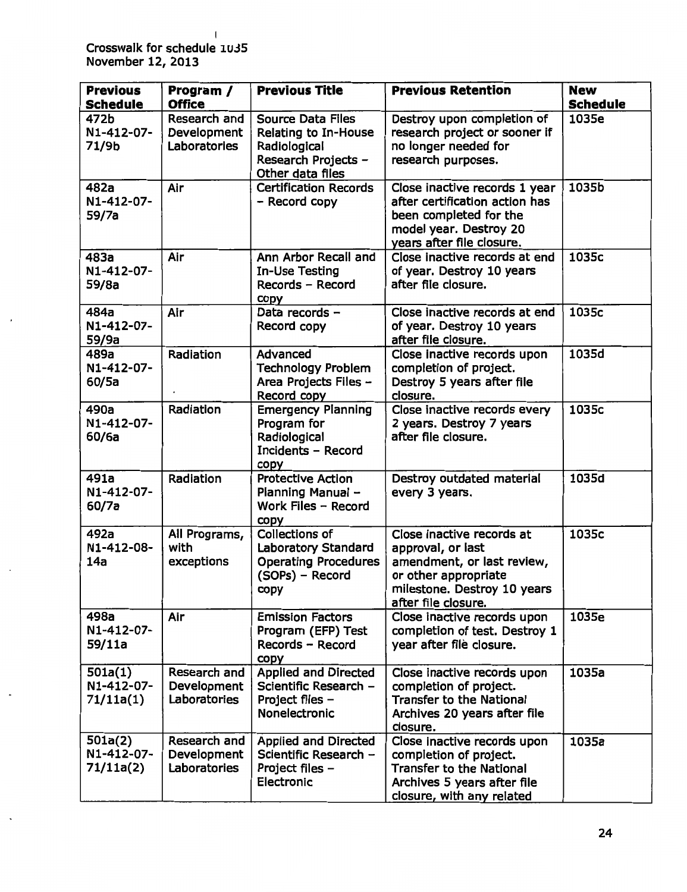I Crosswalk for schedule 1∪35 November 12, 2013

| <b>Previous</b><br><b>Schedule</b> | Program /<br><b>Office</b>                  | <b>Previous Title</b>                                                                                       | <b>Previous Retention</b>                                                                                                                                  | <b>New</b><br><b>Schedule</b> |
|------------------------------------|---------------------------------------------|-------------------------------------------------------------------------------------------------------------|------------------------------------------------------------------------------------------------------------------------------------------------------------|-------------------------------|
| 472b<br>N1-412-07-<br>71/9b        | Research and<br>Development<br>Laboratories | <b>Source Data Files</b><br>Relating to In-House<br>Radiological<br>Research Projects -<br>Other data files | Destroy upon completion of<br>research project or sooner if<br>no longer needed for<br>research purposes.                                                  | 1035e                         |
| 482a<br>N1-412-07-<br>59/7a        | Air                                         | <b>Certification Records</b><br>- Record copy                                                               | Close inactive records 1 year<br>after certification action has<br>been completed for the<br>model year. Destroy 20<br>years after file closure.           | 1035b                         |
| 483a<br>N1-412-07-<br>59/8a        | Air                                         | Ann Arbor Recall and<br>In-Use Testing<br>Records - Record<br>copy                                          | Close inactive records at end<br>of year. Destroy 10 years<br>after file closure.                                                                          | 1035c                         |
| 484a<br>N1-412-07-<br>59/9a        | Air                                         | Data records -<br>Record copy                                                                               | Close inactive records at end<br>of year. Destroy 10 years<br>after file closure.                                                                          | 1035c                         |
| 489a<br>N1-412-07-<br>60/5a        | Radiation                                   | Advanced<br><b>Technology Problem</b><br>Area Projects Files -<br>Record copy                               | Close inactive records upon<br>completion of project.<br>Destroy 5 years after file<br>closure.                                                            | 1035d                         |
| 490a<br>N1-412-07-<br>60/6a        | Radiation                                   | <b>Emergency Planning</b><br>Program for<br>Radiological<br>Incidents - Record<br>copy                      | Close inactive records every<br>2 years. Destroy 7 years<br>after file closure.                                                                            | 1035c                         |
| 491a<br>N1-412-07-<br>60/7a        | Radiation                                   | <b>Protective Action</b><br>Planning Manual -<br>Work Files - Record<br>copy                                | Destroy outdated material<br>every 3 years.                                                                                                                | 1035d                         |
| 492a<br>N1-412-08-<br>14a          | All Programs,<br>with<br>exceptions         | <b>Collections of</b><br>Laboratory Standard<br><b>Operating Procedures</b><br>(SOPs) - Record<br>copy      | Close inactive records at<br>approval, or last<br>amendment, or last review,<br>or other appropriate<br>milestone. Destroy 10 years<br>after file closure. | 1035c                         |
| 498a<br>N1-412-07-<br>59/11a       | Air                                         | <b>Emission Factors</b><br>Program (EFP) Test<br>Records - Record<br>copy                                   | Close inactive records upon<br>completion of test. Destroy 1<br>year after file closure.                                                                   | 1035e                         |
| 501a(1)<br>N1-412-07-<br>71/11a(1) | Research and<br>Development<br>Laboratories | <b>Applied and Directed</b><br>Scientific Research -<br>Project files -<br>Nonelectronic                    | Close inactive records upon<br>completion of project.<br><b>Transfer to the National</b><br>Archives 20 years after file<br>closure.                       | 1035a                         |
| 501a(2)<br>N1-412-07-<br>71/11a(2) | Research and<br>Development<br>Laboratories | <b>Applied and Directed</b><br>Scientific Research -<br>Project files -<br>Electronic                       | Close inactive records upon<br>completion of project.<br><b>Transfer to the National</b><br>Archives 5 years after file<br>closure, with any related       | 1035a                         |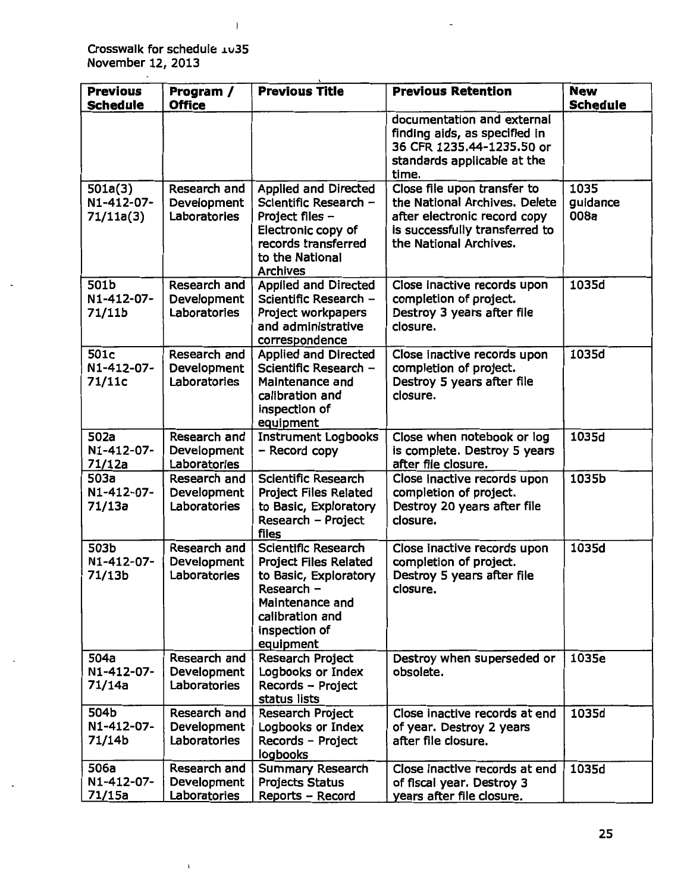Crosswalk for schedule 1035 November 12, 2013

 $\bar{1}$ 

 $\mathbf{I}$ 

| <b>Previous</b><br><b>Schedule</b> | Program /<br><b>Office</b>                         | <b>Previous Title</b>                                                                                                                                                 | <b>Previous Retention</b>                                                                                                                                | <b>New</b><br><b>Schedule</b> |
|------------------------------------|----------------------------------------------------|-----------------------------------------------------------------------------------------------------------------------------------------------------------------------|----------------------------------------------------------------------------------------------------------------------------------------------------------|-------------------------------|
|                                    |                                                    |                                                                                                                                                                       | documentation and external<br>finding aids, as specified in<br>36 CFR 1235.44-1235.50 or<br>standards applicable at the<br>time.                         |                               |
| 501a(3)<br>N1-412-07-<br>71/11a(3) | Research and<br>Development<br>Laboratories        | <b>Applied and Directed</b><br>Scientific Research -<br>Project files -<br>Electronic copy of<br>records transferred<br>to the National<br><b>Archives</b>            | Close file upon transfer to<br>the National Archives. Delete<br>after electronic record copy<br>is successfully transferred to<br>the National Archives. | 1035<br>guidance<br>008a      |
| 501b<br>N1-412-07-<br>71/11b       | Research and<br>Development<br>Laboratories        | <b>Applied and Directed</b><br>Scientific Research -<br>Project workpapers<br>and administrative<br>correspondence                                                    | Close inactive records upon<br>completion of project.<br>Destroy 3 years after file<br>closure.                                                          | 1035d                         |
| 501c<br>N1-412-07-<br>71/11c       | Research and<br>Development<br>Laboratories        | <b>Applied and Directed</b><br>Scientific Research -<br>Maintenance and<br>calibration and<br>inspection of<br>equipment                                              | Close inactive records upon<br>completion of project.<br>Destroy 5 years after file<br>closure.                                                          | 1035d                         |
| 502a<br>N1-412-07-<br>71/12a       | Research and<br>Development<br>Laboratories        | <b>Instrument Logbooks</b><br>- Record copy                                                                                                                           | Close when notebook or log<br>is complete. Destroy 5 years<br>after file closure.                                                                        | 1035d                         |
| 503a<br>N1-412-07-<br>71/13a       | Research and<br>Development<br>Laboratories        | Scientific Research<br><b>Project Files Related</b><br>to Basic, Exploratory<br>Research - Project<br>files                                                           | Close inactive records upon<br>completion of project.<br>Destroy 20 years after file<br>closure.                                                         | 1035b                         |
| 503b<br>N1-412-07-<br>71/13b       | Research and<br>Development<br><b>Laboratories</b> | <b>Scientific Research</b><br><b>Project Files Related</b><br>to Basic, Exploratory<br>Research –<br>Maintenance and<br>calibration and<br>inspection of<br>equipment | Close inactive records upon<br>completion of project.<br>Destroy 5 years after file<br>closure.                                                          | 1035d                         |
| 504a<br>N1-412-07-<br>71/14a       | Research and<br>Development<br>Laboratories        | Research Project<br>Logbooks or Index<br>Records - Project<br>status lists                                                                                            | Destroy when superseded or<br>obsolete.                                                                                                                  | 1035e                         |
| 504b<br>N1-412-07-<br>71/14b       | Research and<br>Development<br>Laboratories        | <b>Research Project</b><br>Logbooks or Index<br>Records - Project<br>logbooks                                                                                         | Close inactive records at end<br>of year. Destroy 2 years<br>after file closure.                                                                         | 1035d                         |
| 506a<br>N1-412-07-<br>71/15a       | Research and<br>Development<br>Laboratories        | <b>Summary Research</b><br><b>Projects Status</b><br>Reports - Record                                                                                                 | Close inactive records at end<br>of fiscal year. Destroy 3<br>years after file closure.                                                                  | 1035d                         |

 $\ddot{\phantom{0}}$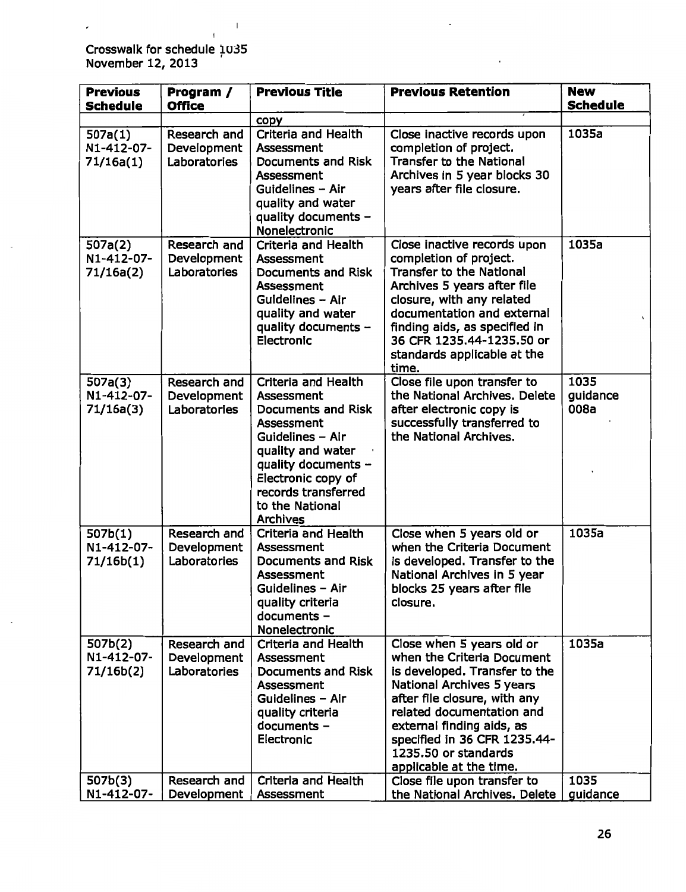Crosswalk for schedule 1035 November 12, 2013 '

 $\overline{1}$ 

 $\mathbf{I}$ 

| <b>Previous</b><br><b>Schedule</b> | Program /<br><b>Office</b>                  | <b>Previous Title</b>                                                                                                                                                                                                           | <b>Previous Retention</b>                                                                                                                                                                                                                                                                          | <b>New</b><br><b>Schedule</b> |
|------------------------------------|---------------------------------------------|---------------------------------------------------------------------------------------------------------------------------------------------------------------------------------------------------------------------------------|----------------------------------------------------------------------------------------------------------------------------------------------------------------------------------------------------------------------------------------------------------------------------------------------------|-------------------------------|
|                                    |                                             | copy                                                                                                                                                                                                                            |                                                                                                                                                                                                                                                                                                    |                               |
| 507a(1)<br>N1-412-07-<br>71/16a(1) | Research and<br>Development<br>Laboratories | <b>Criteria and Health</b><br><b>Assessment</b><br>Documents and Risk<br>Assessment<br>Guidelines - Air<br>quality and water<br>quality documents -<br>Nonelectronic                                                            | Close inactive records upon<br>completion of project.<br><b>Transfer to the National</b><br>Archives in 5 year blocks 30<br>years after file closure.                                                                                                                                              | 1035a                         |
| 507a(2)<br>N1-412-07-<br>71/16a(2) | Research and<br>Development<br>Laboratories | Criteria and Health<br>Assessment<br>Documents and Risk<br><b>Assessment</b><br>Guidelines - Air<br>quality and water<br>quality documents -<br>Electronic                                                                      | Close inactive records upon<br>completion of project.<br><b>Transfer to the National</b><br>Archives 5 years after file<br>closure, with any related<br>documentation and external<br>finding aids, as specified in<br>36 CFR 1235.44-1235.50 or<br>standards applicable at the<br>time.           | 1035a                         |
| 507a(3)<br>N1-412-07-<br>71/16a(3) | Research and<br>Development<br>Laboratories | Criteria and Health<br>Assessment<br><b>Documents and Risk</b><br>Assessment<br>Guidelines - Air<br>quality and water<br>quality documents -<br>Electronic copy of<br>records transferred<br>to the National<br><b>Archives</b> | Close file upon transfer to<br>the National Archives. Delete<br>after electronic copy is<br>successfully transferred to<br>the National Archives.                                                                                                                                                  | 1035<br>guidance<br>008a      |
| 507b(1)<br>N1-412-07-<br>71/16b(1) | Research and<br>Development<br>Laboratories | <b>Criteria and Health</b><br>Assessment<br><b>Documents and Risk</b><br>Assessment<br>Guidelines - Air<br>quality criteria<br>documents -<br>Nonelectronic                                                                     | Close when 5 years old or<br>when the Criteria Document<br>is developed. Transfer to the<br>National Archives in 5 year<br>blocks 25 years after file<br>closure.                                                                                                                                  | 1035a                         |
| 507b(2)<br>N1-412-07-<br>71/16b(2) | Research and<br>Development<br>Laboratories | <b>Criteria and Health</b><br>Assessment<br><b>Documents and Risk</b><br>Assessment<br>Guidelines - Air<br>quality criteria<br>documents -<br>Electronic                                                                        | Close when 5 years old or<br>when the Criteria Document<br>is developed. Transfer to the<br>National Archives 5 years<br>after file closure, with any<br>related documentation and<br>external finding aids, as<br>specified in 36 CFR 1235.44-<br>1235.50 or standards<br>applicable at the time. | 1035a                         |
| 507b(3)<br>N1-412-07-              | Research and<br>Development                 | Criteria and Health<br>Assessment                                                                                                                                                                                               | Close file upon transfer to<br>the National Archives. Delete                                                                                                                                                                                                                                       | 1035<br>guidance              |

l,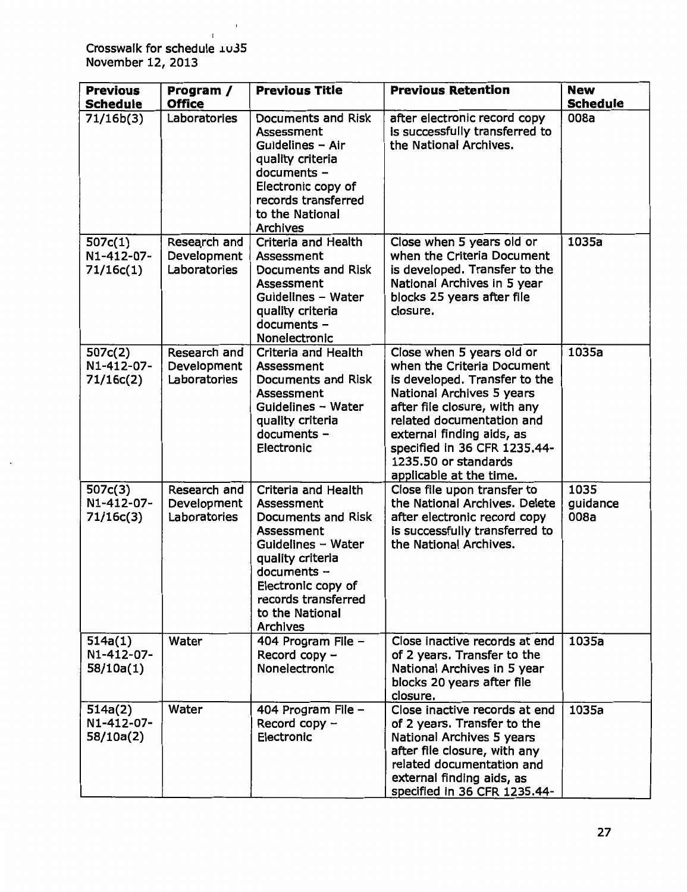Crosswalk for schedule *iu.35*  November 12, 2013

 $\mathbf{I}$ 

| <b>Previous</b><br><b>Schedule</b> | Program /<br><b>Office</b>                  | <b>Previous Title</b>                                                                                                                                                                                                    | <b>Previous Retention</b>                                                                                                                                                                                                                                                                          | <b>New</b><br><b>Schedule</b> |
|------------------------------------|---------------------------------------------|--------------------------------------------------------------------------------------------------------------------------------------------------------------------------------------------------------------------------|----------------------------------------------------------------------------------------------------------------------------------------------------------------------------------------------------------------------------------------------------------------------------------------------------|-------------------------------|
| 71/16b(3)                          | Laboratories                                | Documents and Risk<br><b>Assessment</b><br>Guidelines - Air<br>quality criteria<br>documents -<br>Electronic copy of<br>records transferred<br>to the National<br><b>Archives</b>                                        | after electronic record copy<br>is successfully transferred to<br>the National Archives.                                                                                                                                                                                                           | 008a                          |
| 507c(1)<br>N1-412-07-<br>71/16c(1) | Research and<br>Development<br>Laboratories | Criteria and Health<br>Assessment<br>Documents and Risk<br>Assessment<br>Guidelines - Water<br>quality criteria<br>documents -<br>Nonelectronic                                                                          | Close when 5 years old or<br>when the Criteria Document<br>is developed. Transfer to the<br>National Archives in 5 year<br>blocks 25 years after file<br>closure.                                                                                                                                  | 1035a                         |
| 507c(2)<br>N1-412-07-<br>71/16c(2) | Research and<br>Development<br>Laboratories | Criteria and Health<br>Assessment<br>Documents and Risk<br>Assessment<br>Guidelines - Water<br>quality criteria<br>documents -<br>Electronic                                                                             | Close when 5 years old or<br>when the Criteria Document<br>is developed. Transfer to the<br>National Archives 5 years<br>after file closure, with any<br>related documentation and<br>external finding aids, as<br>specified in 36 CFR 1235.44-<br>1235.50 or standards<br>applicable at the time. | 1035a                         |
| 507c(3)<br>N1-412-07-<br>71/16c(3) | Research and<br>Development<br>Laboratories | Criteria and Health<br><b>Assessment</b><br>Documents and Risk<br>Assessment<br>Guidelines - Water<br>quality criteria<br>documents -<br>Electronic copy of<br>records transferred<br>to the National<br><b>Archives</b> | Close file upon transfer to<br>the National Archives. Delete<br>after electronic record copy<br>is successfully transferred to<br>the National Archives.                                                                                                                                           | 1035<br>guidance<br>008a      |
| 514a(1)<br>N1-412-07-<br>58/10a(1) | Water                                       | 404 Program File -<br>Record copy -<br>Nonelectronic                                                                                                                                                                     | Close inactive records at end<br>of 2 years. Transfer to the<br>National Archives in 5 year<br>blocks 20 years after file<br>closure.                                                                                                                                                              | 1035a                         |
| 514a(2)<br>N1-412-07-<br>58/10a(2) | Water                                       | 404 Program File -<br>Record copy $-$<br>Electronic                                                                                                                                                                      | Close inactive records at end<br>of 2 years. Transfer to the<br>National Archives 5 years<br>after file closure, with any<br>related documentation and<br>external finding aids, as<br>specified in 36 CFR 1235.44-                                                                                | 1035a                         |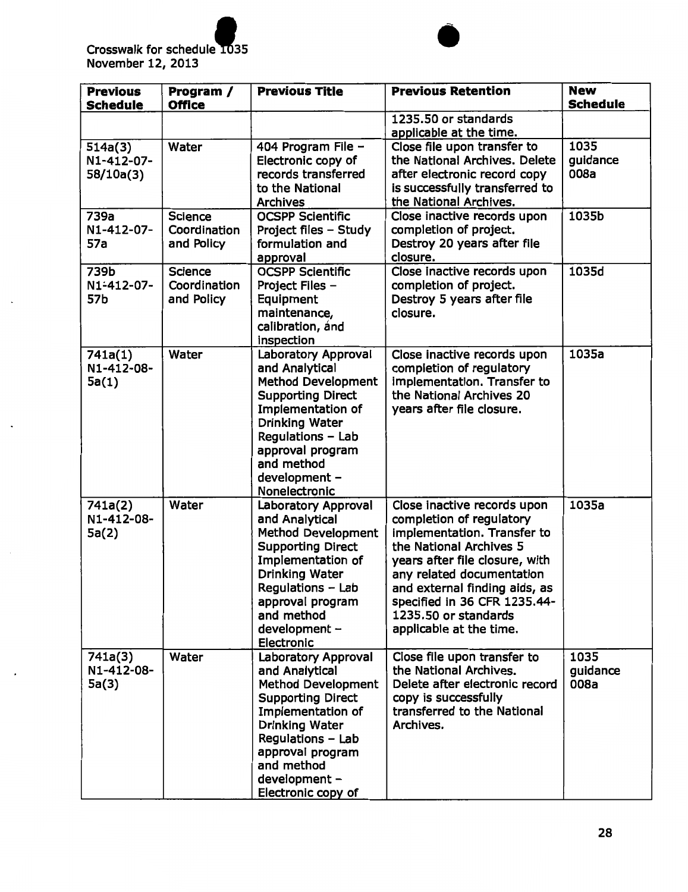